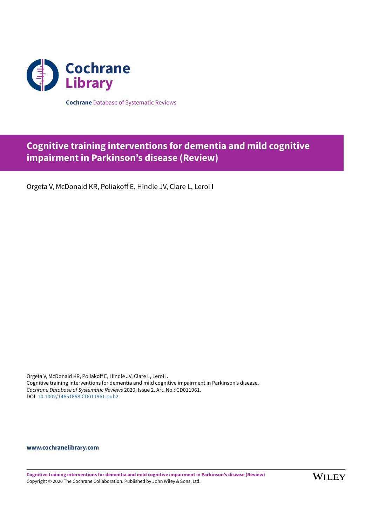

**Cochrane** Database of Systematic Reviews

# **Cognitive training interventions for dementia and mild cognitive impairment in Parkinson's disease (Review)**

Orgeta V, McDonald KR, Poliakoff E, Hindle JV, Clare L, Leroi I

Orgeta V, McDonald KR, Poliakoff E, Hindle JV, Clare L, Leroi I. Cognitive training interventions for dementia and mild cognitive impairment in Parkinson's disease. *Cochrane Database of Systematic Reviews* 2020, Issue 2. Art. No.: CD011961. DOI: [10.1002/14651858.CD011961.pub2.](https://doi.org/10.1002%2F14651858.CD011961.pub2)

**[www.cochranelibrary.com](https://www.cochranelibrary.com)**

**Cognitive training interventions for dementia and mild cognitive impairment in Parkinson's disease (Review)** Copyright © 2020 The Cochrane Collaboration. Published by John Wiley & Sons, Ltd.

**WILEY**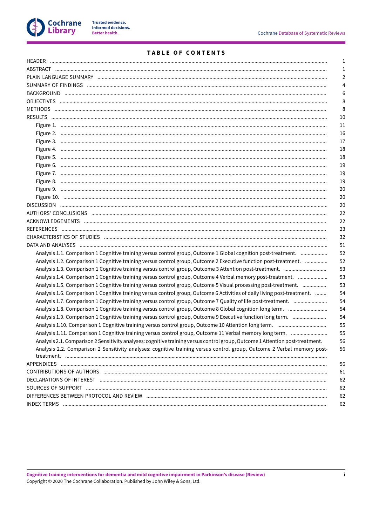

# **TABLE OF CONTENTS**

| 10                                                                                                                                  |
|-------------------------------------------------------------------------------------------------------------------------------------|
| 11                                                                                                                                  |
| 16                                                                                                                                  |
| 17                                                                                                                                  |
| 18                                                                                                                                  |
| 18                                                                                                                                  |
| 19                                                                                                                                  |
| 19                                                                                                                                  |
| 19                                                                                                                                  |
| 20                                                                                                                                  |
| 20                                                                                                                                  |
| 20                                                                                                                                  |
| 22                                                                                                                                  |
| 22                                                                                                                                  |
| 23                                                                                                                                  |
| 32                                                                                                                                  |
| 51                                                                                                                                  |
| Analysis 1.1. Comparison 1 Cognitive training versus control group, Outcome 1 Global cognition post-treatment.<br>52                |
| Analysis 1.2. Comparison 1 Cognitive training versus control group, Outcome 2 Executive function post-treatment.<br>52              |
| 53                                                                                                                                  |
| Analysis 1.4. Comparison 1 Cognitive training versus control group, Outcome 4 Verbal memory post-treatment.<br>53                   |
| Analysis 1.5. Comparison 1 Cognitive training versus control group, Outcome 5 Visual processing post-treatment.<br>53               |
| Analysis 1.6. Comparison 1 Cognitive training versus control group, Outcome 6 Activities of daily living post-treatment.<br>54      |
| Analysis 1.7. Comparison 1 Cognitive training versus control group, Outcome 7 Quality of life post-treatment.<br>54                 |
| 54                                                                                                                                  |
| Analysis 1.9. Comparison 1 Cognitive training versus control group, Outcome 9 Executive function long term.<br>54                   |
| 55                                                                                                                                  |
| Analysis 1.11. Comparison 1 Cognitive training versus control group, Outcome 11 Verbal memory long term.<br>55                      |
|                                                                                                                                     |
| Analysis 2.1. Comparison 2 Sensitivity analyses: cognitive training versus control group, Outcome 1 Attention post-treatment.<br>56 |
| Analysis 2.2. Comparison 2 Sensitivity analyses: cognitive training versus control group, Outcome 2 Verbal memory post-<br>56       |
| 56                                                                                                                                  |
| 61                                                                                                                                  |
| 62                                                                                                                                  |
| 62                                                                                                                                  |
| 62                                                                                                                                  |
|                                                                                                                                     |
| 62                                                                                                                                  |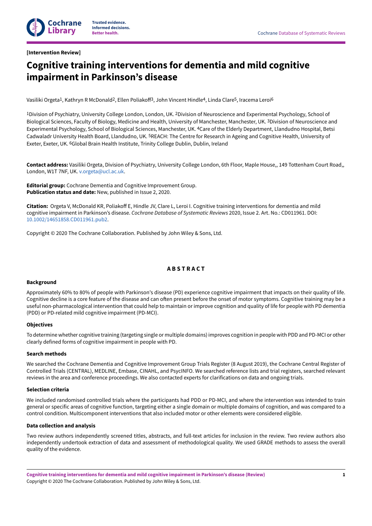

# <span id="page-2-0"></span>**[Intervention Review]**

# **Cognitive training interventions for dementia and mild cognitive impairment in Parkinson's disease**

Vasiliki Orgeta<sup>1</sup>, Kathryn R McDonald<sup>2</sup>, Ellen Poliakoff<sup>3</sup>, John Vincent Hindle<sup>4</sup>, Linda Clare<sup>5</sup>, Iracema Leroi<sup>6</sup>

<sup>1</sup>Division of Psychiatry, University College London, London, UK. <sup>2</sup>Division of Neuroscience and Experimental Psychology, School of Biological Sciences, Faculty of Biology, Medicine and Health, University of Manchester, Manchester, UK. <sup>3</sup>Division of Neuroscience and Experimental Psychology, School of Biological Sciences, Manchester, UK. <sup>4</sup>Care of the Elderly Department, Llandudno Hospital, Betsi Cadwaladr University Health Board, Llandudno, UK. <sup>5</sup>REACH: The Centre for Research in Ageing and Cognitive Health, University of Exeter, Exeter, UK. <sup>6</sup>Global Brain Health Institute, Trinity College Dublin, Dublin, Ireland

**Contact address:** Vasiliki Orgeta, Division of Psychiatry, University College London, 6th Floor, Maple House,, 149 Tottenham Court Road,, London, W1T 7NF, UK. [v.orgeta@ucl.ac.uk](mailto:v.orgeta@ucl.ac.uk).

**Editorial group:** Cochrane Dementia and Cognitive Improvement Group. **Publication status and date:** New, published in Issue 2, 2020.

Citation: Orgeta V, McDonald KR, Poliakoff E, Hindle JV, Clare L, Leroi I. Cognitive training interventions for dementia and mild cognitive impairment in Parkinson's disease. *Cochrane Database of Systematic Reviews* 2020, Issue 2. Art. No.: CD011961. DOI: [10.1002/14651858.CD011961.pub2.](https://doi.org/10.1002%2F14651858.CD011961.pub2)

Copyright © 2020 The Cochrane Collaboration. Published by John Wiley & Sons, Ltd.

# **A B S T R A C T**

### <span id="page-2-1"></span>**Background**

Approximately 60% to 80% of people with Parkinson's disease (PD) experience cognitive impairment that impacts on their quality of life. Cognitive decline is a core feature of the disease and can often present before the onset of motor symptoms. Cognitive training may be a useful non-pharmacological intervention that could help to maintain or improve cognition and quality of life for people with PD dementia (PDD) or PD-related mild cognitive impairment (PD-MCI).

### **Objectives**

To determine whether cognitive training (targeting single or multiple domains) improves cognition in people with PDD and PD-MCI or other clearly defined forms of cognitive impairment in people with PD.

# **Search methods**

We searched the Cochrane Dementia and Cognitive Improvement Group Trials Register (8 August 2019), the Cochrane Central Register of Controlled Trials (CENTRAL), MEDLINE, Embase, CINAHL, and PsycINFO. We searched reference lists and trial registers, searched relevant reviews in the area and conference proceedings. We also contacted experts for clarifications on data and ongoing trials.

#### **Selection criteria**

We included randomised controlled trials where the participants had PDD or PD-MCI, and where the intervention was intended to train general or specific areas of cognitive function, targeting either a single domain or multiple domains of cognition, and was compared to a control condition. Multicomponent interventions that also included motor or other elements were considered eligible.

#### **Data collection and analysis**

Two review authors independently screened titles, abstracts, and full-text articles for inclusion in the review. Two review authors also independently undertook extraction of data and assessment of methodological quality. We used GRADE methods to assess the overall quality of the evidence.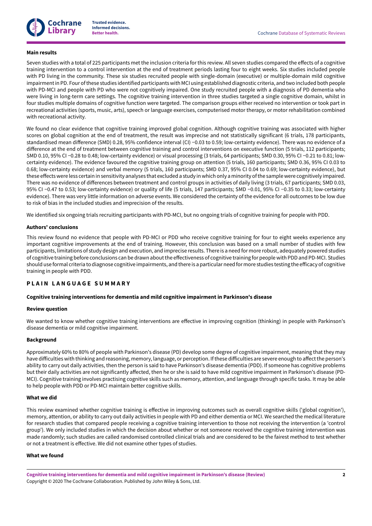

### **Main results**

Seven studies with a total of 225 participants met the inclusion criteria for this review. All seven studies compared the effects of a cognitive training intervention to a control intervention at the end of treatment periods lasting four to eight weeks. Six studies included people with PD living in the community. These six studies recruited people with single-domain (executive) or multiple-domain mild cognitive impairmentin PD. Four ofthese studies identified participants withMCI using established diagnostic criteria, and two included both people with PD-MCI and people with PD who were not cognitively impaired. One study recruited people with a diagnosis of PD dementia who were living in long-term care settings. The cognitive training intervention in three studies targeted a single cognitive domain, whilst in four studies multiple domains of cognitive function were targeted. The comparison groups either received no intervention or took part in recreational activities (sports, music, arts), speech or language exercises, computerised motor therapy, or motor rehabilitation combined with recreational activity.

We found no clear evidence that cognitive training improved global cognition. Although cognitive training was associated with higher scores on global cognition at the end of treatment, the result was imprecise and not statistically significant (6 trials, 178 participants, standardised mean difference (SMD) 0.28, 95% confidence interval (CI) −0.03 to 0.59; low-certainty evidence). There was no evidence of a difference at the end of treatment between cognitive training and control interventions on executive function (5 trials, 112 participants; SMD 0.10, 95% CI −0.28 to 0.48; low-certainty evidence) or visual processing (3 trials, 64 participants; SMD 0.30, 95% CI −0.21 to 0.81; lowcertainty evidence). The evidence favoured the cognitive training group on attention (5 trials, 160 participants; SMD 0.36, 95% CI 0.03 to 0.68; low-certainty evidence) and verbal memory (5 trials, 160 participants; SMD 0.37, 95% CI 0.04 to 0.69; low-certainty evidence), but these effects were less certain in sensitivity analyses that excluded a study in which only a minority of the sample were cognitively impaired. There was no evidence of differences between treatment and control groups in activities of daily living (3 trials, 67 participants; SMD 0.03, 95% CI −0.47 to 0.53; low-certainty evidence) or quality of life (5 trials, 147 participants; SMD −0.01, 95% CI −0.35 to 0.33; low-certainty evidence). There was very little information on adverse events. We considered the certainty of the evidence for all outcomes to be low due to risk of bias in the included studies and imprecision of the results.

We identified six ongoing trials recruiting participants with PD-MCI, but no ongoing trials of cognitive training for people with PDD.

## **Authors' conclusions**

This review found no evidence that people with PD-MCI or PDD who receive cognitive training for four to eight weeks experience any important cognitive improvements at the end of training. However, this conclusion was based on a small number of studies with few participants, limitations of study design and execution, and imprecise results. There is a need for more robust, adequately powered studies of cognitive training before conclusions can be drawn about the effectiveness of cognitive training for people with PDD and PD-MCI. Studies should use formal criteria to diagnose cognitive impairments, and there is a particular need for more studies testing the efficacy of cognitive training in people with PDD.

# <span id="page-3-0"></span>**P L A I N L A N G U A G E S U M M A R Y**

### **Cognitive training interventions for dementia and mild cognitive impairment in Parkinson's disease**

### **Review question**

We wanted to know whether cognitive training interventions are effective in improving cognition (thinking) in people with Parkinson's disease dementia or mild cognitive impairment.

### **Background**

Approximately 60% to 80% of people with Parkinson's disease (PD) develop some degree of cognitive impairment, meaning that they may have difficulties with thinking and reasoning, memory, language, or perception. If these difficulties are severe enough to affect the person's ability to carry out daily activities, then the person is said to have Parkinson's disease dementia (PDD). If someone has cognitive problems but their daily activities are not significantly affected, then he or she is said to have mild cognitive impairment in Parkinson's disease (PD-MCI). Cognitive training involves practising cognitive skills such as memory, attention, and language through specific tasks. It may be able to help people with PDD or PD-MCI maintain better cognitive skills.

#### **What we did**

This review examined whether cognitive training is effective in improving outcomes such as overall cognitive skills ('global cognition'), memory, attention, or ability to carry out daily activities in people with PD and either dementia or MCI. We searched the medical literature for research studies that compared people receiving a cognitive training intervention to those not receiving the intervention (a 'control group'). We only included studies in which the decision about whether or not someone received the cognitive training intervention was made randomly; such studies are called randomised controlled clinical trials and are considered to be the fairest method to test whether or not a treatment is effective. We did not examine other types of studies.

#### **What we found**

**Cognitive training interventions for dementia and mild cognitive impairment in Parkinson's disease (Review)** Copyright © 2020 The Cochrane Collaboration. Published by John Wiley & Sons, Ltd.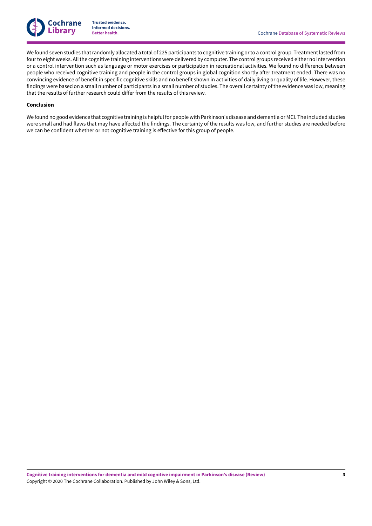

We found seven studies that randomly allocated a total of 225 participants to cognitive training or to a control group. Treatment lasted from four to eight weeks. All the cognitive training interventions were delivered by computer. The control groups received either no intervention or a control intervention such as language or motor exercises or participation in recreational activities. We found no difference between people who received cognitive training and people in the control groups in global cognition shortly after treatment ended. There was no convincing evidence of benefit in specific cognitive skills and no benefit shown in activities of daily living or quality of life. However, these findings were based on a small number of participants in a small number of studies. The overall certainty ofthe evidence was low, meaning that the results of further research could differ from the results of this review.

### **Conclusion**

We found no good evidence that cognitive training is helpful for people with Parkinson's disease and dementia or MCI. The included studies were small and had flaws that may have affected the findings. The certainty of the results was low, and further studies are needed before we can be confident whether or not cognitive training is effective for this group of people.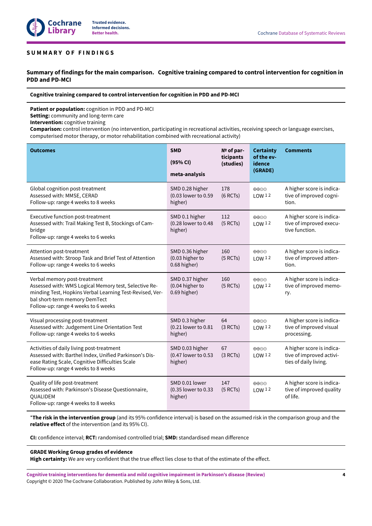# <span id="page-5-0"></span>**S U M M A R Y O F F I N D I N G S**

# <span id="page-5-1"></span>Summary of findings for the main comparison. Cognitive training compared to control intervention for cognition in **PDD and PD-MCI**

#### **Cognitive training compared to control intervention for cognition in PDD and PD-MCI**

**Patient or population:** cognition in PDD and PD-MCI

**Setting:** community and long-term care

**Intervention:** cognitive training

**Comparison:** control intervention (no intervention, participating in recreational activities, receiving speech or language exercises, computerised motor therapy, or motor rehabilitation combined with recreational activity)

| <b>Outcomes</b>                                                                                                                                                                                                           | <b>SMD</b><br>(95% CI)<br>meta-analysis            | Nº of par-<br>ticipants<br>(studies) | <b>Certainty</b><br>of the ev-<br>idence<br>(GRADE) | <b>Comments</b>                                                                |
|---------------------------------------------------------------------------------------------------------------------------------------------------------------------------------------------------------------------------|----------------------------------------------------|--------------------------------------|-----------------------------------------------------|--------------------------------------------------------------------------------|
| Global cognition post-treatment<br>Assessed with: MMSE, CERAD<br>Follow-up: range 4 weeks to 8 weeks                                                                                                                      | SMD 0.28 higher<br>(0.03 lower to 0.59<br>higher)  | 178<br>$(6$ RCTs)                    | ⊕⊕⊝<br>10W <sub>12</sub>                            | A higher score is indica-<br>tive of improved cogni-<br>tion.                  |
| Executive function post-treatment<br>Assessed with: Trail Making Test B, Stockings of Cam-<br>bridge<br>Follow-up: range 4 weeks to 6 weeks                                                                               | SMD 0.1 higher<br>(0.28 lower to 0.48<br>higher)   | 112<br>$(5$ RCTs)                    | ⊕⊕⊝<br>LOW <sup>12</sup>                            | A higher score is indica-<br>tive of improved execu-<br>tive function.         |
| Attention post-treatment<br>Assessed with: Stroop Task and Brief Test of Attention<br>Follow-up: range 4 weeks to 6 weeks                                                                                                 | SMD 0.36 higher<br>(0.03 higher to<br>0.68 higher) | 160<br>$(5$ RCTs)                    | ⊕⊕⊝<br>LOW <sup>12</sup>                            | A higher score is indica-<br>tive of improved atten-<br>tion.                  |
| Verbal memory post-treatment<br>Assessed with: WMS Logical Memory test, Selective Re-<br>minding Test, Hopkins Verbal Learning Test-Revised, Ver-<br>bal short-term memory DemTect<br>Follow-up: range 4 weeks to 6 weeks | SMD 0.37 higher<br>(0.04 higher to<br>0.69 higher) | 160<br>$(5$ RCTs)                    | ⊕⊕⊝<br>10W <sup>12</sup>                            | A higher score is indica-<br>tive of improved memo-<br>ry.                     |
| Visual processing post-treatment<br>Assessed with: Judgement Line Orientation Test<br>Follow-up: range 4 weeks to 6 weeks                                                                                                 | SMD 0.3 higher<br>(0.21 lower to 0.81<br>higher)   | 64<br>(3 RCTs)                       | ⊕⊕⊝<br>LOW <sup>12</sup>                            | A higher score is indica-<br>tive of improved visual<br>processing.            |
| Activities of daily living post-treatment<br>Assessed with: Barthel Index, Unified Parkinson's Dis-<br>ease Rating Scale, Cognitive Difficulties Scale<br>Follow-up: range 4 weeks to 8 weeks                             | SMD 0.03 higher<br>(0.47 lower to 0.53<br>higher)  | 67<br>(3 RCTs)                       | ⊕⊕⊝<br>LOW <sup>12</sup>                            | A higher score is indica-<br>tive of improved activi-<br>ties of daily living. |
| Quality of life post-treatment<br>Assessed with: Parkinson's Disease Questionnaire,<br><b>OUALIDEM</b><br>Follow-up: range 4 weeks to 8 weeks                                                                             | SMD 0.01 lower<br>(0.35 lower to 0.33<br>higher)   | 147<br>(5 RCTs)                      | ⊕⊕⊝⊝<br>LOW <sup>12</sup>                           | A higher score is indica-<br>tive of improved quality<br>of life.              |

\***The risk in the intervention group** (and its 95% confidence interval) is based on the assumed risk in the comparison group and the **relative effect** of the intervention (and its 95% CI).

**CI:** confidence interval; **RCT:** randomised controlled trial; **SMD:** standardised mean difference

#### **GRADE Working Group grades of evidence**

**High certainty:** We are very confident that the true effect lies close to that of the estimate of the effect.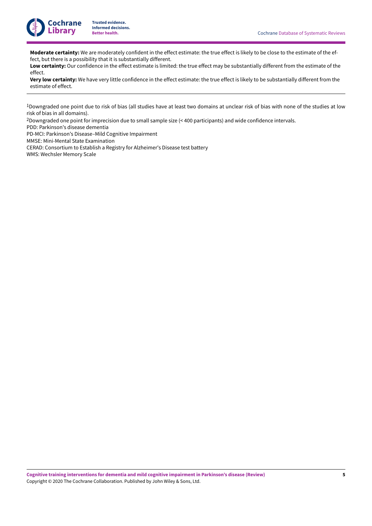

**Moderate certainty:** We are moderately confident in the effect estimate: the true effect is likely to be close to the estimate of the effect, but there is a possibility that it is substantially different.

**Low certainty:** Our confidence in the effect estimate is limited: the true effect may be substantially different from the estimate of the effect.

**Very low certainty:** We have very little confidence in the effect estimate: the true effect is likely to be substantially different from the estimate of effect.

1Downgraded one point due to risk of bias (all studies have at least two domains at unclear risk of bias with none of the studies at low risk of bias in all domains).

2Downgraded one point for imprecision due to small sample size (< 400 participants) and wide confidence intervals.

PDD: Parkinson's disease dementia

PD-MCI: Parkinson's Disease–Mild Cognitive Impairment

MMSE: Mini-Mental State Examination

CERAD: Consortium to Establish a Registry for Alzheimer's Disease test battery

WMS: Wechsler Memory Scale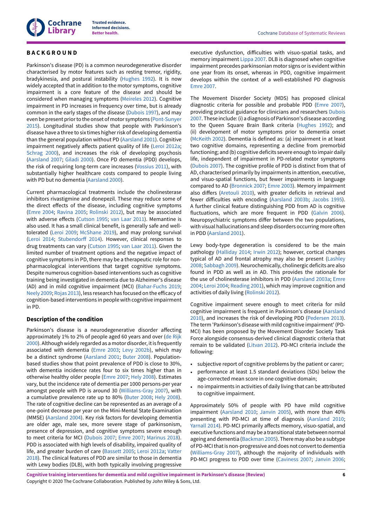

# <span id="page-7-0"></span>**B A C K G R O U N D**

Parkinson's disease (PD) is a common neurodegenerative disorder characterised by motor features such as resting tremor, rigidity, bradykinesia, and postural instability ([Hughes 1992](#page-30-0)). It is now widely accepted that in addition to the motor symptoms, cognitive impairment is a core feature of the disease and should be considered when managing symptoms [\(Meireles](#page-31-0) 2012). Cognitive impairment in PD increases in frequency over time, but is already common in the early stages of the disease ([Dubois 1997\)](#page-29-0), and may even be present prior to the onset of motor symptoms ([Pont-Sunyer](#page-32-0) [2015](#page-32-0)). Longitudinal studies show that people with Parkinson's disease have a three to six times higher risk of developing dementia than the general population without PD [\(Aarsland](#page-27-0) 2001). Cognitive impairment negatively affects patient quality of life (Leroi [2012a](#page-30-1); [Schrag](#page-32-1) 2000), and increases the risk of developing psychosis [\(Aarsland](#page-27-1) 2007; [Giladi 2000](#page-29-1)). Once PD dementia (PDD) develops, the risk of requiring long-term care increases [\(Vossius](#page-33-1) 2011), with substantially higher healthcare costs compared to people living with PD but no dementia [\(Aarsland](#page-27-2) 2000).

Current pharmacological treatments include the cholinesterase inhibitors rivastigmine and donepezil. These may reduce some of the direct effects of the disease, including cognitive symptoms [\(Emre](#page-29-2) 2004; [Ravina](#page-32-2) 2005; [Rolinski](#page-32-3) 2012), but may be associated with adverse effects ([Cutson](#page-29-3) 1995; van Laar [2011](#page-33-2)). Memantine is also used. It has a small clinical benefit, is generally safe and welltolerated ([Leroi](#page-30-2) 2009; [McShane 2019](#page-31-1)), and may prolong survival [\(Leroi](#page-31-2) 2014; Stubendorff 2014). However, clinical responses to drug treatments can vary [\(Cutson](#page-29-3) 1995; van Laar [2011](#page-33-2)). Given the limited number of treatment options and the negative impact of cognitive symptoms in PD, there may be a therapeutic role for nonpharmacological interventions that target cognitive symptoms. Despite numerous cognition-based interventions such as cognitive training being investigated in dementia due to Alzheimer's disease (AD) and in mild cognitive impairment (MCI) [\(Bahar-Fuchs](#page-28-0) 2019; [Neely 2009](#page-32-4); [Rojas](#page-32-5) 2013), less research has focused on the efficacy of cognition-based interventions in people with cognitive impairment in PD.

# **Description of the condition**

Parkinson's disease is a neurodegenerative disorder affecting approximately 1% to 2% of people aged 60 years and over [\(de Rijk](#page-29-4) [2000](#page-29-4)). Although widely regarded as a motor disorder, it is frequently associated with dementia ([Emre](#page-29-5) 2003; Levy [2002b\)](#page-31-3), which may be a distinct syndrome [\(Aarsland](#page-27-0) 2001; [Buter](#page-28-1) 2008). Populationbased studies show that point prevalence of PDD is close to 30%, with dementia incidence rates four to six times higher than in otherwise healthy older people [\(Emre](#page-29-6) 2007; [Hely 2008\)](#page-30-3). Estimates vary, but the incidence rate of dementia per 1000 persons-per year amongst people with PD is around 30 [\(Williams-Gray](#page-33-4) 2007), with a cumulative prevalence rate up to 80% ([Buter](#page-28-1) 2008; [Hely 2008\)](#page-30-3). The rate of cognitive decline can be represented as an average of a one-point decrease per year on the Mini-Mental State Examination (MMSE) ([Aarsland](#page-27-3) 2004). Key risk factors for developing dementia are older age, male sex, more severe stage of parkinsonism, presence of depression, and cognitive symptoms severe enough to meet criteria for MCI ([Dubois 2007](#page-29-7); [Emre](#page-29-6) 2007; [Marinus 2018\)](#page-31-4). PDD is associated with high levels of disability, impaired quality of life, and greater burden of care ([Bassett](#page-28-2) 2005; Leroi [2012a](#page-30-1); [Vatter](#page-33-5) [2018](#page-33-5)). The clinical features of PDD are similar to those in dementia with Lewy bodies (DLB), with both typically involving progressive

executive dysfunction, difficulties with visuo-spatial tasks, and memory impairment [Lippa](#page-31-5) 2007. DLB is diagnosed when cognitive impairment precedes parkinsonian motor signs or is evident within one year from its onset, whereas in PDD, cognitive impairment develops within the context of a well-established PD diagnosis [Emre](#page-29-6) 2007.

The Movement Disorder Society (MDS) has proposed clinical diagnostic criteria for possible and probable PDD [\(Emre](#page-29-6) 2007), providing practical guidance for clinicians and researchers [Dubois](#page-29-7) [2007.](#page-29-7) These include: (i) a diagnosis of Parkinson's disease according to the Queen Square Brain Bank criteria ([Hughes 1992\)](#page-30-0); and (ii) development of motor symptoms prior to dementia onset [\(McKeith](#page-31-6) 2002). Dementia is defined as: (a) impairment in at least two cognitive domains, representing a decline from premorbid functioning; and (b) cognitive deficits severe enough to impair daily life, independent of impairment in PD-related motor symptoms [\(Dubois 2007\)](#page-29-7). The cognitive profile of PDD is distinct from that of AD, characterised primarily by impairments in attention, executive, and visuo-spatial functions, but fewer impairments in language compared to AD [\(Bronnick](#page-28-3) 2007; [Emre](#page-29-5) 2003). Memory impairment also differs [\(Aretouli](#page-28-4) 2010), with greater deficits in retrieval and fewer difficulties with encoding [\(Aarsland](#page-27-4) 2003b; [Jacobs](#page-30-4) 1995). A further clinical feature distinguishing PDD from AD is cognitive fluctuations, which are more frequent in PDD [\(Galvin 2006\)](#page-29-8). Neuropsychiatric symptoms differ between the two populations, with visual hallucinations and sleep disorders occurring more often in PDD [\(Aarsland](#page-27-0) 2001).

Lewy body-type degeneration is considered to be the main pathology ([Halliday 2014](#page-30-5); [Irwin](#page-30-6) 2012); however, cortical changes typical of AD and frontal atrophy may also be present [\(Lashley](#page-30-7) [2008;](#page-30-7) [Sabbagh](#page-32-6) 2009).Neurochemically, cholinergic deficits are also found in PDD as well as in AD. This provides the rationale for the use of cholinesterase inhibitors in PDD ([Aarsland](#page-27-5) 2003a; [Emre](#page-29-2) [2004;](#page-29-2) [Leroi](#page-30-8) 2004; [Reading](#page-32-7) 2001), which may improve cognition and activities of daily living [\(Rolinski](#page-32-3) 2012).

Cognitive impairment severe enough to meet criteria for mild cognitive impairment is frequent in Parkinson's disease ([Aarsland](#page-27-6) [2010\)](#page-27-6), and increases the risk of developing PDD [\(Pedersen](#page-32-8) 2013). The term 'Parkinson's disease with mild cognitive impairment' (PD-MCI) has been proposed by the Movement Disorder Society Task Force alongside consensus-derived clinical diagnostic criteria that remain to be validated ([Litvan](#page-31-7) 2012). PD-MCI criteria include the following:

- subjective report of cognitive problems by the patient or carer;
- performance at least 1.5 standard deviations (SDs) below the age-corrected mean score in one cognitive domain;
- no impairments in activities of daily living that can be attributed to cognitive impairment.

Approximately 50% of people with PD have mild cognitive impairment [\(Aarsland](#page-27-6) 2010; [Janvin 2005\)](#page-30-9), with more than 40% presenting with PD-MCI at time of diagnosis [\(Aarsland](#page-27-6) 2010; [Yarnall](#page-33-6) 2014). PD-MCI primarily affects memory, visuo-spatial, and executive functions and may be a transitional state between normal ageing and dementia [\(Backman 2005\)](#page-28-5). There may also be a subtype of PD-MCI that is non-progressive and does not convert to dementia [\(Williams-Gray](#page-33-4) 2007), although the majority of individuals with PD-MCI progress to PDD over time ([Caviness 2007;](#page-28-6) [Janvin 2006;](#page-30-10)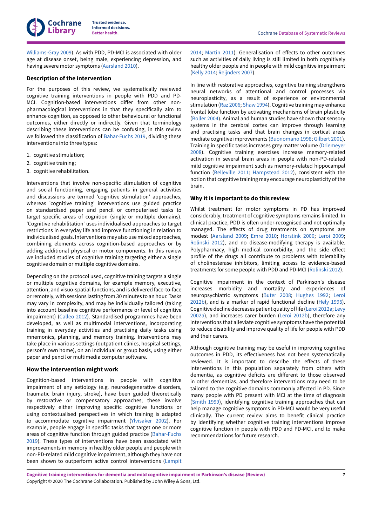[Williams-Gray](#page-33-7) 2009). As with PDD, PD-MCI is associated with older age at disease onset, being male, experiencing depression, and having severe motor symptoms ([Aarsland](#page-27-6) 2010).

# **Description of the intervention**

For the purposes of this review, we systematically reviewed cognitive training interventions in people with PDD and PD-MCI. Cognition-based interventions differ from other nonpharmacological interventions in that they specifically aim to enhance cognition, as opposed to other behavioural or functional outcomes, either directly or indirectly. Given that terminology describing these interventions can be confusing, in this review we followed the classification of [Bahar-Fuchs](#page-28-0) 2019, dividing these interventions into three types:

- 1. cognitive stimulation;
- 2. cognitive training;
- 3. cognitive rehabilitation.

Interventions that involve non-specific stimulation of cognitive and social functioning, engaging patients in general activities and discussions are termed 'cognitive stimulation' approaches, whereas 'cognitive training' interventions use guided practice on standardised paper and pencil or computerised tasks to target specific areas of cognition (single or multiple domains). 'Cognitive rehabilitation' uses individualised approaches to target restrictions in everyday life and improve functioning in relation to individualised goals. Interventions may also use mixed approaches, combining elements across cognition-based approaches or by adding additional physical or motor components. In this review we included studies of cognitive training targeting either a single cognitive domain or multiple cognitive domains.

Depending on the protocol used, cognitive training targets a single or multiple cognitive domains, for example memory, executive, attention, and visuo-spatial functions, and is delivered face-to-face or remotely, with sessions lasting from 30 minutes to an hour. Tasks may vary in complexity, and may be individually tailored (taking into account baseline cognitive performance or level of cognitive impairment) [\(Calleo 2012](#page-28-7)). Standardised programmes have been developed, as well as multimodal interventions, incorporating training in everyday activities and practising daily tasks using mnemonics, planning, and memory training. Interventions may take place in various settings (outpatient clinics, hospital settings, person's own home), on an individual or group basis, using either paper and pencil or multimedia computer software.

# **How the intervention might work**

Cognition-based interventions in people with cognitive impairment of any aetiology (e.g. neurodegenerative disorders, traumatic brain injury, stroke), have been guided theoretically by restorative or compensatory approaches; these involve respectively either improving specific cognitive functions or using contextualised perspectives in which training is adapted to accommodate cognitive impairment [\(Ylvisaker](#page-33-8) 2002). For example, people engage in specific tasks that target one or more areas of cognitive function through guided practice ([Bahar-Fuchs](#page-28-0) [2019](#page-28-0)). These types of interventions have been associated with improvements in memory in healthy older people and people with non-PD-related mild cognitive impairment, although they have not been shown to outperform active control interventions ([Lampit](#page-30-11)

[2014;](#page-30-11) [Martin 2011](#page-31-8)). Generalisation of effects to other outcomes such as activities of daily living is still limited in both cognitively healthy older people and in people with mild cognitive impairment [\(Kelly](#page-30-12) 2014; [Reijnders](#page-32-9) 2007).

In line with restorative approaches, cognitive training strengthens neural networks of attentional and control processes via neuroplasticity, as a result of experience or environmental stimulation (Raz [2006;](#page-32-10) [Shaw 1994\)](#page-32-11). Cognitive training may enhance frontal lobe function by activating mechanisms of brain plasticity [\(Boller 2004\)](#page-28-8). Animal and human studies have shown that sensory systems in the cerebral cortex can improve through learning and practising tasks and that brain changes in cortical areas mediate cognitive improvements ([Buonomano 1998;](#page-28-9) [Gilbert 2001\)](#page-29-9). Training in specific tasks increases grey matter volume ([Driemeyer](#page-29-10) [2008\)](#page-29-10). Cognitive training exercises increase memory-related activation in several brain areas in people with non-PD-related mild cognitive impairment such as memory-related hippocampal function ([Belleville](#page-28-10) 2011; [Hampstead](#page-30-13) 2012), consistent with the notion that cognitive training may encourage neuroplasticity of the brain.

## **Why it is important to do this review**

Whilst treatment for motor symptoms in PD has improved considerably, treatment of cognitive symptoms remains limited. In clinical practice, PDD is often under-recognised and not optimally managed. The effects of drug treatments on symptoms are modest ([Aarsland](#page-27-7) 2009; [Emre](#page-29-11) 2010; [Horstink](#page-30-14) 2006; [Leroi](#page-30-2) 2009; [Rolinski](#page-32-3) 2012), and no disease-modifying therapy is available. Polypharmacy, high medical comorbidity, and the side effect profile of the drugs all contribute to problems with tolerability of cholinesterase inhibitors, limiting access to evidence-based treatments for some people with PDD and PD-MCI [\(Rolinski](#page-32-3) 2012).

Cognitive impairment in the context of Parkinson's disease increases morbidity and mortality and experiences of neuropsychiatric symptoms ([Buter](#page-28-1) 2008; [Hughes 1992;](#page-30-0) [Leroi](#page-31-9) [2012b\)](#page-31-9), and is a marker of rapid functional decline ([Hely 1995\)](#page-30-15). Cognitive decline decreases patient quality of life (Leroi [2012a](#page-30-1); [Levy](#page-31-10) [2002a](#page-31-10)), and increases carer burden (Leroi [2012b\)](#page-31-9), therefore any interventions that alleviate cognitive symptoms have the potential to reduce disability and improve quality of life for people with PDD and their carers.

Although cognitive training may be useful in improving cognitive outcomes in PDD, its effectiveness has not been systematically reviewed. It is important to describe the effects of these interventions in this population separately from others with dementia, as cognitive deficits are different to those observed in other dementias, and therefore interventions may need to be tailored to the cognitive domains commonly affected in PD. Since many people with PD present with MCI at the time of diagnosis [\(Smith 1999](#page-32-12)), identifying cognitive training approaches that can help manage cognitive symptoms in PD-MCI would be very useful clinically. The current review aims to benefit clinical practice by identifying whether cognitive training interventions improve cognitive function in people with PDD and PD-MCI, and to make recommendations for future research.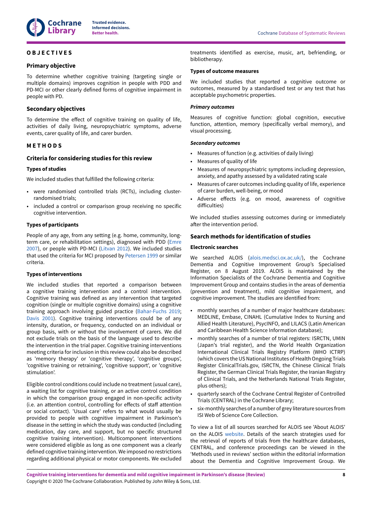

# <span id="page-9-0"></span>**O B J E C T I V E S**

# **Primary objective**

To determine whether cognitive training (targeting single or multiple domains) improves cognition in people with PDD and PD-MCI or other clearly defined forms of cognitive impairment in people with PD.

# **Secondary objectives**

To determine the effect of cognitive training on quality of life, activities of daily living, neuropsychiatric symptoms, adverse events, carer quality of life, and carer burden.

# <span id="page-9-1"></span>**M E T H O D S**

# **Criteria for considering studies for this review**

# **Types of studies**

We included studies that fulfilled the following criteria:

- were randomised controlled trials (RCTs), including clusterrandomised trials;
- included a control or comparison group receiving no specific cognitive intervention.

# **Types of participants**

People of any age, from any setting (e.g. home, community, longterm care, or rehabilitation settings), diagnosed with PDD ([Emre](#page-29-6) [2007](#page-29-6)), or people with PD-MCI [\(Litvan](#page-31-7) 2012). We included studies that used the criteria for MCI proposed by [Petersen](#page-32-13) 1999 or similar criteria.

# **Types of interventions**

We included studies that reported a comparison between a cognitive training intervention and a control intervention. Cognitive training was defined as any intervention that targeted cognition (single or multiple cognitive domains) using a cognitive training approach involving guided practice ([Bahar-Fuchs](#page-28-0) 2019; [Davis 2001](#page-29-12)). Cognitive training interventions could be of any intensity, duration, or frequency, conducted on an individual or group basis, with or without the involvement of carers. We did not exclude trials on the basis of the language used to describe the intervention in the trial paper. Cognitive training interventions meeting criteria for inclusion in this review could also be described as 'memory therapy' or 'cognitive therapy', 'cognitive groups', 'cognitive training or retraining', 'cognitive support', or 'cognitive stimulation'.

Eligible control conditions could include no treatment (usual care), a waiting list for cognitive training, or an active control condition in which the comparison group engaged in non-specific activity (i.e. an attention control, controlling for effects of staff attention or social contact). 'Usual care' refers to what would usually be provided to people with cognitive impairment in Parkinson's disease in the setting in which the study was conducted (including medication, day care, and support, but no specific structured cognitive training intervention). Multicomponent interventions were considered eligible as long as one component was a clearly defined cognitive training intervention. We imposed no restrictions regarding additional physical or motor components. We excluded

treatments identified as exercise, music, art, befriending, or bibliotherapy.

### **Types of outcome measures**

We included studies that reported a cognitive outcome or outcomes, measured by a standardised test or any test that has acceptable psychometric properties.

# *Primary outcomes*

Measures of cognitive function: global cognition, executive function, attention, memory (specifically verbal memory), and visual processing.

## *Secondary outcomes*

- Measures of function (e.g. activities of daily living)
- Measures of quality of life
- Measures of neuropsychiatric symptoms including depression, anxiety, and apathy assessed by a validated rating scale
- Measures of carer outcomes including quality of life, experience of carer burden, well-being, or mood
- Adverse effects (e.g. on mood, awareness of cognitive difficulties)

We included studies assessing outcomes during or immediately after the intervention period.

# **Search methods for identification of studies**

### **Electronic searches**

We searched ALOIS ([alois.medsci.ox.ac.uk/](https://alois.medsci.ox.ac.uk/)), the Cochrane Dementia and Cognitive Improvement Group's Specialised Register, on 8 August 2019. ALOIS is maintained by the Information Specialists of the Cochrane Dementia and Cognitive Improvement Group and contains studies in the areas of dementia (prevention and treatment), mild cognitive impairment, and cognitive improvement. The studies are identified from:

- monthly searches of a number of major healthcare databases: MEDLINE, Embase, CINAHL (Cumulative Index to Nursing and Allied Health Literature), PsycINFO, and LILACS (Latin American and Caribbean Health Science Information database);
- monthly searches of a number of trial registers: ISRCTN, UMIN (Japan's trial register), and the World Health Organization International Clinical Trials Registry Platform (WHO ICTRP) (which covers the US National Institutes of Health Ongoing Trials Register ClinicalTrials.gov, ISRCTN, the Chinese Clinical Trials Register, the German Clinical Trials Register, the Iranian Registry of Clinical Trials, and the Netherlands National Trials Register, plus others);
- quarterly search of the Cochrane Central Register of Controlled Trials (CENTRAL) in the Cochrane Library;
- six-monthly searches of a number of grey literature sources from ISI Web of Science Core Collection.

To view a list of all sources searched for ALOIS see 'About ALOIS' on the ALOIS [website](https://alois.medsci.ox.ac.uk/). Details of the search strategies used for the retrieval of reports of trials from the healthcare databases, CENTRAL, and conference proceedings can be viewed in the 'Methods used in reviews' section within the editorial information about the Dementia and Cognitive Improvement Group. We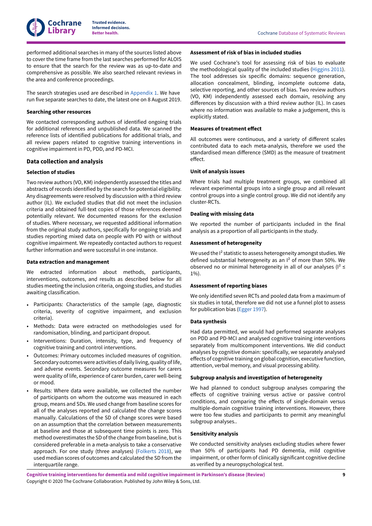performed additional searches in many of the sources listed above to cover the time frame from the last searches performed for ALOIS to ensure that the search for the review was as up-to-date and comprehensive as possible. We also searched relevant reviews in the area and conference proceedings.

The search strategies used are described in [Appendix 1](#page-57-3). We have run five separate searches to date, the latest one on 8 August 2019.

#### **Searching other resources**

We contacted corresponding authors of identified ongoing trials for additional references and unpublished data. We scanned the reference lists of identified publications for additional trials, and all review papers related to cognitive training interventions in cognitive impairment in PD, PDD, and PD-MCI.

# **Data collection and analysis**

# **Selection of studies**

Two review authors (VO, KM) independently assessed the titles and abstracts of records identified by the search for potential eligibility. Any disagreements were resolved by discussion with a third review author (IL). We excluded studies that did not meet the inclusion criteria and obtained full-text copies of those references deemed potentially relevant. We documented reasons for the exclusion of studies. Where necessary, we requested additional information from the original study authors, specifically for ongoing trials and studies reporting mixed data on people with PD with or without cognitive impairment. We repeatedly contacted authors to request further information and were successful in one instance.

#### **Data extraction and management**

We extracted information about methods, participants, interventions, outcomes, and results as described below for all studies meeting the inclusion criteria, ongoing studies, and studies awaiting classification.

- Participants: Characteristics of the sample (age, diagnostic criteria, severity of cognitive impairment, and exclusion criteria).
- Methods: Data were extracted on methodologies used for randomisation, blinding, and participant dropout.
- Interventions: Duration, intensity, type, and frequency of cognitive training and control interventions.
- Outcomes: Primary outcomes included measures of cognition. Secondary outcomes were activities of daily living, quality of life, and adverse events. Secondary outcome measures for carers were quality of life, experience of carer burden, carer well-being or mood.
- Results: Where data were available, we collected the number of participants on whom the outcome was measured in each group, means and SDs. We used change from baseline scores for all of the analyses reported and calculated the change scores manually. Calculations of the SD of change scores were based on an assumption that the correlation between measurements at baseline and those at subsequent time points is zero. This method overestimates the SD of the change from baseline, but is considered preferable in a meta-analysis to take a conservative approach. For one study (three analyses) ([Folkerts](#page-24-1) 2018), we used median scores of outcomes and calculated the SD from the interquartile range.

#### **Assessment of risk of bias in included studies**

We used Cochrane's tool for assessing risk of bias to evaluate the methodological quality of the included studies ([Higgins 2011\)](#page-30-16). The tool addresses six specific domains: sequence generation, allocation concealment, blinding, incomplete outcome data, selective reporting, and other sources of bias. Two review authors (VO, KM) independently assessed each domain, resolving any differences by discussion with a third review author (IL). In cases where no information was available to make a judgement, this is explicitly stated.

#### **Measures of treatment effect**

All outcomes were continuous, and a variety of different scales contributed data to each meta-analysis, therefore we used the standardised mean difference (SMD) as the measure of treatment effect.

#### **Unit of analysis issues**

Where trials had multiple treatment groups, we combined all relevant experimental groups into a single group and all relevant control groups into a single control group. We did not identify any cluster-RCTs.

#### **Dealing with missing data**

We reported the number of participants included in the final analysis as a proportion of all participants in the study.

#### **Assessment of heterogeneity**

We used the I<sup>2</sup> statistic to assess heterogeneity amongst studies. We defined substantial heterogeneity as an  $I<sup>2</sup>$  of more than 50%. We observed no or minimal heterogeneity in all of our analyses  $(I^2 \leq I^2 I^2)$ 1%).

### **Assessment of reporting biases**

We only identified seven RCTs and pooled data from a maximum of six studies in total, therefore we did not use a funnel plot to assess for publication bias ([Egger](#page-29-13) 1997).

#### **Data synthesis**

Had data permitted, we would had performed separate analyses on PDD and PD-MCI and analysed cognitive training interventions separately from multicomponent interventions. We did conduct analyses by cognitive domain: specifically, we separately analysed effects of cognitive training on global cognition, executive function, attention, verbal memory, and visual processing ability.

#### **Subgroup analysis and investigation of heterogeneity**

We had planned to conduct subgroup analyses comparing the effects of cognitive training versus active or passive control conditions, and comparing the effects of single-domain versus multiple-domain cognitive training interventions. However, there were too few studies and participants to permit any meaningful subgroup analyses..

#### **Sensitivity analysis**

We conducted sensitivity analyses excluding studies where fewer than 50% of participants had PD dementia, mild cognitive impairment, or other form of clinically significant cognitive decline as verified by a neuropsychological test.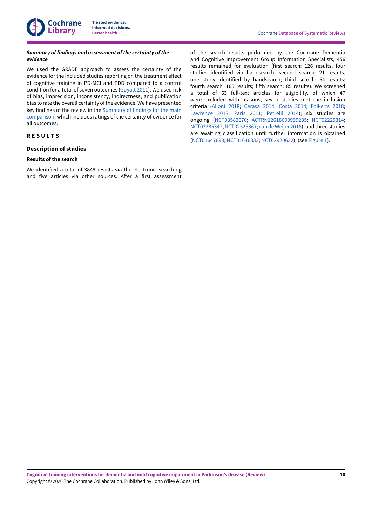

# *Summary of findings and assessment of the certainty of the evidence*

We used the GRADE approach to assess the certainty of the evidence for the included studies reporting on the treatment effect of cognitive training in PD-MCI and PDD compared to a control condition for a total of seven outcomes [\(Guyatt](#page-29-14) 2011). We used risk of bias, imprecision, inconsistency, indirectness, and publication bias to rate the overall certainty of the evidence. We have presented key findings of the review in the [Summary](#page-5-1) of findings for the main [comparison](#page-5-1), which includes ratings of the certainty of evidence for all outcomes.

# <span id="page-11-0"></span>**R E S U L T S**

# **Description of studies**

## **Results of the search**

We identified a total of 3849 results via the electronic searching and five articles via other sources. After a first assessment

of the search results performed by the Cochrane Dementia and Cognitive Improvement Group Information Specialists, 456 results remained for evaluation (first search: 126 results, four studies identified via handsearch; second search: 21 results, one study identified by handsearch; third search: 54 results; fourth search: 165 results; fifth search: 85 results). We screened a total of 63 full-text articles for eligibility, of which 47 were excluded with reasons; seven studies met the inclusion criteria [\(Alloni 2018;](#page-24-2) [Cerasa](#page-24-3) 2014; [Costa](#page-24-4) 2014; [Folkerts](#page-24-1) 2018; [Lawrence](#page-24-5) 2018; París [2011;](#page-24-6) [Petrelli](#page-24-7) 2014); six studies are ongoing ([NCT03582670](#page-27-8); [ACTRN12618000999235](#page-27-9); [NCT02225314;](#page-27-10) [NCT03285347](#page-27-11); [NCT02525367](#page-27-12); van [deWeijer](#page-27-13) 2016); and three studies are awaiting classification until further information is obtained [\(NCT01647698;](#page-26-0) [NCT01646333](#page-26-1); [NCT02920632\)](#page-27-14); (see [Figure](#page-12-0) 1).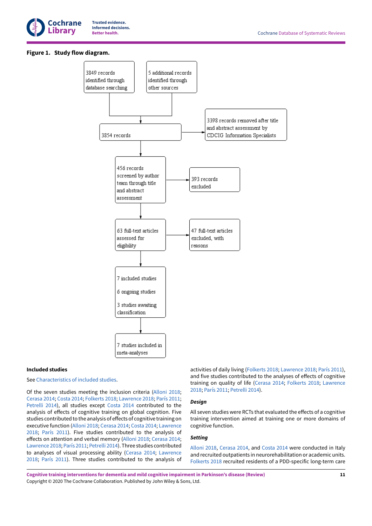

# <span id="page-12-0"></span>**Figure 1. Study flow diagram.**



#### **Included studies**

See [Characteristics](#page-33-9) of included studies.

Of the seven studies meeting the inclusion criteria ([Alloni 2018](#page-24-2); [Cerasa](#page-24-3) 2014; [Costa](#page-24-4) 2014; [Folkerts](#page-24-1) 2018; [Lawrence](#page-24-5) 2018; [París](#page-24-6) 2011; [Petrelli](#page-24-7) 2014), all studies except [Costa](#page-24-4) 2014 contributed to the analysis of effects of cognitive training on global cognition. Five studies contributed to the analysis of effects of cognitive training on executive function ([Alloni 2018;](#page-24-2) [Cerasa](#page-24-3) 2014; [Costa](#page-24-4) 2014; [Lawrence](#page-24-5) [2018](#page-24-5); [París](#page-24-6) 2011). Five studies contributed to the analysis of effects on attention and verbal memory [\(Alloni 2018;](#page-24-2) [Cerasa](#page-24-3) 2014; [Lawrence](#page-24-5) 2018; [París](#page-24-6) 2011; [Petrelli](#page-24-7) 2014). Three studies contributed to analyses of visual processing ability [\(Cerasa](#page-24-3) 2014; [Lawrence](#page-24-5) [2018](#page-24-5); París [2011\)](#page-24-6). Three studies contributed to the analysis of

activities of daily living [\(Folkerts](#page-24-1) 2018; [Lawrence](#page-24-5) 2018; París [2011\)](#page-24-6), and five studies contributed to the analyses of effects of cognitive training on quality of life ([Cerasa](#page-24-3) 2014; [Folkerts](#page-24-1) 2018; [Lawrence](#page-24-5) [2018;](#page-24-5) París [2011;](#page-24-6) [Petrelli](#page-24-7) 2014).

#### *Design*

All seven studies were RCTs that evaluated the effects of a cognitive training intervention aimed at training one or more domains of cognitive function.

### *Setting*

[Alloni 2018,](#page-24-2) [Cerasa](#page-24-3) 2014, and [Costa](#page-24-4) 2014 were conducted in Italy and recruited outpatients in neurorehabilitation or academic units. [Folkerts](#page-24-1) 2018 recruited residents of a PDD-specific long-term care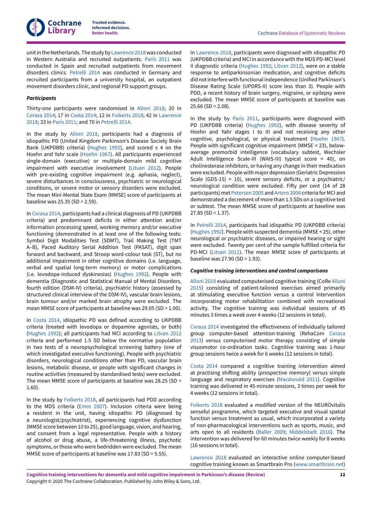**Cochrane Library**

**Trusted evidence. Informed decisions.**

unit in the Netherlands. The study by [Lawrence](#page-24-5) 2018 was conducted in Western Australia and recruited outpatients. [París](#page-24-6) 2011 was conducted in Spain and recruited outpatients from movement disorders clinics. [Petrelli](#page-24-7) 2014 was conducted in Germany and recruited participants from a university hospital, an outpatient movement disorders clinic, and regional PD support groups.

#### *Participants*

Thirty-one participants were randomised in [Alloni 2018](#page-24-2); 20 in [Cerasa](#page-24-3) 2014; 17 in [Costa](#page-24-4) 2014; 12 in [Folkerts](#page-24-1) 2018; 42 in [Lawrence](#page-24-5) [2018](#page-24-5); 33 in [París](#page-24-6) 2011; and 70 in [Petrelli](#page-24-7) 2014.

In the study by [Alloni 2018](#page-24-2), participants had a diagnosis of idiopathic PD (United Kingdom Parkinson's Disease Society Brain Bank (UKPDBB) criteria) ([Hughes 1992\)](#page-30-0), and scored  $\leq$  4 on the Hoehn and Yahr scale [\(Hoehn 1967\)](#page-30-17). All participants experienced single-domain (executive) or multiple-domain mild cognitive impairment with executive involvement ([Litvan](#page-31-7) 2012). People with pre-existing cognitive impairment (e.g. aphasia, neglect), severe disturbances in consciousness, psychiatric or neurological conditions, or severe motor or sensory disorders were excluded. The mean Mini-Mental State Exam (MMSE) score of participants at baseline was 25.35 (SD = 2.59).

In [Cerasa](#page-24-3) 2014, participants had a clinical diagnosis of PD (UKPDBB criteria) and predominant deficits in either attention and/or information processing speed, working memory and/or executive functioning (demonstrated in at least one of the following tests: Symbol Digit Modalities Test (SDMT), Trail Making Test (TMT A–B), Paced Auditory Serial Addition Test (PASAT), digit span forward and backward, and Stroop word-colour task (ST), but no additional impairment in other cognitive domains (i.e. language, verbal and spatial long-term memory) or motor complications (i.e. levodopa-induced dyskinesias) [\(Hughes 1992](#page-30-0)). People with dementia (Diagnostic and Statistical Manual of Mental Disorders, fourth edition (DSM-IV) criteria), psychiatric history (assessed by structured clinical interview of the DSM-IV), vascular brain lesions, brain tumour and/or marked brain atrophy were excluded. The mean MMSE score of participants at baseline was 29.05 (SD = 1.00).

In [Costa](#page-24-4) 2014, idiopathic PD was defined according to UKPDBB criteria (treated with levodopa or dopamine agonists, or both) [\(Hughes 1992](#page-30-0)); all participants had MCI according to [Litvan](#page-31-7) 2012 criteria and performed 1.5 SD below the normative population in two tests of a neuropsychological screening battery (one of which investigated executive functioning). People with psychiatric disorders, neurological conditions other than PD, vascular brain lesions, metabolic disease, or people with significant changes in routine activities (measured by standardised tests) were excluded. The mean MMSE score of participants at baseline was 28.25 (SD = 1.60).

In the study by [Folkerts](#page-24-1) 2018, all participants had PDD according to the MDS criteria [\(Emre](#page-29-6) 2007). Inclusion criteria were being a resident in the unit, having idiopathic PD (diagnosed by a neurologist/psychiatrist), experiencing cognitive dysfunction (MMSE score between 10 to 25), good language, vision, and hearing, and consent from a legal representative. People with a history of alcohol or drug abuse, a life-threatening illness, psychotic symptoms, or those who were bedridden were excluded. The mean MMSE score of participants at baseline was 17.83 (SD = 5.55).

In [Lawrence](#page-24-5) 2018, participants were diagnosed with idiopathic PD (UKPDBB criteria) and MCI in accordance with the MDS PD-MCI level II diagnostic criteria [\(Hughes 1992](#page-30-0); [Litvan](#page-31-7) 2012), were on a stable response to antiparkinsonian medication, and cognitive deficits did notinterferewith functional independence (Unified Parkinson's Disease Rating Scale (UPDRS-II) score less than 3). People with PDD, a recent history of brain surgery, migraine, or epilepsy were excluded. The mean MMSE score of participants at baseline was  $25.66$  (SD = 2.08).

In the study by [París](#page-24-6) 2011, participants were diagnosed with PD (UKPDBB criteria) [\(Hughes 1992](#page-30-0)), with disease severity of Hoehn and Yahr stages I to III and not receiving any other cognitive, psychological, or physical treatment ([Hoehn 1967\)](#page-30-17). People with significant cognitive impairment (MMSE < 23), belowaverage premorbid intelligence (vocabulary subtest, Wechsler Adult Intelligence Scale-III (WAIS-III) typical score < 40), on cholinesterase inhibitors, or having any change in their medication were excluded. People with major depression (Geriatric Depression Scale (GDS-15) > 10), severe sensory deficits, or a psychiatric/ neurological condition were excluded. Fifty per cent (14 of 28 participants) met [Petersen](#page-32-14) 2005 and [Artero](#page-28-11) 2006 criteria for MCI and demonstrated a decrement of more than 1.5 SDs on a cognitive test or subtest. The mean MMSE score of participants at baseline was  $27.85$  (SD = 1.37).

In [Petrelli](#page-24-7) 2014, participants had idiopathic PD (UKPDBB criteria) [\(Hughes 1992](#page-30-0)). People with suspected dementia (MMSE < 25), other neurological or psychiatric diseases, or impaired hearing or sight were excluded. Twenty per cent of the sample fulfilled criteria for PD-MCI ([Litvan](#page-31-11) 2011). The mean MMSE score of participants at baseline was 27.90 (SD = 1.93).

#### *Cognitive training interventions and control comparisons*

[Alloni 2018](#page-24-2) evaluated computerised cognitive training (CoRe [Alloni](#page-27-15) [2015\)](#page-27-15) consisting of patient-tailored exercises aimed primarily at stimulating executive function versus a control intervention incorporating motor rehabilitation combined with recreational activity. The cognitive training was individual sessions of 45 minutes 3 times a week over 4 weeks (12 sessions in total).

[Cerasa](#page-24-3) 2014 investigated the effectiveness of individually tailored group computer-based attention-training (RehaCom [Cerasa](#page-28-12) [2013\)](#page-28-12) versus computerised motor therapy consisting of simple visuomotor co-ordination tasks. Cognitive training was 1-hour group sessions twice a week for 6 weeks (12 sessions in total).

[Costa](#page-24-4) 2014 compared a cognitive training intervention aimed at practising shifting ability (prospective memory) versus simple language and respiratory exercises ([Macdonald](#page-31-12) 2011). Cognitive training was delivered in 45-minute sessions, 3 times per week for 4 weeks (12 sessions in total).

[Folkerts](#page-24-1) 2018 evaluated a modified version of the NEUROvitalis senseful programme, which targeted executive and visual spatial function versus treatment as usual, which incorporated a variety of non-pharmacological interventions such as sports, music, and arts open to all residents ([Baller 2009;](#page-28-13) [Middelstadt](#page-31-13) 2016). The intervention was delivered for 60 minutes twice weekly for 8 weeks (16 sessions in total).

[Lawrence](#page-24-5) 2018 evaluated an interactive online computer-based cognitive training known as Smartbrain Pro ([www.smartbrain.net](http://www.smartbrain.net))

**Cognitive training interventions for dementia and mild cognitive impairment in Parkinson's disease (Review)** Copyright © 2020 The Cochrane Collaboration. Published by John Wiley & Sons, Ltd.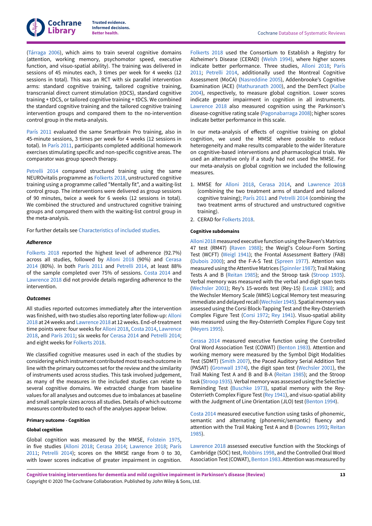

[\(Tárraga](#page-33-10) 2006), which aims to train several cognitive domains (attention, working memory, psychomotor speed, executive function, and visuo-spatial ability). The training was delivered in sessions of 45 minutes each, 3 times per week for 4 weeks (12 sessions in total). This was an RCT with six parallel intervention arms: standard cognitive training, tailored cognitive training, transcranial direct current stimulation (tDCS), standard cognitive training + tDCS, or tailored cognitive training + tDCS. We combined the standard cognitive training and the tailored cognitive training intervention groups and compared them to the no-intervention control group in the meta-analysis.

[París](#page-24-6) 2011 evaluated the same Smartbrain Pro training, also in 45-minute sessions, 3 times per week for 4 weeks (12 sessions in total). In [París](#page-24-6) 2011, participants completed additional homework exercises stimulating specific and non-specific cognitive areas. The comparator was group speech therapy.

[Petrelli](#page-24-7) 2014 compared structured training using the same NEUROvitalis programme as [Folkerts](#page-24-1) 2018, unstructured cognitive training using a programme called "Mentally fit", and a waiting-list control group. The interventions were delivered as group sessions of 90 minutes, twice a week for 6 weeks (12 sessions in total). We combined the structured and unstructured cognitive training groups and compared them with the waiting-list control group in the meta-analysis.

For further details see [Characteristics](#page-33-9) of included studies.

#### *Adherence*

[Folkerts](#page-24-1) 2018 reported the highest level of adherence (92.7%) across all studies, followed by [Alloni 2018](#page-24-2) (90%) and [Cerasa](#page-24-3) [2014](#page-24-3) (80%). In both París [2011](#page-24-6) and [Petrelli](#page-24-7) 2014, at least 88% of the sample completed over 75% of sessions. [Costa](#page-24-4) 2014 and [Lawrence](#page-24-5) 2018 did not provide details regarding adherence to the intervention.

#### *Outcomes*

All studies reported outcomes immediately after the intervention was finished, with two studies also reporting later follow-up: [Alloni](#page-24-2) [2018](#page-24-2) at 24 weeks and [Lawrence](#page-24-5) 2018 at 12 weeks. End-of-treatment time points were: four weeks for [Alloni 2018,](#page-24-2) [Costa](#page-24-4) 2014, [Lawrence](#page-24-5) [2018](#page-24-5), and París [2011;](#page-24-6) six weeks for [Cerasa](#page-24-3) 2014 and [Petrelli](#page-24-7) 2014; and eight weeks for [Folkerts](#page-24-1) 2018.

We classified cognitive measures used in each of the studies by consideringwhich instrument contributed mostto each outcome in line with the primary outcomes set forthe review and the similarity of instruments used across studies. This task involved judgement, as many of the measures in the included studies can relate to several cognitive domains. We extracted change from baseline values for all analyses and outcomes due to imbalances at baseline and small sample sizes across all studies. Details of which outcome measures contributed to each of the analyses appear below.

#### **Primary outcome - Cognition**

#### **Global cognition**

Global cognition was measured by the MMSE, [Folstein](#page-29-15) 1975, in five studies ([Alloni 2018](#page-24-2); [Cerasa](#page-24-3) 2014; [Lawrence](#page-24-5) 2018; [París](#page-24-6) [2011](#page-24-6); [Petrelli](#page-24-7) 2014); scores on the MMSE range from 0 to 30, with lower scores indicative of greater impairment in cognition.

[Folkerts](#page-24-1) 2018 used the Consortium to Establish a Registry for Alzheimer's Disease (CERAD) [\(Welsh 1994](#page-33-11)), where higher scores indicate better performance. Three studies, [Alloni 2018](#page-24-2); [París](#page-24-6) [2011;](#page-24-6) [Petrelli](#page-24-7) 2014, additionally used the Montreal Cognitive Assessment (MoCA) [\(Nasreddine](#page-31-14) 2005), Addenbrooke's Cognitive Examination (ACE) [\(Mathuranath](#page-31-15) 2000), and the DemTect [\(Kalbe](#page-30-18) [2004\)](#page-30-18), respectively, to measure global cognition. Lower scores indicate greater impairment in cognition in all instruments. [Lawrence](#page-24-5) 2018 also measured cognition using the Parkinson's disease-cognitive rating scale ([Pagonabarraga](#page-32-15) 2008); higher scores indicate better performance in this scale.

In our meta-analysis of effects of cognitive training on global cognition, we used the MMSE where possible to reduce heterogeneity and make results comparable to the wider literature on cognitive-based interventions and pharmacological trials. We used an alternative only if a study had not used the MMSE. For our meta-analysis on global cognition we included the following measures.

- 1. MMSE for [Alloni 2018,](#page-24-2) [Cerasa](#page-24-3) 2014, and [Lawrence](#page-24-5) 2018 (combining the two treatment arms of standard and tailored cognitive training); [París](#page-24-6) 2011 and [Petrelli](#page-24-7) 2014 (combining the two treatment arms of structured and unstructured cognitive training).
- 2. CERAD for [Folkerts](#page-24-1) 2018.

#### **Cognitive subdomains**

[Alloni 2018](#page-24-2) measured executive function using the Raven's Matrices 47 test (RM47) [\(Raven](#page-32-16) 1988); the Weigl's Colour-Form Sorting Test (WCFT) ([Weigl 1941\)](#page-33-12); the Frontal Assessment Battery (FAB) [\(Dubois 2000](#page-29-16)); and the F-A-S Test ([Spreen](#page-33-13) 1977). Attention was measured using the Attentive Matrices [\(Spinnler 1987](#page-33-14)); Trail Making Tests A and B [\(Reitan](#page-32-17) 1985); and the Stroop task [\(Stroop](#page-33-15) 1935). Verbal memory was measured with the verbal and digit span tests [\(Wechsler 2001\)](#page-33-16); Rey's 15-words test (Rey-15) [\(Lezak](#page-31-16) 1983); and the Wechsler Memory Scale (WMS) Logical Memory test measuring immediate and delayed recall [\(Wechsler 1945](#page-33-17)). Spatial memory was assessed using the Corsi Block-Tapping Test and the Rey-Osterrieth Complex Figure Test [\(Corsi](#page-28-14) 1972; Rey [1941](#page-32-18)). Visuo-spatial ability was measured using the Rey-Osterrieth Complex Figure Copy test [\(Meyers](#page-31-17) 1995).

[Cerasa](#page-24-3) 2014 measured executive function using the Controlled Oral Word Association Test (COWAT) [\(Benton](#page-28-15) 1983). Attention and working memory were measured by the Symbol Digit Modalities Test (SDMT) ([Smith 2007](#page-33-18)), the Paced Auditory Serial Addition Test (PASAT) [\(Gronwall](#page-29-17) 1974), the digit span test ([Wechsler 2001\)](#page-33-16), the Trail Making Test A and B and B-A ([Reitan](#page-32-17) 1985); and the Stroop task (Stroop 1935). Verbal memory was assessed using the Selective Reminding Test ([Buschke](#page-28-16) 1973), spatial memory with the Rey-Osterrieth Complex Figure Test (Rey [1941\)](#page-32-18), and visuo-spatial ability with the Judgment of Line Orientation (JLO) test [\(Benton](#page-28-17) 1994).

[Costa](#page-24-4) 2014 measured executive function using tasks of phonemic, semantic and alternating (phonemic/semantic) fluency and attention with the Trail Making Test A and B [\(Downes](#page-29-18) 1993; [Reitan](#page-32-17) [1985\)](#page-32-17).

[Lawrence](#page-24-5) 2018 assessed executive function with the Stockings of Cambridge (SOC) test, [Robbins](#page-32-19) 1998, and the Controlled Oral Word Association Test(COWAT), [Benton](#page-28-15) 1983. Attention was measured by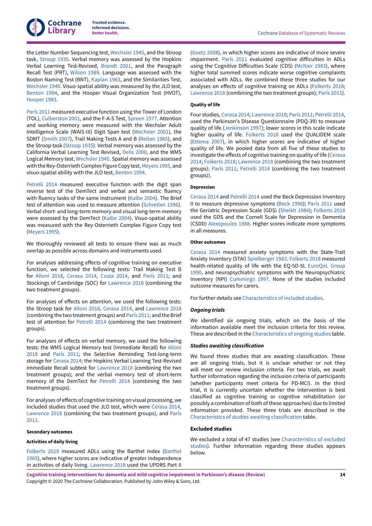

the Letter Number Sequencing test, [Wechsler 1945,](#page-33-17) and the Stroop task, [Stroop](#page-33-15) 1935. Verbal memory was assessed by the Hopkins Verbal Learning Test-Revised, [Brandt](#page-28-18) 2001, and the Paragraph Recall Test (PRT), [Wilson 1989.](#page-33-19) Language was assessed with the Boston Naming Test (BNT), [Kaplan 1983,](#page-30-19) and the Similarities Test, [Wechsler 1945.](#page-33-17) Visuo-spatial ability was measured by the JLO test, [Benton](#page-28-17) 1994, and the Hooper Visual Organization Test (HVOT), [Hooper 1983](#page-30-20).

[París](#page-24-6) 2011 measured executive function using the Tower of London (TOL), [Culberston](#page-28-19) 2001, and the F-A-S Test, [Spreen](#page-33-13) 1977. Attention and working memory were measured with the Wechsler Adult Intelligence Scale (WAIS-III) Digit Span test [\(Wechsler 2001\)](#page-33-16), the SDMT [\(Smith 2007](#page-33-18)), Trail Making Tests A and B [\(Reitan](#page-32-17) 1985), and the Stroop task [\(Stroop](#page-33-15) 1935). Verbal memory was assessed by the California Verbal Learning Test Revised, [Delis 2000,](#page-29-19) and the WMS Logical Memory test, [Wechsler 1945](#page-33-17). Spatial memory was assessed with the Rey-Osterrieth Complex Figure Copy test, [Meyers](#page-31-17) 1995, and visuo-spatial ability with the JLO test, [Benton](#page-28-17) 1994.

[Petrelli](#page-24-7) 2014 measured executive function with the digit span reverse test of the DemTect and verbal and semantic fluency with fluency tasks of the same instrument [\(Kalbe 2004\)](#page-30-18). The Brief test of attention was used to measure attention [\(Schretlen](#page-32-20) 1996). Verbal short- and long-term memory and visual long-term memory were assessed by the DemTect ([Kalbe 2004\)](#page-30-18). Visuo-spatial ability was measured with the Rey-Osterrieth Complex Figure Copy test [\(Meyers](#page-31-17) 1995).

We thoroughly reviewed all tests to ensure there was as much overlap as possible across domains and instruments used.

For analyses addressing effects of cognitive training on executive function, we selected the following tests: Trail Making Test B for [Alloni 2018,](#page-24-2) [Cerasa](#page-24-3) 2014, [Costa](#page-24-4) 2014, and [París](#page-24-6) 2011; and Stockings of Cambridge (SOC) for [Lawrence](#page-24-5) 2018 (combining the two treatment groups).

For analyses of effects on attention, we used the following tests: the Stroop task for [Alloni 2018](#page-24-2), [Cerasa](#page-24-3) 2014, and [Lawrence](#page-24-5) 2018 (combining the two treatment groups) and [París](#page-24-6) 2011; and the Brief test of attention for [Petrelli](#page-24-7) 2014 (combining the two treatment groups).

For analyses of effects on verbal memory, we used the following tests: the WMS Logical Memory test (Immediate Recall) for [Alloni](#page-24-2) [2018](#page-24-2) and [París](#page-24-6) 2011; the Selective Reminding Test-long-term storage for [Cerasa](#page-24-3) 2014; the Hopkins Verbal Learning Test-Revised Immediate Recall subtest for [Lawrence](#page-24-5) 2018 (combining the two treatment groups); and the verbal memory test of short-term memory of the DemTect for [Petrelli](#page-24-7) 2014 (combining the two treatment groups).

For analyses of effects of cognitive training on visual processing, we included studies that used the JLO test, which were [Cerasa](#page-24-3) 2014, [Lawrence](#page-24-5) 2018 (combining the two treatment groups), and [París](#page-24-6) [2011](#page-24-6).

#### **Secondary outcomes**

#### **Activities of daily living**

[Folkerts](#page-24-1) 2018 measured ADLs using the Barthel Index ([Barthel](#page-28-20) [1965](#page-28-20)), where higher scores are indicative of greater independence in activities of daily living. [Lawrence](#page-24-5) 2018 used the UPDRS Part II [\(Goetz](#page-29-20) 2008), in which higher scores are indicative of more severe impairment. [París](#page-24-6) 2011 evaluated cognitive difficulties in ADLs using the Cognitive Difficulties Scale (CDS) [\(McNair 1983\)](#page-31-18), where higher total summed scores indicate worse cognitive complaints associated with ADLs. We combined these three studies for our analyses on effects of cognitive training on ADLs [\(Folkerts](#page-24-1) 2018; [Lawrence](#page-24-5) 2018 (combining the two treatment groups); [París](#page-24-6) 2011).

### **Quality of life**

Four studies, [Cerasa](#page-24-3) 2014; [Lawrence](#page-24-5) 2018; París [2011;](#page-24-6) [Petrelli](#page-24-7) 2014, used the Parkinson's Disease Questionnaire (PDQ-39) to measure quality of life ([Jenkinson 1997\)](#page-30-21); lower scores in this scale indicate higher quality of life. [Folkerts](#page-24-1) 2018 used the QUALIDEM scale [\(Ettema](#page-29-21) 2007), in which higher scores are indicative of higher quality of life. We pooled data from all five of these studies to investigate the effects of cognitive training on quality of life [\(Cerasa](#page-24-3) [2014;](#page-24-3) [Folkerts](#page-24-1) 2018; [Lawrence](#page-24-5) 2018 (combining the two treatment groups); [París](#page-24-6) 2011; [Petrelli](#page-24-7) 2014 (combining the two treatment groups)).

### **Depression**

[Cerasa](#page-24-3) 2014 and [Petrelli](#page-24-7) 2014 used the Beck Depression Inventory II to measure depressive symptoms [\(Beck 1996](#page-28-21)); [París](#page-24-6) 2011 used the Geriatric Depression Scale (GDS) ([Sheikh 1986\)](#page-32-21); [Folkerts](#page-24-1) 2018 used the GDS and the Cornell Scale for Depression in Dementia (CSDD) [Alexopoulos](#page-27-16) 1988. Higher scores indicate more symptoms in all measures.

#### **Other outcomes**

[Cerasa](#page-24-3) 2014 measured anxiety symptoms with the State-Trait Anxiety Inventory (STAI) [Spielberger](#page-33-20) 1983. [Folkerts](#page-24-1) 2018 measured health-related quality of life with the EQ-5D-5L [EuroQoL](#page-29-22) Group [1990,](#page-29-22) and neuropsychiatric symptoms with the Neuropsychiatric Inventory (NPI) [Cummings](#page-28-22) 1997. None of the studies included outcome measures for carers.

For further details see [Characteristics](#page-33-9) of included studies.

#### *Ongoing trials*

We identified six ongoing trials, which on the basis of the information available meet the inclusion criteria for this review. These are described in the [Characteristics](#page-47-0) of ongoing studies table.

#### *Studies awaiting classification*

We found three studies that are awaiting classification. These are all ongoing trials, but it is unclear whether or not they will meet our review inclusion criteria. For two trials, we await further information regarding the inclusion criteria of participants (whether participants meet criteria for PD-MCI). In the third trial, it is currently uncertain whether the intervention is best classified as cognitive training or cognitive rehabilitation (or possibly a combination of both of these approaches) due to limited information provided. These three trials are described in the [Characteristics](#page-46-0) of studies awaiting classification table.

#### **Excluded studies**

We excluded a total of 47 studies (see [Characteristics](#page-43-0) of excluded [studies\)](#page-43-0). Further information regarding these studies appears below.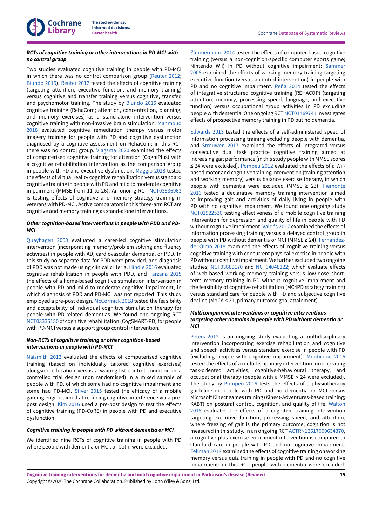

# *RCTs of cognitive training or other interventions in PD-MCI with no control group*

Two studies evaluated cognitive training in people with PD-MCI in which there was no control comparison group ([Reuter](#page-26-2) 2012; [Biundo 2015](#page-24-8)). [Reuter](#page-26-2) 2012 tested the effects of cognitive training (targeting attention, executive function, and memory training) versus cognitive and transfer training versus cognitive, transfer, and psychomotor training. The study by [Biundo 2015](#page-24-8) evaluated cognitive training (RehaCom; attention, concentration, planning, and memory exercises) as a stand-alone intervention versus cognitive training with non-invasive brain stimulation. [Mahmoud](#page-25-0) [2018](#page-25-0) evaluated cognitive remediation therapy versus motor imagery training for people with PD and cognitive dysfunction diagnosed by a cognitive assessment on RehaCom; in this RCT there was no control group. [Vlagsma 2020](#page-26-3) examined the effects of computerised cognitive training for attention (CogniPlus) with a cognitive rehabilitation intervention as the comparison group in people with PD and executive dysfunction. [Maggio 2018](#page-25-1) tested the effects of virtual reality cognitive rehabilitation versus standard cognitive training in people with PDand mild to moderate cognitive impairment (MMSE from 11 to 26). An onoing RCT [NCT03836963](#page-25-2) is testing effects of cognitive and memory strategy training in veterans with PD-MCI. Active comparators in this three-arm RCT are cognitive and memory training as stand-alone interventions.

# *Other cognition-based interventions in people with PDD and PD-MCI*

[Quayhagen](#page-26-4) 2000 evaluated a carer-led cognitive stimulation intervention (incorporating memory/problem solving and fluency activities) in people with AD, cardiovascular dementia, or PDD. In this study no separate data for PDD were provided, and diagnosis of PDD was not made using clinical criteria. [Hindle 2016](#page-25-3) evaluated cognitive rehabilitation in people with PDD, and [Farzana](#page-24-9) 2015 the effects of a home-based cognitive stimulation intervention in people with PD and mild to moderate cognitive impairment, in which diagnosis of PDD and PD-MCI was not reported. This study employed a pre-post design. [McCormick 2018](#page-25-4) tested the feasibility and acceptability of individual cognitive stimulation therapy for people with PD-related dementias. We found one ongoing RCT [NCT03335150](#page-25-5) of cognitive rehabilitation (CogSMART-PD) for people with PD-MCI versus a support group control intervention.

# *Non-RCTs of cognitive training or other cognition-based interventions in people with PD-MCI*

[Naismith 2013](#page-25-6) evaluated the effects of computerised cognitive training (based on individually tailored cognitive exercises) alongside education versus a waiting-list control condition in a controlled trial design (non randomised) in a mixed sample of people with PD, of which some had no cognitive impairment and some had PD-MCI. [Stiver](#page-26-5) 2015 tested the efficacy of a mobile gaming engine aimed at reducing cognitive interference via a pre-post design. [Kim 2016](#page-25-7) used a pre-post design to test the effects of cognitive training (PD-CoRE) in people with PD and executive dysfunction.

# *Cognitive training in people with PD without dementia or MCI*

We identified nine RCTs of cognitive training in people with PD where people with dementia or MCI, or both, were excluded.

[Zimmermann 2014](#page-26-6) tested the effects of computer-based cognitive training (versus a non-cognition-specific computer sports game; Nintendo Wii) in PD without cognitive impairment; [Sammer](#page-26-7) [2006](#page-26-7) examined the effects of working memory training targeting executive function (versus a control intervention) in people with PD and no cognitive impairment. [Peña](#page-26-8) 2014 tested the effects of integrative structured cognitive training (REHACOP) (targeting attention, memory, processing speed, language, and executive function) versus occupational group activities in PD excluding people with dementia. One ongoing RCT [NCT01469741](#page-25-8) investigates effects of prospective memory training in PD but no dementia.

[Edwards](#page-24-10) 2013 tested the effects of a self-administered speed of information processing training excluding people with dementia, and [Strouwen](#page-26-9) 2017 examined the effects of integrated versus consecutive dual task practice cognitive training aimed at increasing gait performance (in this study people with MMSE scores  $\leq$  24 were excluded). [Pompeu](#page-26-10) 2012 evaluated the effects of a Wiibased motor and cognitive training intervention (training attention and working memory) versus balance exercise therapy, in which people with dementia were excluded (MMSE  $\geq$  23). [Piemonte](#page-26-11) [2016](#page-26-11) tested a declarative memory training intervention aimed at improving gait and activities of daily living in people with PD with no cognitive impairment. We found one ongoing study [NCT02922530](#page-25-9) testing effectiveness of a mobile cognitive training intervention for depression and quality of life in people with PD without cognitive impairment. [Valdés](#page-26-12) 2017 examined the effects of information processing training versus a delayed control group in people with PD without dementia or MCI (MMSE ≥ 24). [Fernandez](#page-25-10)[del-Olmo 2018](#page-25-10) examined the effects of cognitive training versus cognitive training with concurrent physical exercise in people with PDwithout cognitive impairment.We further excluded two ongoing studies; [NCT03680170](#page-25-11) and [NCT04048122](#page-26-13); which evaluate effects of web-based working memory training versus low-dose shortterm memory training in PD without cognitive impairment and the feasibility of cognitive rehabilitation (MC4PD strategy training) versus standard care for people with PD and subjective cognitive decline (MoCA < 21; primary outcome goal attainment).

# *Multicomponent interventions or cognitive interventions targeting other domains in people with PD without dementia or MCI*

[Peters](#page-26-14) 2012 is an ongoing study evaluating a multidisciplinary intervention incorporating exercise rehabilitation and cognitive and speech activities versus standard exercise in people with PD (excluding people with cognitive impairment). [Monticone](#page-25-12) 2015 tested the effects of a multidisciplinary intervention incorporating task-oriented activities, cognitive-behavioural therapy, and occupational therapy (people with a MMSE < 24 were excluded). The study by [Pompeu](#page-26-15) 2016 tests the effects of a physiotherapy guideline in people with PD and no dementia or MCI versus Microsoft Kinect games training (Kinect-Adventures-based training; KABT) on postural control, cognition, and quality of life. [Walton](#page-26-16)  $2016$  evaluates the effects of a cognitive training intervention targeting executive function, processing speed, and attention, where freezing of gait is the primary outcome; cognition is not measured in this study. In an ongoing RCT [ACTRN12617000634370,](#page-24-11) a cognitive-plus-exercise-enrichment intervention is compared to standard care in people with PD and no cognitive impairment. [Fellman](#page-24-12) 2018 examined the effects of cognitive training on working memory versus quiz training in people with PD and no cognitive impairment; in this RCT people with dementia were excluded.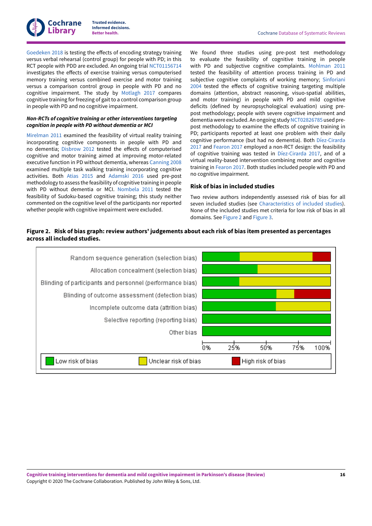

[Goedeken](#page-25-13) 2018 is testing the effects of encoding strategy training versus verbal rehearsal (control group) for people with PD; in this RCT people with PDD are excluded. An ongoing trial [NCT01156714](#page-25-14) investigates the effects of exercise training versus computerised memory training versus combined exercise and motor training versus a comparison control group in people with PD and no cognitive impairment. The study by [Motlagh](#page-25-15) 2017 compares cognitive training for freezing of gait to a control comparison group in people with PD and no cognitive impairment.

# *Non-RCTs of cognitive training or other interventions targeting cognition in people with PD without dementia or MCI*

[Mirelman](#page-25-16) 2011 examined the feasibility of virtual reality training incorporating cognitive components in people with PD and no dementia: [Disbrow](#page-24-13) 2012 tested the effects of computerised cognitive and motor training aimed at improving motor-related executive function in PD without dementia, whereas [Canning 2008](#page-24-14) examined multiple task walking training incorporating cognitive activities. Both [Atias](#page-24-15) 2015 and [Adamski 2016](#page-24-16) used pre-post methodology to assess the feasibility of cognitive training in people with PD without dementia or MCI. [Nombela 2011](#page-26-17) tested the feasibility of Sudoku-based cognitive training; this study neither commented on the cognitive level of the participants nor reported whether people with cognitive impairment were excluded.

We found three studies using pre-post test methodology to evaluate the feasibility of cognitive training in people with PD and subjective cognitive complaints. [Mohlman 2011](#page-25-17) tested the feasibility of attention process training in PD and subjective cognitive complaints of working memory; [Sinforiani](#page-26-18)  $2004$  tested the effects of cognitive training targeting multiple domains (attention, abstract reasoning, visuo-spatial abilities, and motor training) in people with PD and mild cognitive deficits (defined by neuropsychological evaluation) using prepost methodology; people with severe cognitive impairment and dementia were excluded. An ongoing study [NCT02826785](#page-25-18) used prepost methodology to examine the effects of cognitive training in PD; participants reported at least one problem with their daily cognitive performance (but had no dementia). Both [Díez-Cirarda](#page-24-17) [2017](#page-24-17) and [Fearon](#page-24-18) 2017 employed a non-RCT design: the feasibility of cognitive training was tested in [Díez-Cirarda](#page-24-17) 2017, and of a virtual reality-based intervention combining motor and cognitive training in [Fearon](#page-24-18) 2017. Both studies included people with PD and no cognitive impairment.

# **Risk of bias in included studies**

Two review authors independently assessed risk of bias for all seven included studies (see [Characteristics](#page-33-9) of included studies). None of the included studies met criteria for low risk of bias in all domains. See [Figure](#page-17-0) 2 and [Figure](#page-18-0) 3.

# <span id="page-17-0"></span>Figure 2. Risk of bias graph: review authors' judgements about each risk of bias item presented as percentages **across all included studies.**

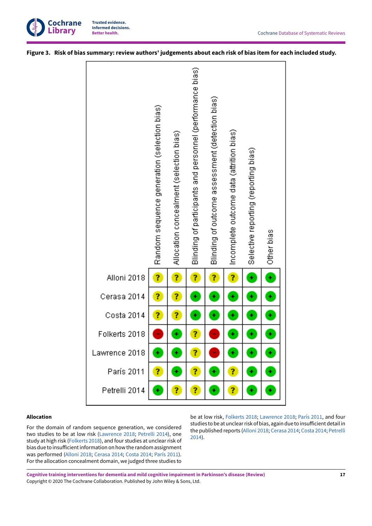

<span id="page-18-0"></span>Figure 3. Risk of bias summary: review authors' judgements about each risk of bias item for each included study.



# **Allocation**

For the domain of random sequence generation, we considered two studies to be at low risk ([Lawrence](#page-24-5) 2018; [Petrelli](#page-24-7) 2014), one study at high risk [\(Folkerts](#page-24-1) 2018), and four studies at unclear risk of bias due to insufficient information on how the random assignment was performed ([Alloni 2018](#page-24-2); [Cerasa](#page-24-3) 2014; [Costa](#page-24-4) 2014; [París](#page-24-6) 2011). For the allocation concealment domain, we judged three studies to

be at low risk, [Folkerts](#page-24-1) 2018; [Lawrence](#page-24-5) 2018; [París](#page-24-6) 2011, and four studies to be at unclear risk of bias, again due to insufficient detail in the published reports [\(Alloni 2018;](#page-24-2) [Cerasa](#page-24-3) 2014; [Costa](#page-24-4) 2014; [Petrelli](#page-24-7) [2014\)](#page-24-7).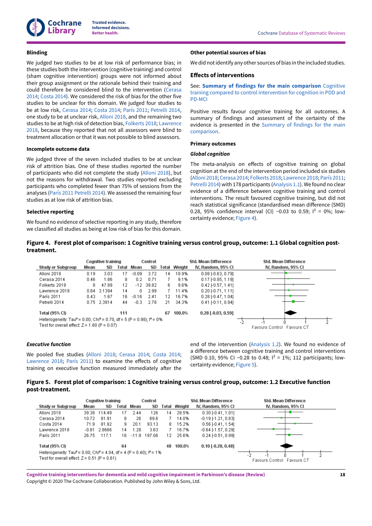

# **Blinding**

We judged two studies to be at low risk of performance bias; in these studies both the intervention (cognitive training) and control (sham cognitive intervention) groups were not informed about their group assignment or the rationale behind their training and could therefore be considered blind to the intervention [\(Cerasa](#page-24-3) [2014](#page-24-3); [Costa](#page-24-4) 2014). We considered the risk of bias for the other five studies to be unclear for this domain. We judged four studies to be at low risk, [Cerasa](#page-24-3) 2014; [Costa](#page-24-4) 2014; [París](#page-24-6) 2011; [Petrelli](#page-24-7) 2014, one study to be at unclear risk, [Alloni 2018](#page-24-2), and the remaining two studies to be at high risk of detection bias, [Folkerts](#page-24-1) 2018; [Lawrence](#page-24-5) [2018](#page-24-5), because they reported that not all assessors were blind to treatment allocation or that it was not possible to blind assessors.

# **Incomplete outcome data**

We judged three of the seven included studies to be at unclear risk of attrition bias. One of these studies reported the number of participants who did not complete the study [\(Alloni 2018](#page-24-2)), but not the reasons for withdrawal. Two studies reported excluding participants who completed fewer than 75% of sessions from the analyses (París [2011](#page-24-6) [Petrelli](#page-24-7) 2014). We assessed the remaining four studies as at low risk of attrition bias.

## **Selective reporting**

We found no evidence of selective reporting in any study, therefore we classified all studies as being at low risk of bias for this domain.

### **Other potential sources of bias**

We did not identify any other sources of bias in the included studies.

# **Effects of interventions**

See: **Summary of findings for the main [comparison](#page-5-1)** Cognitive training compared to control [intervention](#page-5-1) for cognition in PDD and [PD-MCI](#page-5-1)

Positive results favour cognitive training for all outcomes. A summary of findings and assessment of the certainty of the evidence is presented in the [Summary](#page-5-1) of findings for the main [comparison](#page-5-1).

### **Primary outcomes**

# *Global cognition*

The meta-analysis on effects of cognitive training on global cognition at the end of the intervention period included six studies [\(Alloni 2018](#page-24-2); [Cerasa](#page-24-3) 2014; [Folkerts](#page-24-1) 2018; [Lawrence](#page-24-5) 2018; París [2011;](#page-24-6) [Petrelli](#page-24-7) 2014) with 178 participants ([Analysis 1.1](#page-53-0)). We found no clear evidence of a difference between cognitive training and control interventions. The result favoured cognitive training, but did not reach statistical significance (standardised mean difference (SMD) 0.28, 95% confidence interval (CI) −0.03 to 0.59; I<sup>2</sup> = 0%; lowcertainty evidence; [Figure](#page-19-0) 4).

# <span id="page-19-0"></span>Figure 4. Forest plot of comparison: 1 Cognitive training versus control group, outcome: 1.1 Global cognition post**treatment.**

|                                                                                               | <b>Cognitive training</b> |             |     | Control    |             |       | Std. Mean Difference |                          |  | <b>Std. Mean Difference</b> |  |
|-----------------------------------------------------------------------------------------------|---------------------------|-------------|-----|------------|-------------|-------|----------------------|--------------------------|--|-----------------------------|--|
| <b>Study or Subgroup</b>                                                                      | Mean                      | SD          |     | Total Mean | SD          | Total | Weight               | IV, Random, 95% CI       |  | IV, Random, 95% CI          |  |
| Alloni 2018                                                                                   | 0.19                      | 3.03        | 17  | $-0.09$    | 3.72        | 14    | 18.9%                | $0.08$ $[-0.63, 0.79]$   |  |                             |  |
| Cerasa 2014                                                                                   | 0.46                      | 1.86        | 8   | 0.2        | 0.71        |       | 9.1%                 | $0.17$ [-0.85, 1.19]     |  |                             |  |
| Folkerts 2018                                                                                 | 8                         | 47.89       | 12  |            | $-12$ 39.82 | 6.    | 9.6%                 | $0.42$ FO.57, 1.411      |  |                             |  |
| Lawrence 2018                                                                                 |                           | 0.64 3.1394 | 14  | Ω.         | 2.99        |       | 11.4%                | $0.20$ FO.71, 1.111      |  |                             |  |
| París 2011                                                                                    | 0.43                      | 1.67        | 16  | $-0.16$    | 2.41        | 12    | 16.7%                | $0.28$ [ $-0.47$ , 1.04] |  |                             |  |
| Petrelli 2014                                                                                 |                           | 0.75 2.3914 | 44  | $-0.3$     | 2.78        | 21    | 34.3%                | $0.41$ FO.11, 0.941      |  |                             |  |
| Total (95% CI)                                                                                |                           |             | 111 |            |             | 67    | 100.0%               | $0.28$ [-0.03, 0.59]     |  |                             |  |
| Heterogeneity: Tau <sup>2</sup> = 0.00; Chi <sup>2</sup> = 0.70, df = 5 (P = 0.98); $P = 0\%$ |                           |             |     |            |             |       |                      |                          |  |                             |  |
| Test for overall effect: $Z = 1.80$ (P = 0.07)                                                |                           |             |     |            |             |       |                      |                          |  | Favours Control Favours CT  |  |

#### *Executive function*

We pooled five studies ([Alloni 2018;](#page-24-2) [Cerasa](#page-24-3) 2014; [Costa](#page-24-4) 2014; [Lawrence](#page-24-5) 2018; [París](#page-24-6) 2011) to examine the effects of cognitive training on executive function measured immediately after the end of the intervention [\(Analysis 1.2\)](#page-53-1). We found no evidence of a difference between cognitive training and control interventions (SMD 0.10, 95% CI −0.28 to 0.48; I2 = 1%; 112 participants; lowcertainty evidence; [Figure](#page-19-1) 5).

# <span id="page-19-1"></span>**Figure 5. Forest plot of comparison: 1 Cognitive training versus control group, outcome: 1.2 Executive function post-treatment.**

|                                                                                                                                                 | Cognitive training |        |       |         | Control |       |        | <b>Std. Mean Difference</b> | <b>Std. Mean Difference</b> |  |  |
|-------------------------------------------------------------------------------------------------------------------------------------------------|--------------------|--------|-------|---------|---------|-------|--------|-----------------------------|-----------------------------|--|--|
| Study or Subgroup                                                                                                                               | Mean               | SD     | Total | Mean    | SD      | Total | Weight | IV, Random, 95% CI          | IV. Random, 95% CI          |  |  |
| Alloni 2018                                                                                                                                     | 39.38              | 114.49 | 17    | 2.44    | 126     | 14    | 28.5%  | $0.30$ [-0.41, 1.01]        |                             |  |  |
| Cerasa 2014                                                                                                                                     | 10.72              | 81.91  | 8     | 26      | 69.6    |       | 14.0%  | $-0.19$ $-1.21$ , $0.831$   |                             |  |  |
| Costa 2014                                                                                                                                      | 71.9               | 81.92  | 9     | 20.1    | 93.13   | 8.    | 15.2%  | $0.56$ F $0.41$ , $1.54$    |                             |  |  |
| Lawrence 2018                                                                                                                                   | $-0.81$            | 2.8666 | 14    | .28     | 3.63    |       | 16.7%  | $-0.64$ [-1.57, 0.29]       |                             |  |  |
| París 2011                                                                                                                                      | 26.75              | 117.1  | 16.   | $-11.9$ | 197.06  | 12    | 25.6%  | $0.24$ [-0.51, 0.99]        |                             |  |  |
| Total (95% CI)                                                                                                                                  |                    |        | 64    |         |         | 48    | 100.0% | $0.10$ [ $-0.28$ , $0.48$ ] |                             |  |  |
| Heterogeneity: Tau <sup>2</sup> = 0.00; Chi <sup>2</sup> = 4.04, df = 4 (P = 0.40); $P = 1\%$<br>Test for overall effect: $Z = 0.51$ (P = 0.61) |                    |        |       |         |         |       |        |                             | Favours Control Favours CT  |  |  |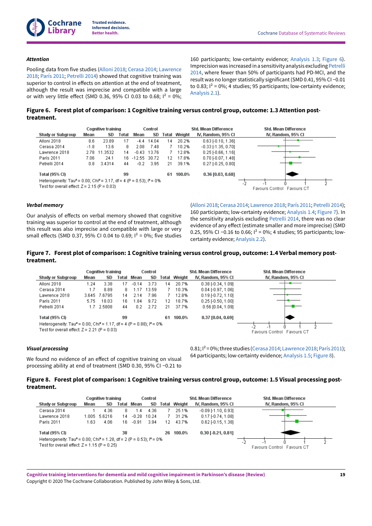

#### *Attention*

Pooling data from five studies [\(Alloni 2018;](#page-24-2) [Cerasa](#page-24-3) 2014; [Lawrence](#page-24-5) [2018](#page-24-5); [París](#page-24-6) 2011; [Petrelli](#page-24-7) 2014) showed that cognitive training was superior to control in effects on attention at the end of treatment, although the result was imprecise and compatible with a large or with very little effect (SMD 0.36, 95% CI 0.03 to 0.68;  $I^2 = 0\%$ ;

160 participants; low-certainty evidence; [Analysis 1.3](#page-54-0); [Figure](#page-20-0) 6). Imprecision was increased in a sensitivity analysis excluding [Petrelli](#page-24-7) [2014,](#page-24-7) where fewer than 50% of participants had PD-MCI, and the result was no longer statistically significant(SMD 0.41, 95% CI −0.01 to 0.83;  $I^2 = 0\%$ ; 4 studies; 95 participants; low-certainty evidence; [Analysis 2.1](#page-57-0)).

# <span id="page-20-0"></span>**Figure 6. Forest plot of comparison: 1 Cognitive training versus control group, outcome: 1.3 Attention posttreatment.**

|                                                                                                                                                           | <b>Cognitive training</b> |              |       |        | Control       |       |        | Std. Mean Difference   | <b>Std. Mean Difference</b>            |
|-----------------------------------------------------------------------------------------------------------------------------------------------------------|---------------------------|--------------|-------|--------|---------------|-------|--------|------------------------|----------------------------------------|
| Study or Subgroup                                                                                                                                         | Mean                      | SD           | Total | Mean   | SD            | Total | Weight | IV, Random, 95% CI     | IV. Random, 95% CI                     |
| Alloni 2018                                                                                                                                               | 8.6                       | 23.89        | 17    | $-4.4$ | 14.04         | 14    | 20.2%  | $0.63$ [-0.10, 1.36]   |                                        |
| Cerasa 2014                                                                                                                                               | $-1.8$                    | 13.6         | 8.    | 2.08   | 7.48          |       | 10.2%  | $-0.33$ [-1.35, 0.70]  |                                        |
| Lawrence 2018                                                                                                                                             |                           | 2.78 11.3532 | 14    |        | $-0.43$ 13.76 |       | 12.8%  | $0.25$ [-0.66, 1.16]   |                                        |
| París 2011                                                                                                                                                | 7.06                      | 24.1         | 16.   | -12.55 | 30.72         | 12    | 17.8%  | $0.70$ $[-0.07, 1.48]$ |                                        |
| Petrelli 2014                                                                                                                                             | 0.8                       | 3.4314       | 44    | $-0.2$ | 3.95          | 21    | 39.1%  | $0.27$ F0.25, 0.801    |                                        |
| Total (95% CI)                                                                                                                                            |                           |              | 99    |        |               | 61    | 100.0% | $0.36$ [0.03, 0.68]    |                                        |
| Heterogeneity: Tau <sup>2</sup> = 0.00; Chi <sup>2</sup> = 3.17, df = 4 (P = 0.53); l <sup>2</sup> = 0%<br>Test for overall effect: $Z = 2.15$ (P = 0.03) |                           |              |       |        |               |       |        |                        | $\sim$ 1<br>Favours Control Favours CT |

#### *Verbal memory*

Our analysis of effects on verbal memory showed that cognitive training was superior to control at the end of treatment, although this result was also imprecise and compatible with large or very small effects (SMD 0.37, 95% CI 0.04 to 0.69;  $I^2 = 0$ %; five studies [\(Alloni 2018](#page-24-2); [Cerasa](#page-24-3) 2014; [Lawrence](#page-24-5) 2018; [París](#page-24-6) 2011; [Petrelli](#page-24-7) 2014); 160 participants; low-certainty evidence; [Analysis 1.4;](#page-54-1) [Figure](#page-20-1) 7). In the sensitivity analysis excluding [Petrelli](#page-24-7) 2014, there was no clear evidence of any effect (estimate smaller and more imprecise) (SMD 0.25, 95% CI −0.16 to 0.66; I<sup>2</sup> = 0%; 4 studies; 95 participants; lowcertainty evidence; [Analysis 2.2](#page-57-1)).

# <span id="page-20-1"></span>**Figure 7. Forest plot of comparison: 1 Cognitive training versus control group, outcome: 1.4Verbal memory posttreatment.**

|                                                                                                         | Cognitive training |            |       | Control |       |       | Std. Mean Difference |                          | Std. Mean Difference       |
|---------------------------------------------------------------------------------------------------------|--------------------|------------|-------|---------|-------|-------|----------------------|--------------------------|----------------------------|
| Study or Subgroup                                                                                       | Mean               | SD         | Total | Mean    | SD    | Total | Weight               | IV, Random, 95% CI       | IV, Random, 95% CI         |
| Alloni 2018                                                                                             | 1.24               | 3.38       | 17    | $-0.14$ | 3.73  | 14    | 20.7%                | $0.38$ $[-0.34, 1.09]$   |                            |
| Cerasa 2014                                                                                             | 1.7                | 8.89       | 8     | -17     | 13.59 |       | 10.3%                | $0.04$ [ $-0.97, 1.06$ ] |                            |
| Lawrence 2018                                                                                           | 3.645              | 7.6795     | 14    | 2.14    | 7.96  |       | 12.8%                | $0.19 - 0.72, 1.101$     |                            |
| París 2011                                                                                              | 5.75               | 18.03      | 16    | .84     | 9.72  | 12    | 18.7%                | $0.25$ [-0.50, 1.00]     |                            |
| Petrelli 2014                                                                                           |                    | 1.7 2.5808 | 44    | 0.2     | 2.72  | 21    | 37.7%                | $0.56$ [0.04, 1.09]      |                            |
| Total (95% CI)                                                                                          |                    |            | 99    |         |       | 61    | 100.0%               | 0.37 [0.04, 0.69]        |                            |
| Heterogeneity: Tau <sup>2</sup> = 0.00; Chi <sup>2</sup> = 1.17, df = 4 (P = 0.88); l <sup>2</sup> = 0% |                    |            |       |         |       |       |                      |                          |                            |
| Test for overall effect: $Z = 2.21$ (P = 0.03)                                                          |                    |            |       |         |       |       |                      |                          | Favours Control Favours CT |

#### *Visual processing*

We found no evidence of an effect of cognitive training on visual processing ability at end of treatment (SMD 0.30, 95% CI −0.21 to  $0.81$ ;  $I^2 = 0\%$ ; three studies ([Cerasa](#page-24-3) 2014; [Lawrence](#page-24-5) 2018; [París](#page-24-6) 2011); 64 participants; low-certainty evidence; [Analysis 1.5](#page-54-2); [Figure](#page-20-2) 8).

# <span id="page-20-2"></span>Figure 8. Forest plot of comparison: 1 Cognitive training versus control group, outcome: 1.5 Visual processing post**treatment.**

|                                                                                                                                                 | Cognitive training |        |    | Control    |       |     |                     | Std. Mean Difference  | <b>Std. Mean Difference</b> |
|-------------------------------------------------------------------------------------------------------------------------------------------------|--------------------|--------|----|------------|-------|-----|---------------------|-----------------------|-----------------------------|
| Study or Subgroup                                                                                                                               | Mean               | SD     |    | Total Mean | SD.   |     | <b>Total Weight</b> | IV, Random, 95% CI    | IV, Random, 95% CI          |
| Cerasa 2014                                                                                                                                     |                    | 4.36   | 8  | 1.4        | 4.36  |     | 25.1%               | $-0.09$ [-1.10, 0.93] |                             |
| Lawrence 2018                                                                                                                                   | .005               | 5.6216 | 14 | $-0.28$    | 10.24 |     | 31.2%               | $0.17$ FO.74, 1.081   |                             |
| París 2011                                                                                                                                      | 1.63               | 4.06   | 16 | $-0.91$    | 3.94  | 12. | 43.7%               | $0.62$ [-0.15, 1.38]  |                             |
| Total (95% CI)                                                                                                                                  |                    |        | 38 |            |       | 26. | 100.0%              | $0.30$ [-0.21, 0.81]  |                             |
| Heterogeneity: Tau <sup>2</sup> = 0.00; Chi <sup>2</sup> = 1.28, df = 2 (P = 0.53); $P = 0\%$<br>Test for overall effect: $Z = 1.15$ (P = 0.25) |                    |        |    |            |       |     |                     |                       | Favours Control Favours CT  |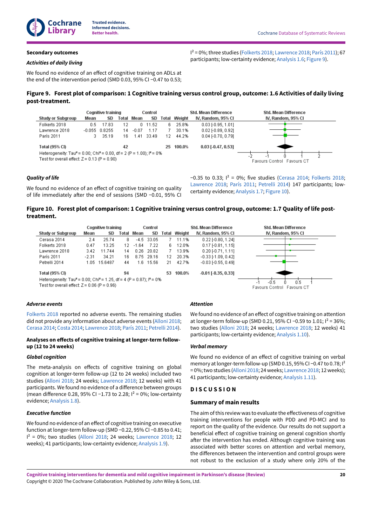# **Secondary outcomes**

# *Activities of daily living*

 $I^2$  = 0%; three studies ([Folkerts](#page-24-1) 2018; [Lawrence](#page-24-5) 2018; [París](#page-24-6) 2011); 67 participants; low-certainty evidence; [Analysis 1.6;](#page-55-0) [Figure](#page-21-0) 9).

We found no evidence of an effect of cognitive training on ADLs at the end of the intervention period (SMD 0.03, 95% CI −0.47 to 0.53;

# <span id="page-21-0"></span>Figure 9. Forest plot of comparison: 1 Cognitive training versus control group, outcome: 1.6 Activities of daily living **post-treatment.**

|                                                                                                                                                           |      | Cognitive training |       | Control |            | Std. Mean Difference |                     | <b>Std. Mean Difference</b> |                            |
|-----------------------------------------------------------------------------------------------------------------------------------------------------------|------|--------------------|-------|---------|------------|----------------------|---------------------|-----------------------------|----------------------------|
| Study or Subgroup                                                                                                                                         | Mean | <b>SD</b>          | Total | Mean    | SD         |                      | <b>Total Weight</b> | IV, Random, 95% CI          | IV, Random, 95% CI         |
| Folkerts 2018                                                                                                                                             | 0.5  | 17.83              | 12    |         | 11.52      | 6.                   | 25.8%               | $0.03$ FO.95, 1.011         |                            |
| Lawrence 2018                                                                                                                                             |      | $-0.055$ $0.8255$  | 14    | $-0.07$ | 1.17       |                      | 30.1%               | $0.02$ [-0.89, 0.92]        |                            |
| París 2011                                                                                                                                                | 3.   | 35.19              | 16    |         | 1.41 33.49 | 12.                  | 44.2%               | $0.04$ F0.70, 0.791         |                            |
| Total (95% CI)                                                                                                                                            |      |                    | 42    |         |            | 25                   | 100.0%              | $0.03$ [-0.47, 0.53]        |                            |
| Heterogeneity: Tau <sup>2</sup> = 0.00; Chi <sup>2</sup> = 0.00, df = 2 (P = 1.00); l <sup>2</sup> = 0%<br>Test for overall effect: $Z = 0.13$ (P = 0.90) |      |                    |       |         |            |                      |                     |                             | Favours Control Favours CT |

#### *Quality of life*

We found no evidence of an effect of cognitive training on quality of life immediately after the end of sessions (SMD -0.01, 95% CI −0.35 to 0.33; I2 = 0%; five studies [\(Cerasa](#page-24-3) 2014; [Folkerts](#page-24-1) 2018; [Lawrence](#page-24-5) 2018; [París](#page-24-6) 2011; [Petrelli](#page-24-7) 2014) 147 participants; lowcertainty evidence; [Analysis 1.7](#page-55-1); [Figure](#page-21-1) 10).

# <span id="page-21-1"></span>Figure 10. Forest plot of comparison: 1 Cognitive training versus control group, outcome: 1.7 Quality of life post**treatment.**

|                                                                                                                                                           | <b>Cognitive training</b><br>Control |              |     |            |       |       |        | Std. Mean Difference      | <b>Std. Mean Difference</b>               |
|-----------------------------------------------------------------------------------------------------------------------------------------------------------|--------------------------------------|--------------|-----|------------|-------|-------|--------|---------------------------|-------------------------------------------|
| Study or Subgroup                                                                                                                                         | Mean                                 | SD           |     | Total Mean | SD    | Total | Weight | IV, Random, 95% CI        | IV, Random, 95% CI                        |
| Cerasa 2014                                                                                                                                               | 2.4                                  | 25.74        | 8.  | $-4.5$     | 33.05 |       | 11.1%  | $0.22$ [-0.80, 1.24]      |                                           |
| Folkerts 2018                                                                                                                                             | 0.47                                 | 13.25        | 12. | $-1.64$    | 7.22  | 6.    | 12.0%  | $0.17$ [ $-0.81$ , 1.15]  |                                           |
| Lawrence 2018                                                                                                                                             | 3.42                                 | 11.744       | 14  | 0.26       | 20.82 |       | 13.9%  | $0.20$ [-0.71, 1.11]      |                                           |
| París 2011                                                                                                                                                | $-2.31$                              | 34.21        | 16  | 8.75       | 29.16 | 12    | 20.3%  | $-0.33$ $-1.09$ , $0.42$  |                                           |
| Petrelli 2014                                                                                                                                             |                                      | 1.05 15.6487 | 44  | 1.6.       | 15.56 | 21    | 42.7%  | $-0.03$ $[-0.55, 0.49]$   |                                           |
| Total (95% CI)                                                                                                                                            |                                      |              | 94  |            |       | 53    | 100.0% | $-0.01$ [ $-0.35$ , 0.33] |                                           |
| Heterogeneity: Tau <sup>2</sup> = 0.00; Chi <sup>2</sup> = 1.25, df = 4 (P = 0.87); i <sup>2</sup> = 0%<br>Test for overall effect: $Z = 0.06$ (P = 0.96) |                                      |              |     |            |       |       |        |                           | -0.5<br>0.5<br>Favours Control Favours CT |

# *Adverse events*

[Folkerts](#page-24-1) 2018 reported no adverse events. The remaining studies did not provide any information about adverse events [\(Alloni 2018](#page-24-2); [Cerasa](#page-24-3) 2014; [Costa](#page-24-4) 2014; [Lawrence](#page-24-5) 2018; [París](#page-24-6) 2011; [Petrelli](#page-24-7) 2014).

# Analyses on effects of cognitive training at longer-term follow**up (12 to 24 weeks)**

#### *Global cognition*

The meta-analysis on effects of cognitive training on global cognition at longer-term follow-up (12 to 24 weeks) included two studies ([Alloni 2018;](#page-24-2) 24 weeks; [Lawrence](#page-24-5) 2018; 12 weeks) with 41 participants. We found no evidence of a difference between groups (mean difference 0.28, 95% CI −1.73 to 2.28;  $I^2 = 0$ %; low-certainty evidence; [Analysis 1.8\)](#page-55-2).

### *Executive function*

We found no evidence of an effect of cognitive training on executive function at longer-term follow-up (SMD −0.22, 95% CI −0.85 to 0.41;  $I<sup>2</sup> = 0$ %; two studies [\(Alloni 2018;](#page-24-2) 24 weeks; [Lawrence](#page-24-5) 2018; 12 weeks); 41 participants; low-certainty evidence; [Analysis 1.9\)](#page-55-3).

# *Attention*

We found no evidence of an effect of cognitive training on attention at longer-term follow-up (SMD 0.21, 95% CI −0.59 to 1.01;  $1^2$  = 36%; two studies [\(Alloni 2018](#page-24-2); 24 weeks; [Lawrence](#page-24-5) 2018; 12 weeks) 41 participants; low-certainty evidence; [Analysis 1.10](#page-56-0)).

#### *Verbal memory*

We found no evidence of an effect of cognitive training on verbal memory at longer-term follow-up (SMD 0.15, 95% CI-0.47 to 0.78; I<sup>2</sup> = 0%;two studies ([Alloni 2018;](#page-24-2) 24 weeks; [Lawrence](#page-24-5) 2018; 12 weeks); 41 participants; low-certainty evidence; [Analysis 1.11\)](#page-56-1).

### <span id="page-21-2"></span>**D I S C U S S I O N**

#### **Summary of main results**

The aim of this review was to evaluate the effectiveness of cognitive training interventions for people with PDD and PD-MCI and to report on the quality of the evidence. Our results do not support a beneficial effect of cognitive training on general cognition shortly after the intervention has ended. Although cognitive training was associated with better scores on attention and verbal memory, the differences between the intervention and control groups were not robust to the exclusion of a study where only 20% of the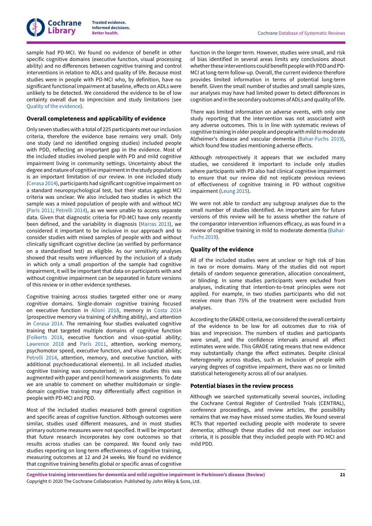

sample had PD-MCI. We found no evidence of benefit in other specific cognitive domains (executive function, visual processing ability) and no differences between cognitive training and control interventions in relation to ADLs and quality of life. Because most studies were in people with PD-MCI who, by definition, have no significant functional impairment at baseline, effects on ADLs were unlikely to be detected. We considered the evidence to be of low certainty overall due to imprecision and study limitations (see Quality of the [evidence\)](#page-22-0).

# **Overall completeness and applicability of evidence**

Only seven studies with a total of 225 participants met ourinclusion criteria, therefore the evidence base remains very small. Only one study (and no identified ongoing studies) included people with PDD, reflecting an important gap in the evidence. Most of the included studies involved people with PD and mild cognitive impairment living in community settings. Uncertainty about the degree and nature of cognitive impairment in the study populations is an important limitation of our review. In one included study [\(Cerasa](#page-24-3) 2014), participants had significant cognitive impairment on a standard neuropsychological test, but their status against MCI criteria was unclear. We also included two studies in which the sample was a mixed population of people with and without MCI [\(París](#page-24-6) 2011; [Petrelli](#page-24-7) 2014), as we were unable to access separate data. Given that diagnostic criteria for PD-MCI have only recently been defined, and the variability in diagnosis ([Marras](#page-31-19) 2013), we considered it important to be inclusive in our approach and to consider studies with mixed samples of people with and without clinically significant cognitive decline (as verified by performance on a standardised test) as eligible. As our sensitivity analyses showed that results were influenced by the inclusion of a study in which only a small proportion of the sample had cognitive impairment, it will be important that data on participants with and without cognitive impairment can be separated in future versions of this review or in other evidence syntheses.

Cognitive training across studies targeted either one or many cognitive domains. Single-domain cognitive training focused on executive function in [Alloni 2018,](#page-24-2) memory in [Costa](#page-24-4) 2014 (prospective memory via training of shifting ability), and attention in [Cerasa](#page-24-3) 2014. The remaining four studies evaluated cognitive training that targeted multiple domains of cognitive function [\(Folkerts](#page-24-1) 2018, executive function and visuo-spatial ability; [Lawrence](#page-24-5) 2018 and [París](#page-24-6) 2011, attention, working memory, psychomotor speed, executive function, and visuo-spatial ability; [Petrelli](#page-24-7) 2014, attention, memory, and executive function, with additional psychoeducational elements). In all included studies cognitive training was computerised; in some studies this was augmented with paper and pencil homework assignments. To date we are unable to comment on whether multidomain or singledomain cognitive training may differentially affect cognition in people with PD-MCI and PDD.

Most of the included studies measured both general cognition and specific areas of cognitive function. Although outcomes were similar, studies used different measures, and in most studies primary outcome measures were not specified. It will be important that future research incorporates key core outcomes so that results across studies can be compared. We found only two studies reporting on long-term effectiveness of cognitive training, measuring outcomes at 12 and 24 weeks. We found no evidence that cognitive training benefits global or specific areas of cognitive

function in the longer term. However, studies were small, and risk of bias identified in several areas limits any conclusions about whether these interventions could benefit people with PDD and PD-MCI at long-term follow-up. Overall, the current evidence therefore provides limited information in terms of potential long-term benefit. Given the small number of studies and small sample sizes, our analyses may have had limited power to detect differences in cognition and in the secondary outcomes of ADLs and quality oflife.

There was limited information on adverse events, with only one study reporting that the intervention was not associated with any adverse outcomes. This is in line with systematic reviews of cognitive training in older people and peoplewith mild to moderate Alzheimer's disease and vascular dementia [\(Bahar-Fuchs](#page-28-0) 2019), which found few studies mentioning adverse effects.

Although retrospectively it appears that we excluded many studies, we considered it important to include only studies where participants with PD also had clinical cognitive impairment to ensure that our review did not replicate previous reviews of effectiveness of cognitive training in PD without cognitive impairment ([Leung](#page-31-20) 2015).

We were not able to conduct any subgroup analyses due to the small number of studies identified. An important aim for future versions of this review will be to assess whether the nature of the comparator intervention influences efficacy, as was found in a review of cognitive training in mild to moderate dementia ([Bahar-](#page-28-0)[Fuchs](#page-28-0) 2019).

# <span id="page-22-0"></span>**Quality of the evidence**

All of the included studies were at unclear or high risk of bias in two or more domains. Many of the studies did not report details of random sequence generation, allocation concealment, or blinding. In some studies participants were excluded from analyses, indicating that intention-to-treat principles were not applied. For example, in two studies participants who did not receive more than 75% of the treatment were excluded from analyses.

According to theGRADE criteria, we considered the overall certainty of the evidence to be low for all outcomes due to risk of bias and imprecision. The numbers of studies and participants were small, and the confidence intervals around all effect estimates were wide. This GRADE rating means that new evidence may substantially change the effect estimates. Despite clinical heterogeneity across studies, such as inclusion of people with varying degrees of cognitive impairment, there was no or limited statistical heterogeneity across all of our analyses.

# **Potential biases in the review process**

Although we searched systematically several sources, including the Cochrane Central Register of Controlled Trials (CENTRAL), conference proceedings, and review articles, the possibility remains that we may have missed some studies. We found several RCTs that reported excluding people with moderate to severe dementia; although these studies did not meet our inclusion criteria, it is possible that they included people with PD-MCI and mild PDD.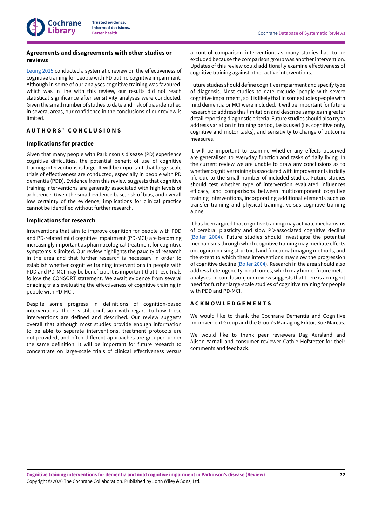# **Agreements and disagreements with other studies or reviews**

[Leung](#page-31-20) 2015 conducted a systematic review on the effectiveness of cognitive training for people with PD but no cognitive impairment. Although in some of our analyses cognitive training was favoured, which was in line with this review, our results did not reach statistical significance after sensitivity analyses were conducted. Given the small number of studies to date and risk of bias identified in several areas, our confidence in the conclusions of our review is limited.

# <span id="page-23-0"></span>**A U T H O R S ' C O N C L U S I O N S**

# **Implications for practice**

**Library**

Given that many people with Parkinson's disease (PD) experience cognitive difficulties, the potential benefit of use of cognitive training interventions is large. It will be important that large-scale trials of effectiveness are conducted, especially in people with PD dementia (PDD). Evidence from this review suggests that cognitive training interventions are generally associated with high levels of adherence. Given the small evidence base, risk of bias, and overall low certainty of the evidence, implications for clinical practice cannot be identified without further research.

# **Implications for research**

Interventions that aim to improve cognition for people with PDD and PD-related mild cognitive impairment (PD-MCI) are becoming increasingly important as pharmacological treatment for cognitive symptoms is limited. Our review highlights the paucity of research in the area and that further research is necessary in order to establish whether cognitive training interventions in people with PDD and PD-MCI may be beneficial. It is important that these trials follow the CONSORT statement. We await evidence from several ongoing trials evaluating the effectiveness of cognitive training in people with PD-MCI.

Despite some progress in definitions of cognition-based interventions, there is still confusion with regard to how these interventions are defined and described. Our review suggests overall that although most studies provide enough information to be able to separate interventions, treatment protocols are not provided, and often different approaches are grouped under the same definition. It will be important for future research to concentrate on large-scale trials of clinical effectiveness versus

a control comparison intervention, as many studies had to be excluded because the comparison group was another intervention. Updates of this review could additionally examine effectiveness of cognitive training against other active interventions.

Future studies should define cognitive impairment and specify type of diagnosis. Most studies to date exclude 'people with severe cognitive impairment', so it is likely that in some studies people with mild dementia or MCI were included. It will be important for future research to address this limitation and describe samples in greater detail reporting diagnostic criteria. Future studies should also try to address variation in training period, tasks used (i.e. cognitive only, cognitive and motor tasks), and sensitivity to change of outcome measures.

It will be important to examine whether any effects observed are generalised to everyday function and tasks of daily living. In the current review we are unable to draw any conclusions as to whether cognitive training is associated with improvements in daily life due to the small number of included studies. Future studies should test whether type of intervention evaluated influences efficacy, and comparisons between multicomponent cognitive training interventions, incorporating additional elements such as transfer training and physical training, versus cognitive training alone.

It has been argued that cognitive training may activate mechanisms of cerebral plasticity and slow PD-associated cognitive decline [\(Boller 2004\)](#page-28-8). Future studies should investigate the potential mechanisms through which cognitive training may mediate effects on cognition using structural and functional imaging methods, and the extent to which these interventions may slow the progression of cognitive decline ([Boller 2004\)](#page-28-8). Research in the area should also address heterogeneity in outcomes, which may hinder future metaanalyses. In conclusion, our review suggests that there is an urgent need for further large-scale studies of cognitive training for people with PDD and PD-MCI.

# <span id="page-23-1"></span>**A C K N O W L E D G E M E N T S**

We would like to thank the Cochrane Dementia and Cognitive Improvement Group and the Group's Managing Editor, Sue Marcus.

We would like to thank peer reviewers Dag Aarsland and Alison Yarnall and consumer reviewer Cathie Hofstetter for their comments and feedback.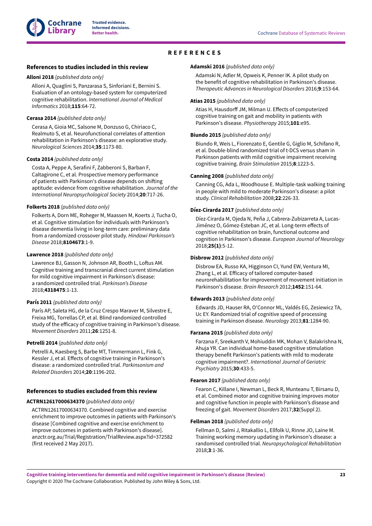

# **REFERENCES**

### <span id="page-24-0"></span>**References to studies included in this review**

#### <span id="page-24-2"></span>**Alloni 2018** *{published data only}*

Alloni A, Quaglini S, Panzarasa S, Sinforiani E, Bernini S. Evaluation of an ontology-based system for computerized cognitive rehabilitation. *International Journal of Medical Informatics* 2018;**115**:64-72.

#### <span id="page-24-3"></span>**Cerasa 2014** *{published data only}*

Cerasa A, Gioia MC, Salsone M, Donzuso G, Chiriaco C, Realmuto S, et al. Neurofunctional correlates of attention rehabilitation in Parkinson's disease: an explorative study. *Neurological Sciences* 2014;**35**:1173-80.

#### <span id="page-24-4"></span>**Costa 2014** *{published data only}*

Costa A, Peppe A, Serafini F, Zabberoni S, Barban F, Caltagirone C, et al. Prospective memory performance of patients with Parkinson's disease depends on shifting aptitude: evidence from cognitive rehabilitation. *Journal of the International Neuropsychological Society* 2014;**20**:717-26.

#### <span id="page-24-1"></span>**Folkerts 2018** *{published data only}*

Folkerts A, Dorn ME, Roheger M, Maassen M, Koerts J, Tucha O, et al. Cognitive stimulation for individuals with Parkinson's disease dementia living in long-term care: preliminary data from a randomized crossover pilot study. *Hindawi Parkinson's Disease* 2018;**8104673**:1-9.

#### <span id="page-24-5"></span>**Lawrence 2018** *{published data only}*

Lawrence BJ, Gasson N, Johnson AR, Booth L, Loftus AM. Cognitive training and transcranial direct current stimulation for mild cognitive impairment in Parkinson's disease: a randomized controlled trial. *Parkinson's Disease* 2018;**4318475**:1-13.

#### <span id="page-24-6"></span>**París 2011** *{published data only}*

París AP, Saleta HG, de la Cruz Crespo Maraver M, Silvestre E, Freixa MG, Torrellas CP, et al. Blind randomized controlled study of the efficacy of cognitive training in Parkinson's disease. *Movement Disorders* 2011;**26**:1251-8.

#### <span id="page-24-7"></span>**Petrelli 2014** *{published data only}*

Petrelli A, Kaesberg S, Barbe MT, Timmermann L, Fink G, Kessler J, et al. Effects of cognitive training in Parkinson's disease: a randomized controlled trial. *Parkinsonism and Related Disorders* 2014;**20**:1196-202.

# **References to studies excluded from this review**

#### <span id="page-24-11"></span>**ACTRN12617000634370** *{published data only}*

ACTRN12617000634370. Combined cognitive and exercise enrichment to improve outcomes in patients with Parkinson's disease [Combined cognitive and exercise enrichment to improve outcomes in patients with Parkinson's disease]. anzctr.org.au/Trial/Registration/TrialReview.aspx?id=372582 (first received 2 May 2017).

### <span id="page-24-16"></span>**Adamski 2016** *{published data only}*

Adamski N, Adler M, Opweis K, Penner IK. A pilot study on the benefit of cognitive rehabilitation in Parkinson's disease. *Therapeutic Advances in Neurological Disorders* 2016;**9**:153-64.

#### <span id="page-24-15"></span>**Atias 2015** *{published data only}*

Atias H, Hausdorff JM, Milman U. Effects of computerized cognitive training on gait and mobility in patients with Parkinson's disease. *Physiotherapy* 2015;**101**:e95.

### <span id="page-24-8"></span>**Biundo 2015** *{published data only}*

Biundo R, Weis L, Fiorenzato E, Gentile G, Giglio M, Schifano R, et al. Double-blind randomized trial of t-DCS versus sham in Parkinson patients with mild cognitive impairment receiving cognitive training. *Brain Stimulation* 2015;**8**:1223-5.

#### <span id="page-24-14"></span>**Canning 2008** *{published data only}*

Canning CG, Ada L, Woodhouse E. Multiple-task walking training in people with mild to moderate Parkinson's disease: a pilot study. *Clinical Rehabilitation* 2008;**22**:226-33.

# <span id="page-24-17"></span>**Díez-Cirarda 2017** *{published data only}*

Díez-Cirarda M, Ojeda N, Peña J, Cabrera-Zubizarreta A, Lucas-Jiménez O, Gómez-Esteban JC, et al. Long-term effects of cognitive rehabilitation on brain, functional outcome and cognition in Parkinson's disease. *European Journal of Neurology* 2018;**25(1)**:5-12.

#### <span id="page-24-13"></span>**Disbrow 2012** *{published data only}*

Disbrow EA, Russo KA, Higginson CI, Yund EW, Ventura MI, Zhang L, et al. Efficacy of tailored computer-based neurorehabilitation for improvement of movement initiation in Parkinson's disease. *Brain Research* 2012;**1452**:151-64.

#### <span id="page-24-10"></span>**Edwards 2013** *{published data only}*

Edwards JD, Hauser RA, O'Connor ML, Valdés EG, Zesiewicz TA, Uc EY. Randomized trial of cognitive speed of processing training in Parkinson disease. *Neurology* 2013;**81**:1284-90.

# <span id="page-24-9"></span>**Farzana 2015** *{published data only}*

Farzana F, Sreekanth V, Mohiuddin MK, Mohan V, Balakrishna N, Ahuja YR. Can individual home-based cognitive stimulation therapy benefit Parkinson's patients with mild to moderate cognitive impairment?. *International Journal of Geriatric Psychiatry* 2015;**30**:433-5.

#### <span id="page-24-18"></span>**Fearon 2017** *{published data only}*

Fearon C, Killane I, Newman L, Beck R, Munteanu T, Birsanu D, et al. Combined motor and cognitive training improves motor and cognitive function in people with Parkinson's disease and freezing of gait. *Movement Disorders* 2017;**32**(Suppl 2).

#### <span id="page-24-12"></span>**Fellman 2018** *{published data only}*

Fellman D, Salmi J, Ritakallio L, Ellfolk U, Rinne JO, Laine M. Training working memory updating in Parkinson's disease: a randomised controlled trial. *Neuropsychological Rehabilitation* 2018;**3**:1-36.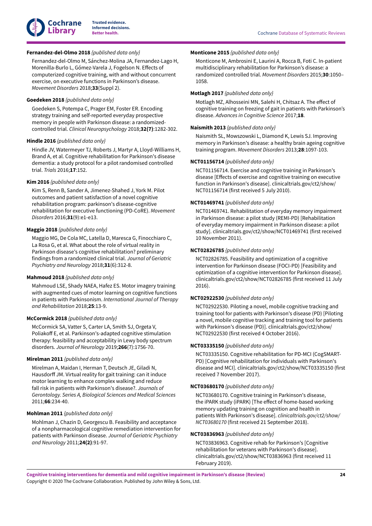

# <span id="page-25-10"></span>**Fernandez-del-Olmo 2018** *{published data only}*

Fernandez-del-Olmo M, Sánchez-Molina JA, Fernandez-Lago H, Morenilla-Burlo L, Gómez-Varela J, Fogelson N. Effects of computerized cognitive training, with and without concurrent exercise, on executive functions in Parkinson's disease. *Movement Disorders* 2018;**33**(Suppl 2).

# <span id="page-25-13"></span>**Goedeken 2018** *{published data only}*

Goedeken S, Potempa C, Prager EM, Foster ER. Encoding strategy training and self-reported everyday prospective memory in people with Parkinson disease: a randomizedcontrolled trial. *Clinical Neuropsychology* 2018;**32(7)**:1282-302.

#### <span id="page-25-3"></span>**Hindle 2016** *{published data only}*

Hindle JV, Watermeyer TJ, Roberts J, Martyr A, Lloyd-Williams H, Brand A, et al. Cognitive rehabilitation for Parkinson's disease dementia: a study protocol for a pilot randomised controlled trial. *Trials* 2016;**17**:152.

# <span id="page-25-7"></span>**Kim 2016** *{published data only}*

Kim S, Renn B, Sander A, Jimenez-Shahed J, York M. Pilot outcomes and patient satisfaction of a novel cognitive rehabilitation program: parkinson's disease-cognitive rehabilitation for executive functioning (PD-CoRE). *Movement Disorders* 2016;**31**(9):e1-e13.

# <span id="page-25-1"></span>**Maggio 2018** *{published data only}*

Maggio MG, De Cola MC, Latella D, Maresca G, Finocchiaro C, La Rosa G, et al. What about the role of virtual reality in Parkinson disease's cognitive rehabilitation? preliminary findings from a randomized clinical trial. *Journal of Geriatric Psychiatry and Neurology* 2018;**31**(6):312-8.

# <span id="page-25-0"></span>**Mahmoud 2018** *{published data only}*

Mahmoud LSE, Shady NAEA, Hafez ES. Motor imagery training with augmented cues of motor learning on cognitive functions in patients with Parkinsonism. *International Journal of Therapy and Rehabilitation* 2018;**25**:13-9.

#### <span id="page-25-4"></span>**McCormick 2018** *{published data only}*

McCormick SA, Vatter S, Carter LA, Smith SJ, Orgeta V, Poliakoff E, et al. Parkinson's-adapted cognitive stimulation therapy: feasibility and acceptability in Lewy body spectrum disorders. *Journal of Neurology* 2019;**266**(7):1756-70.

# <span id="page-25-16"></span>**Mirelman 2011** *{published data only}*

Mirelman A, Maidan I, Herman T, Deutsch JE, Giladi N, Hausdorff JM. Virtual reality for gait training: can it induce motor learning to enhance complex walking and reduce fall risk in patients with Parkinson's disease?. *Journals of Gerontology. Series A, Biological Sciences and Medical Sciences* 2011;**66**:234-40.

# <span id="page-25-17"></span>**Mohlman 2011** *{published data only}*

Mohlman J, Chazin D, Georgescu B. Feasibility and acceptance of a nonpharmacological cognitive remediation intervention for patients with Parkinson disease. *Journal of Geriatric Psychiatry and Neurology* 2011;**24(2)**:91-97.

### <span id="page-25-12"></span>**Monticone 2015** *{published data only}*

Monticone M, Ambrosini E, Laurini A, Rocca B, Foti C. In-patient multidisciplinary rehabilitation for Parkinson's disease: a randomized controlled trial. *Movement Disorders* 2015;**30**:1050– 1058.

# <span id="page-25-15"></span>**Motlagh 2017** *{published data only}*

Motlagh MZ, Alhosseini MN, Salehi H, Chitsaz A. The effect of cognitive training on freezing of gait in patients with Parkinson's disease. *Advances in Cognitive Science* 2017;**18**.

### <span id="page-25-6"></span>**Naismith 2013** *{published data only}*

Naismith SL, Mowszowski L, Diamond K, Lewis SJ. Improving memory in Parkinson's disease: a healthy brain ageing cognitive training program. *Movement Disorders* 2013;**28**:1097-103.

# <span id="page-25-14"></span>**NCT01156714** *{published data only}*

NCT01156714. Exercise and cognitive training in Parkinson's disease [Effects of exercise and cognitive training on executive function in Parkinson's disease]. clinicaltrials.gov/ct2/show/ NCT01156714 (first received 5 July 2010).

## <span id="page-25-8"></span>**NCT01469741** *{published data only}*

NCT01469741. Rehabilitation of everyday memory impairment in Parkinson disease: a pilot study (REMI-PD) [Rehabilitation of everyday memory impairment in Parkinson disease: a pilot study]. clinicaltrials.gov/ct2/show/NCT01469741 (first received 10 November 2011).

# <span id="page-25-18"></span>**NCT02826785** *{published data only}*

NCT02826785. Feasibility and optimization of a cognitive intervention for Parkinson disease (FOCI-PD) [Feasibility and optimization of a cognitive intervention for Parkinson disease]. clinicaltrials.gov/ct2/show/NCT02826785 (first received 11 July 2016).

# <span id="page-25-9"></span>**NCT02922530** *{published data only}*

NCT02922530. Piloting a novel, mobile cognitive tracking and training tool for patients with Parkinson's disease (PD) [Piloting a novel, mobile cognitive tracking and training tool for patients with Parkinson's disease (PD)]. clinicaltrials.gov/ct2/show/ NCT02922530 (first received 4 October 2016).

### <span id="page-25-5"></span>**NCT03335150** *{published data only}*

NCT03335150. Cognitive rehabilitation for PD-MCI (CogSMART-PD) [Cognitive rehabilitation for individuals with Parkinson's disease and MCI]. clinicaltrials.gov/ct2/show/NCT03335150 (first received 7 November 2017).

#### <span id="page-25-11"></span>**NCT03680170** *{published data only}*

NCT03680170. Cognitive training in Parkinson's disease, the iPARK study (iPARK) [The effect of home-based working memory updating training on cognition and health in patients With Parkinson's disease]. *clinicaltrials.gov/ct2/show/ NCT03680170* (first received 21 September 2018).

#### <span id="page-25-2"></span>**NCT03836963** *{published data only}*

NCT03836963. Cognitive rehab for Parkinson's [Cognitive rehabilitation for veterans with Parkinson's disease]. clinicaltrials.gov/ct2/show/NCT03836963 (first received 11 February 2019).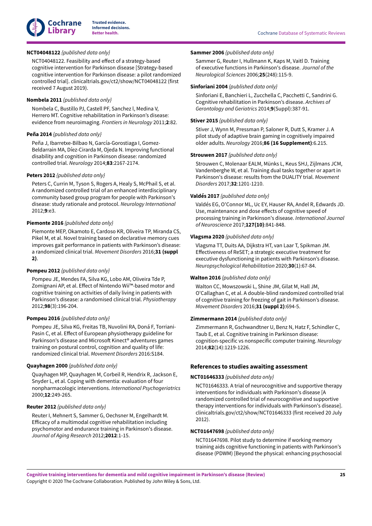

# <span id="page-26-13"></span>**NCT04048122** *{published data only}*

NCT04048122. Feasibility and effect of a strategy-based cognitive intervention for Parkinson disease [Strategy-based cognitive intervention for Parkinson disease: a pilot randomized controlled trial]. clinicaltrials.gov/ct2/show/NCT04048122 (first received 7 August 2019).

# <span id="page-26-17"></span>**Nombela 2011** *{published data only}*

Nombela C, Bustillo PJ, Castell PF, Sanchez l, Medina V, Herrero MT. Cognitive rehabilitation in Parkinson's disease: evidence from neuroimaging. *Frontiers in Neurology* 2011;**2**:82.

# <span id="page-26-8"></span>**Peña 2014** *{published data only}*

Peña J, Ibarretxe-Bilbao N, García-Gorostiaga I, Gomez-Beldarrain MA, Díez-Cirarda M, Ojeda N. Improving functional disability and cognition in Parkinson disease: randomized controlled trial. *Neurology* 2014;**83**:2167-2174.

#### <span id="page-26-14"></span>**Peters 2012** *{published data only}*

Peters C, Currin M, Tyson S, Rogers A, Healy S, McPhail S, et al. A randomized controlled trial of an enhanced interdisciplinary community based group program for people with Parkinson's disease: study rationale and protocol. *Neurology International* 2012;**9**:e3.

# <span id="page-26-11"></span>**Piemonte 2016** *{published data only}*

Piemonte MEP, Okamoto E, Cardoso KR, Oliveira TP, Miranda CS, Pikel M, et al. Novel training based on declarative memory cues improves gait performance in patients with Parkinson's disease: a randomized clinical trial. *Movement Disorders* 2016;**31 (suppl 2)**.

#### <span id="page-26-10"></span>**Pompeu 2012** *{published data only}*

Pompeu JE, Mendes FA, Silva KG, Lobo AM, Oliveira Tde P, Zomignani AP, et al. Effect of Nintendo Wii™-based motor and cognitive training on activities of daily living in patients with Parkinson's disease: a randomised clinical trial. *Physiotherapy* 2012;**98**(3):196-204.

### <span id="page-26-15"></span>**Pompeu 2016** *{published data only}*

Pompeu JE, Silva KG, Freitas TB, Nuvolini RA, Doná F, Torriani-Pasin C, et al. Effect of European physiotherapy guideline for Parkinson's disease and Microsoft Kinect<sup>®</sup> adventures games training on postural control, cognition and quality of life: randomized clinical trial. *Movement Disorders* 2016:S184.

#### <span id="page-26-4"></span>**Quayhagen 2000** *{published data only}*

Quayhagen MP, Quayhagen M, Corbeil R, Hendrix R, Jackson E, Snyder L, et al. Coping with dementia: evaluation of four nonpharmacologic interventions. *International Psychogeriatrics* 2000;**12**:249-265.

# <span id="page-26-2"></span>**Reuter 2012** *{published data only}*

Reuter I, Mehnert S, Sammer G, Oechsner M, Engelhardt M. Efficacy of a multimodal cognitive rehabilitation including psychomotor and endurance training in Parkinson's disease. *Journal of Aging Research* 2012;**2012**:1-15.

#### <span id="page-26-7"></span>**Sammer 2006** *{published data only}*

Sammer G, Reuter I, Hullmann K, Kaps M, Vaitl D. Training of executive functions in Parkinson's disease. *Journal of the Neurological Sciences* 2006;**25**(248):115-9.

#### <span id="page-26-18"></span>**Sinforiani 2004** *{published data only}*

Sinforiani E, Banchieri L, Zucchella C, Pacchetti C, Sandrini G. Cognitive rehabilitation in Parkinson's disease. *Archives of Gerontology and Geriatrics* 2014;**9**(Suppl):387-91.

# <span id="page-26-5"></span>**Stiver 2015** *{published data only}*

Stiver J, Wynn M, Pressman P, Saloner R, Dutt S, Kramer J. A pilot study of adaptive brain gaming in cognitively impaired older adults. *Neurology* 2016;**86 (16 Supplement)**:6.215.

#### <span id="page-26-9"></span>**Strouwen 2017** *{published data only}*

Strouwen C, Molenaar EALM, Münks L, Keus SHJ, Zijlmans JCM, Vandenberghe W, et al. Training dual tasks together or apart in Parkinson's disease: results from the DUALITY trial. *Movement Disorders* 2017;**32**:1201-1210.

#### <span id="page-26-12"></span>**Valdés 2017** *{published data only}*

Valdés EG, O'Connor ML, Uc EY, Hauser RA, Andel R, Edwards JD. Use, maintenance and dose effects of cognitive speed of processing training in Parkinson's disease. *International Journal of Neuroscience* 2017;**127(10)**:841-848.

#### <span id="page-26-3"></span>**Vlagsma 2020** *{published data only}*

Vlagsma TT, Duits AA, Dijkstra HT, van Laar T, Spikman JM. Effectiveness of ReSET; a strategic executive treatment for executive dysfunctioning in patients with Parkinson's disease. *Neuropsychological Rehabilitation* 2020;**30**(1):67-84.

#### <span id="page-26-16"></span>**Walton 2016** *{published data only}*

Walton CC, Mowszowski L, Shine JM, Gilat M, Hall JM, O'Callaghan C, et al. A double-blind randomized controlled trial of cognitive training for freezing of gait in Parkinson's disease. *Movement Disorders* 2016;**31 (suppl 2)**:694-5.

#### <span id="page-26-6"></span>**Zimmermann 2014** *{published data only}*

Zimmermann R, Gschwandtner U, Benz N, Hatz F, Schindler C, Taub E, et al. Cognitive training in Parkinson disease: cognition-specific vs nonspecific computer training. *Neurology* 2014;**82**(14):1219-1226.

#### **References to studies awaiting assessment**

### <span id="page-26-1"></span>**NCT01646333** *{published data only}*

NCT01646333. A trial of neurocognitive and supportive therapy interventions for individuals with Parkinson's disease [A randomized controlled trial of neurocognitive and supportive therapy interventions for individuals with Parkinson's disease]. clinicaltrials.gov/ct2/show/NCT01646333 (first received 20 July 2012).

#### <span id="page-26-0"></span>**NCT01647698** *{published data only}*

NCT01647698. Pilot study to determine if working memory training aids cognitive functioning in patients with Parkinson's disease (PDWM) [Beyond the physical: enhancing psychosocial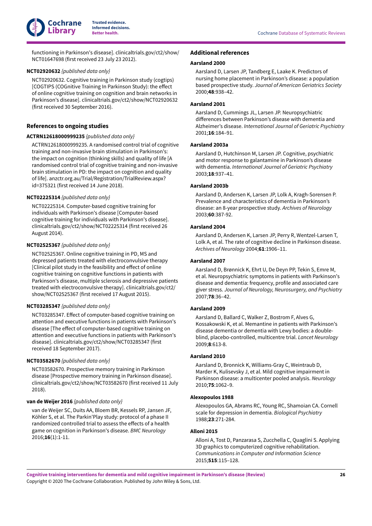

functioning in Parkinson's disease]. clinicaltrials.gov/ct2/show/ NCT01647698 (first received 23 July 23 2012).

### <span id="page-27-14"></span>**NCT02920632** *{published data only}*

NCT02920632. Cognitive training in Parkinson study (cogtips) [COGTIPS (COGnitive Training In Parkinson Study): the effect of online cognitive training on cognition and brain networks in Parkinson's disease]. clinicaltrials.gov/ct2/show/NCT02920632 (first received 30 September 2016).

### **References to ongoing studies**

#### <span id="page-27-9"></span>**ACTRN12618000999235** *{published data only}*

ACTRN12618000999235. A randomised control trial of cognitive training and non-invasive brain stimulation in Parkinson's: the impact on cognition (thinking skills) and quality of life [A randomised control trial of cognitive training and non-invasive brain stimulation in PD: the impact on cognition and quality of life]. anzctr.org.au/Trial/Registration/TrialReview.aspx? id=375321 (first received 14 June 2018).

#### <span id="page-27-10"></span>**NCT02225314** *{published data only}*

NCT02225314. Computer-based cognitive training for individuals with Parkinson's disease [Computer-based cognitive training for individuals with Parkinson's disease]. clinicaltrials.gov/ct2/show/NCT02225314 (first received 26 August 2014).

#### <span id="page-27-12"></span>**NCT02525367** *{published data only}*

NCT02525367. Online cognitive training in PD, MS and depressed patients treated with electroconvulsive therapy [Clinical pilot study in the feasibility and effect of online cognitive training on cognitive functions in patients with Parkinson's disease, multiple sclerosis and depressive patients treated with electroconvulsive therapy]. clinicaltrials.gov/ct2/ show/NCT02525367 (first received 17 August 2015).

#### <span id="page-27-11"></span>**NCT03285347** *{published data only}*

NCT03285347. Effect of computer-based cognitive training on attention and executive functions in patients with Parkinson's disease [The effect of computer-based cognitive training on attention and executive functions in patients with Parkinson's disease]. clinicaltrials.gov/ct2/show/NCT03285347 (first received 18 September 2017).

#### <span id="page-27-8"></span>**NCT03582670** *{published data only}*

NCT03582670. Prospective memory training in Parkinson disease [Prospective memory training in Parkinson disease]. clinicaltrials.gov/ct2/show/NCT03582670 (first received 11 July 2018).

#### <span id="page-27-13"></span>**van de Weijer 2016** *{published data only}*

van de Weijer SC, Duits AA, Bloem BR, Kessels RP, Jansen JF, Köhler S, et al. The Parkin'Play study: protocol of a phase II randomized controlled trial to assess the effects of a health game on cognition in Parkinson's disease. *BMC Neurology* 2016;**16**(1):1-11.

### **Additional references**

### <span id="page-27-2"></span>**Aarsland 2000**

Aarsland D, Larsen JP, Tandberg E, Laake K. Predictors of nursing home placement in Parkinson's disease: a population based prospective study. *Journal of American Geriatrics Society* 2000;**48**:938–42.

### <span id="page-27-0"></span>**Aarsland 2001**

Aarsland D, Cummings JL, Larsen JP. Neuropsychiatric differences between Parkinson's disease with dementia and Alzheimer's disease. *International Journal of Geriatric Psychiatry* 2001;**16**:184–91.

#### <span id="page-27-5"></span>**Aarsland 2003a**

Aarsland D, Hutchinson M, Larsen JP. Cognitive, psychiatric and motor response to galantamine in Parkinson's disease with dementia. *International Journal of Geriatric Psychiatry* 2003;**18**:937–41.

#### <span id="page-27-4"></span>**Aarsland 2003b**

Aarsland D, Andersen K, Larsen JP, Lolk A, Kragh-Sorensen P. Prevalence and characteristics of dementia in Parkinson's disease: an 8-year prospective study. *Archives of Neurology* 2003;**60**:387-92.

#### <span id="page-27-3"></span>**Aarsland 2004**

Aarsland D, Andersen K, Larsen JP, Perry R, Wentzel-Larsen T, Lolk A, et al. The rate of cognitive decline in Parkinson disease. *Archives of Neurology* 2004;**61**:1906–11.

#### <span id="page-27-1"></span>**Aarsland 2007**

Aarsland D, Brønnick K, Ehrt U, De Deyn PP, Tekin S, Emre M, et al. Neuropsychiatric symptoms in patients with Parkinson's disease and dementia: frequency, profile and associated care giver stress. *Journal of Neurology, Neurosurgery, and Psychiatry* 2007;**78**:36–42.

#### <span id="page-27-7"></span>**Aarsland 2009**

Aarsland D, Ballard C, Walker Z, Bostrom F, Alves G, Kossakowski K, et al. Memantine in patients with Parkinson's disease dementia or dementia with Lewy bodies: a doubleblind, placebo-controlled, multicentre trial. *Lancet Neurology* 2009;**8**:613-8.

### <span id="page-27-6"></span>**Aarsland 2010**

Aarsland D, Bronnick K, Williams-Gray C, Weintraub D, Marder K, Kulisevsky J, et al. Mild cognitive impairment in Parkinson disease: a multicenter pooled analysis. *Neurology* 2010;**75**:1062–9.

#### <span id="page-27-16"></span>**Alexopoulos 1988**

Alexopoulos GA, Abrams RC, Young RC, Shamoian CA. Cornell scale for depression in dementia. *Biological Psychiatry* 1988;**23**:271-284.

#### <span id="page-27-15"></span>**Alloni 2015**

Alloni A, Tost D, Panzarasa S, Zucchella C, Quaglini S. Applying 3D graphics to computerized cognitive rehabilitation. *Communications in Computer and Information Science* 2015;**515**:115–128.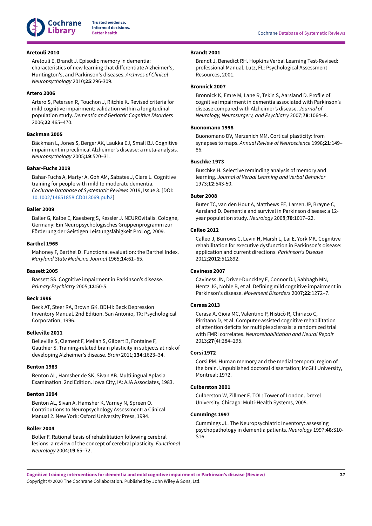

### <span id="page-28-4"></span>**Aretouli 2010**

Aretouli E, Brandt J. Episodic memory in dementia: characteristics of new learning that differentiate Alzheimer's, Huntington's, and Parkinson's diseases. *Archives of Clinical Neuropsychology* 2010;**25**:296-309.

# <span id="page-28-11"></span>**Artero 2006**

Artero S, Petersen R, Touchon J, Ritchie K. Revised criteria for mild cognitive impairment: validation within a longitudinal population study. *Dementia and Geriatric Cognitive Disorders* 2006;**22**:465–470.

#### <span id="page-28-5"></span>**Backman 2005**

Bäckman L, Jones S, Berger AK, Laukka EJ, Small BJ. Cognitive impairment in preclinical Alzheimer's disease: a meta-analysis. *Neuropsychology* 2005;**19**:520–31.

#### <span id="page-28-0"></span>**Bahar-Fuchs 2019**

Bahar-Fuchs A, Martyr A, Goh AM, Sabates J, Clare L. Cognitive training for people with mild to moderate dementia. *Cochrane Database of Systematic Reviews* 2019, Issue 3. [DOI: [10.1002/14651858.CD013069.pub2](https://doi.org/10.1002%2F14651858.CD013069.pub2)]

#### <span id="page-28-13"></span>**Baller 2009**

Baller G, Kalbe E, Kaesberg S, Kessler J. NEUROvitalis. Cologne, Germany: Ein Neuropsychologisches Gruppenprogramm zur Förderung der Geistigen Leistungsfähigkeit ProLog, 2009.

# <span id="page-28-20"></span>**Barthel 1965**

Mahoney F, Barthel D. Functional evaluation: the Barthel Index. *Maryland State Medicine Journal* 1965;**14**:61–65.

#### <span id="page-28-2"></span>**Bassett 2005**

Bassett SS. Cognitive impairment in Parkinson's disease. *Primary Psychiatry* 2005;**12**:50-5.

# <span id="page-28-21"></span>**Beck 1996**

Beck AT, Steer RA, Brown GK. BDI-II: Beck Depression Inventory Manual. 2nd Edition. San Antonio, TX: Psychological Corporation, 1996.

#### <span id="page-28-10"></span>**Belleville 2011**

Belleville S, Clement F, Mellah S, Gilbert B, Fontaine F, Gauthier S. Training-related brain plasticity in subjects at risk of developing Alzheimer's disease. *Brain* 2011;**134**:1623–34.

### <span id="page-28-15"></span>**Benton 1983**

Benton AL, Hamsher de SK, Sivan AB. Multilingual Aplasia Examination. 2nd Edition. Iowa City, IA: AJA Associates, 1983.

# <span id="page-28-17"></span>**Benton 1994**

Benton AL, Sivan A, Hamsher K, Varney N, Spreen O. Contributions to Neuropsychology Assessment: a Clinical Manual 2. New York: Oxford University Press, 1994.

#### <span id="page-28-8"></span>**Boller 2004**

Boller F. Rational basis of rehabilitation following cerebral lesions: a review of the concept of cerebral plasticity. *Functional Neurology* 2004;**19**:65–72.

#### <span id="page-28-18"></span>**Brandt 2001**

Brandt J, Benedict RH. Hopkins Verbal Learning Test-Revised: professional Manual. Lutz, FL: Psychological Assessment Resources, 2001.

#### <span id="page-28-3"></span>**Bronnick 2007**

Bronnick K, Emre M, Lane R, Tekin S, Aarsland D. Profile of cognitive impairment in dementia associated with Parkinson's disease compared with Alzheimer's disease. *Journal of Neurology, Neurosurgery, and Psychiatry* 2007;**78**:1064–8.

#### <span id="page-28-9"></span>**Buonomano 1998**

Buonomano DV, Merzenich MM. Cortical plasticity: from synapses to maps. *Annual Review of Neuroscience* 1998;**21**:149– 86.

### <span id="page-28-16"></span>**Buschke 1973**

Buschke H. Selective reminding analysis of memory and learning. *Journal of Verbal Learning and Verbal Behavior* 1973;**12**:543-50.

#### <span id="page-28-1"></span>**Buter 2008**

Buter TC, van den Hout A, Matthews FE, Larsen JP, Brayne C, Aarsland D. Dementia and survival in Parkinson disease: a 12 year population study. *Neurology* 2008;**70**:1017–22.

# <span id="page-28-7"></span>**Calleo 2012**

Calleo J, Burrows C, Levin H, Marsh L, Lai E, York MK. Cognitive rehabilitation for executive dysfunction in Parkinson's disease: application and current directions. *Parkinson's Disease* 2012;**2012**:512892.

#### <span id="page-28-6"></span>**Caviness 2007**

Caviness JN, Driver-Dunckley E, Connor DJ, Sabbagh MN, Hentz JG, Noble B, et al. Defining mild cognitive impairment in Parkinson's disease. *Movement Disorders* 2007;**22**:1272–7.

### <span id="page-28-12"></span>**Cerasa 2013**

Cerasa A, Gioia MC, Valentino P, Nisticò R, Chiriaco C, Pirritano D, et al. Computer-assisted cognitive rehabilitation of attention deficits for multiple sclerosis: a randomized trial with FMRI correlates. *Neurorehabilitation and Neural Repair* 2013;**27**(4):284–295.

# <span id="page-28-14"></span>**Corsi 1972**

Corsi PM. Human memory and the medial temporal region of the brain. Unpublished doctoral dissertation; McGill University, Montreal; 1972.

#### <span id="page-28-19"></span>**Culberston 2001**

Culberston W, Zillmer E. TOL: Tower of London. Drexel University. Chicago: Multi-Health Systems, 2005.

#### <span id="page-28-22"></span>**Cummings 1997**

Cummings JL. The Neuropsychiatric Inventory: assessing psychopathology in dementia patients. *Neurology* 1997;**48**:S10- S16.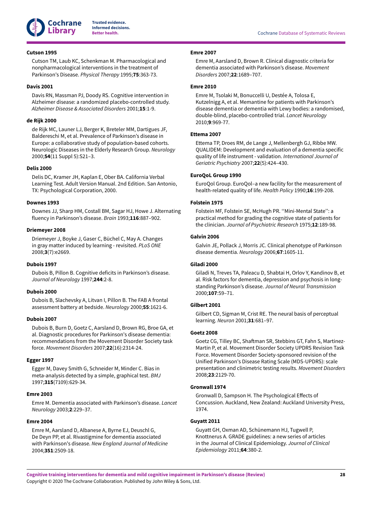

#### <span id="page-29-3"></span>**Cutson 1995**

Cutson TM, Laub KC, Schenkman M. Pharmacological and nonpharmacological interventions in the treatment of Parkinson's Disease. *Physical Therapy* 1995;**75**:363-73.

#### <span id="page-29-12"></span>**Davis 2001**

Davis RN, Massman PJ, Doody RS. Cognitive intervention in Alzheimer disease: a randomized placebo-controlled study. *Alzheimer Disease & Associated Disorders* 2001;**15**:1-9.

# <span id="page-29-4"></span>**de Rijk 2000**

de Rijk MC, Launer LJ, Berger K, Breteler MM, Dartigues JF, Baldereschi M, et al. Prevalence of Parkinson's disease in Europe: a collaborative study of population-based cohorts. Neurologic Diseases in the Elderly Research Group. *Neurology* 2000;**54**(11 Suppl 5):S21–3.

#### <span id="page-29-19"></span>**Delis 2000**

Delis DC, Kramer JH, Kaplan E, Ober BA. California Verbal Learning Test. Adult Version Manual. 2nd Edition. San Antonio, TX: Psychological Corporation, 2000.

#### <span id="page-29-18"></span>**Downes 1993**

Downes JJ, Sharp HM, Costall BM, Sagar HJ, Howe J. Alternating fluency in Parkinson's disease. *Brain* 1993;**116**:887–902.

# <span id="page-29-10"></span>**Driemeyer 2008**

Driemeyer J, Boyke J, Gaser C, Büchel C, May A. Changes in gray matter induced by learning - revisited. *PLoS ONE* 2008;**3**(7):e2669.

#### <span id="page-29-0"></span>**Dubois 1997**

Dubois B, Pillon B. Cognitive deficits in Parkinson's disease. *Journal of Neurology* 1997;**244**:2-8.

#### <span id="page-29-16"></span>**Dubois 2000**

Dubois B, Slachevsky A, Litvan I, Pillon B. The FAB A frontal assessment battery at bedside. *Neurology* 2000;**55**:1621-6.

#### <span id="page-29-7"></span>**Dubois 2007**

Dubois B, Burn D, Goetz C, Aarsland D, Brown RG, Broe GA, et al. Diagnostic procedures for Parkinson's disease dementia: recommendations from the Movement Disorder Society task force. *Movement Disorders* 2007;**22**(16):2314-24.

### <span id="page-29-13"></span>**Egger 1997**

Egger M, Davey Smith G, Schneider M, Minder C. Bias in meta-analysis detected by a simple, graphical test. *BMJ* 1997;**315**(7109):629-34.

# <span id="page-29-5"></span>**Emre 2003**

Emre M. Dementia associated with Parkinson's disease. *Lancet Neurology* 2003;**2**:229–37.

### <span id="page-29-2"></span>**Emre 2004**

Emre M, Aarsland D, Albanese A, Byrne EJ, Deuschl G, De Deyn PP, et al. Rivastigmine for dementia associated with Parkinson's disease. *New England Journal of Medicine* 2004;**351**:2509-18.

#### <span id="page-29-6"></span>**Emre 2007**

Emre M, Aarsland D, Brown R. Clinical diagnostic criteria for dementia associated with Parkinson's disease. *Movement Disorders* 2007;**22**:1689–707.

# <span id="page-29-11"></span>**Emre 2010**

Emre M, Tsolaki M, Bonuccelli U, Destée A, Tolosa E, Kutzelnigg A, et al. Memantine for patients with Parkinson's disease dementia or dementia with Lewy bodies: a randomised, double-blind, placebo-controlled trial. *Lancet Neurology* 2010;**9**:969-77.

#### <span id="page-29-21"></span>**Ettema 2007**

Ettema TP, Droes RM, de Lange J, Mellenbergh GJ, Ribbe MW. QUALIDEM: Development and evaluation of a dementia specific quality of life instrument - validation. *International Journal of Geriatric Psychiatry* 2007;**22**(5):424–430.

### <span id="page-29-22"></span>**EuroQoL Group 1990**

EuroQol Group. EuroQol–a new facility for the measurement of health-related quality of life. *Health Policy* 1990;**16**:199-208.

#### <span id="page-29-15"></span>**Folstein 1975**

Folstein MF, Folstein SE, McHugh PR. ''Mini-Mental State'': a practical method for grading the cognitive state of patients for the clinician. *Journal of Psychiatric Research* 1975;**12**:189-98.

#### <span id="page-29-8"></span>**Galvin 2006**

Galvin JE, Pollack J, Morris JC. Clinical phenotype of Parkinson disease dementia. *Neurology* 2006;**67**:1605-11.

# <span id="page-29-1"></span>**Giladi 2000**

Giladi N, Treves TA, Paleacu D, Shabtai H, Orlov Y, Kandinov B, et al. Risk factors for dementia, depression and psychosis in longstanding Parkinson's disease. *Journal of Neural Transmission* 2000;**107**:59–71.

# <span id="page-29-9"></span>**Gilbert 2001**

Gilbert CD, Sigman M, Crist RE. The neural basis of perceptual learning. *Neuron* 2001;**31**:681–97.

#### <span id="page-29-20"></span>**Goetz 2008**

Goetz CG, Tilley BC, Shaftman SR, Stebbins GT, Fahn S, Martinez-Martin P, et al. Movement Disorder Society UPDRS Revision Task Force. Movement Disorder Society-sponsored revision of the Unified Parkinson's Disease Rating Scale (MDS-UPDRS): scale presentation and clinimetric testing results. *Movement Disorders* 2008;**23**:2129-70.

#### <span id="page-29-17"></span>**Gronwall 1974**

Gronwall D, Sampson H. The Psychological Effects of Concussion. Auckland, New Zealand: Auckland University Press, 1974.

# <span id="page-29-14"></span>**Guyatt 2011**

Guyatt GH, Oxman AD, Schünemann HJ, Tugwell P, Knottnerus A. GRADE guidelines: a new series of articles in the Journal of Clinical Epidemiology. *Journal of Clinical Epidemiology* 2011;**64**:380-2.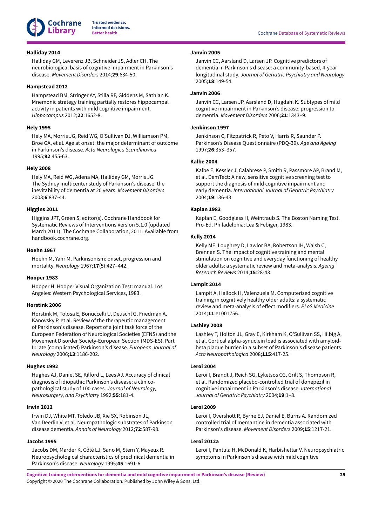

## <span id="page-30-5"></span>**Halliday 2014**

Halliday GM, Leverenz JB, Schneider JS, Adler CH. The neurobiological basis of cognitive impairment in Parkinson's disease. *Movement Disorders* 2014;**29**:634-50.

### <span id="page-30-13"></span>**Hampstead 2012**

Hampstead BM, Stringer AY, Stilla RF, Giddens M, Sathian K. Mnemonic strategy training partially restores hippocampal activity in patients with mild cognitive impairment. *Hippocampus* 2012;**22**:1652-8.

#### <span id="page-30-15"></span>**Hely 1995**

Hely MA, Morris JG, Reid WG, O'Sullivan DJ, Williamson PM, Broe GA, et al. Age at onset: the major determinant of outcome in Parkinson's disease. *Acta Neurologica Scandinavica* 1995;**92**:455-63.

#### <span id="page-30-3"></span>**Hely 2008**

Hely MA, Reid WG, Adena MA, Halliday GM, Morris JG. The Sydney multicenter study of Parkinson's disease: the inevitability of dementia at 20 years. *Movement Disorders* 2008;**6**:837-44.

#### <span id="page-30-16"></span>**Higgins 2011**

Higgins JPT, Green S, editor(s). Cochrane Handbook for Systematic Reviews of Interventions Version 5.1.0 (updated March 2011). The Cochrane Collaboration, 2011. Available from handbook.cochrane.org.

#### <span id="page-30-17"></span>**Hoehn 1967**

Hoehn M, Yahr M. Parkinsonism: onset, progression and mortality. *Neurology* 1967;**17**(5):427–442.

#### <span id="page-30-20"></span>**Hooper 1983**

Hooper H. Hooper Visual Organization Test: manual. Los Angeles: Western Psychological Services, 1983.

# <span id="page-30-14"></span>**Horstink 2006**

Horstink M, Tolosa E, Bonuccelli U, Deuschl G, Friedman A, Kanovsky P, et al. Review of the therapeutic management of Parkinson's disease. Report of a joint task force of the European Federation of Neurological Societies (EFNS) and the Movement Disorder Society-European Section (MDS-ES). Part II: late (complicated) Parkinson's disease. *European Journal of Neurology* 2006;**13**:1186-202.

### <span id="page-30-0"></span>**Hughes 1992**

Hughes AJ, Daniel SE, Kilford L, Lees AJ. Accuracy of clinical diagnosis of idiopathic Parkinson's disease: a clinicopathological study of 100 cases. *Journal of Neurology, Neurosurgery, and Psychiatry* 1992;**55**:181-4.

#### <span id="page-30-6"></span>**Irwin 2012**

Irwin DJ, White MT, Toledo JB, Xie SX, Robinson JL, Van Deerlin V, et al. Neuropathologic substrates of Parkinson disease dementia. *Annals of Neurology* 2012;**72**:587-98.

## <span id="page-30-4"></span>**Jacobs 1995**

Jacobs DM, Marder K, Côté LJ, Sano M, Stern Y, Mayeux R. Neuropsychological characteristics of preclinical dementia in Parkinson's disease. *Neurology* 1995;**45**:1691-6.

### <span id="page-30-9"></span>**Janvin 2005**

Janvin CC, Aarsland D, Larsen JP. Cognitive predictors of dementia in Parkinson's disease: a community-based, 4-year longitudinal study. *Journal of Geriatric Psychiatry and Neurology* 2005;**18**:149-54.

# <span id="page-30-10"></span>**Janvin 2006**

Janvin CC, Larsen JP, Aarsland D, Hugdahl K. Subtypes of mild cognitive impairment in Parkinson's disease: progression to dementia. *Movement Disorders* 2006;**21**:1343–9.

#### <span id="page-30-21"></span>**Jenkinson 1997**

Jenkinson C, Fitzpatrick R, Peto V, Harris R, Saunder P. Parkinson's Disease Questionnaire (PDQ-39). *Age and Ageing* 1997;**26**:353–357.

# <span id="page-30-18"></span>**Kalbe 2004**

Kalbe E, Kessler J, Calabrese P, Smith R, Passmore AP, Brand M, et al. DemTect: A new, sensitive cognitive screening test to support the diagnosis of mild cognitive impairment and early dementia. *International Journal of Geriatric Psychiatry* 2004;**19**:136-43.

#### <span id="page-30-19"></span>**Kaplan 1983**

Kaplan E, Goodglass H, Weintraub S. The Boston Naming Test. Pro-Ed. Philadelphia: Lea & Febiger, 1983.

#### <span id="page-30-12"></span>**Kelly 2014**

Kelly ME, Loughrey D, Lawlor BA, Robertson IH, Walsh C, Brennan S. The impact of cognitive training and mental stimulation on cognitive and everyday functioning of healthy older adults: a systematic review and meta-analysis. *Ageing Research Reviews* 2014;**15**:28-43.

#### <span id="page-30-11"></span>**Lampit 2014**

Lampit A, Hallock H, Valenzuela M. Computerized cognitive training in cognitively healthy older adults: a systematic review and meta-analysis of effect modifiers. *PLoS Medicine* 2014;**11**:e1001756.

#### <span id="page-30-7"></span>**Lashley 2008**

Lashley T, Holton JL, Gray E, Kirkham K, O'Sullivan SS, Hilbig A, et al. Cortical alpha-synuclein load is associated with amyloidbeta plaque burden in a subset of Parkinson's disease patients. *Acta Neuropathologica* 2008;**115**:417-25.

#### <span id="page-30-8"></span>**Leroi 2004**

Leroi I, Brandt J, Reich SG, Lyketsos CG, Grill S, Thompson R, et al. Randomized placebo-controlled trial of donepezil in cognitive impairment in Parkinson's disease. *International Journal of Geriatric Psychiatry* 2004;**19**:1–8.

#### <span id="page-30-2"></span>**Leroi 2009**

Leroi I, Overshott R, Byrne EJ, Daniel E, Burns A. Randomized controlled trial of memantine in dementia associated with Parkinson's disease. *Movement Disorders* 2009;**15**:1217-21.

#### <span id="page-30-1"></span>**Leroi 2012a**

Leroi I, Pantula H, McDonald K, Harbishettar V. Neuropsychiatric symptoms in Parkinson's disease with mild cognitive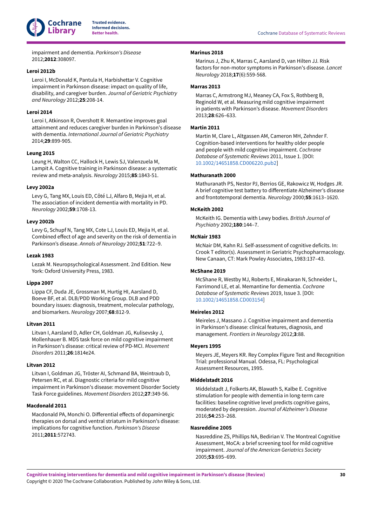

impairment and dementia. *Parkinson's Disease* 2012;**2012**:308097.

#### <span id="page-31-9"></span>**Leroi 2012b**

Leroi I, McDonald K, Pantula H, Harbishettar V. Cognitive impairment in Parkinson disease: impact on quality of life, disability, and caregiver burden. *Journal of Geriatric Psychiatry and Neurology* 2012;**25**:208-14.

#### <span id="page-31-2"></span>**Leroi 2014**

Leroi I, Atkinson R, Overshott R. Memantine improves goal attainment and reduces caregiver burden in Parkinson's disease with dementia. *International Journal of Geriatric Psychiatry* 2014;**29**:899-905.

#### <span id="page-31-20"></span>**Leung 2015**

Leung H, Walton CC, Hallock H, Lewis SJ, Valenzuela M, Lampit A. Cognitive training in Parkinson disease: a systematic review and meta-analysis. *Neurology* 2015;**85**:1843-51.

# <span id="page-31-10"></span>**Levy 2002a**

Levy G, Tang MX, Louis ED, Côté LJ, Alfaro B, Mejia H, et al. The association of incident dementia with mortality in PD. *Neurology* 2002;**59**:1708-13.

#### <span id="page-31-3"></span>**Levy 2002b**

Levy G, Schupf N, Tang MX, Cote LJ, Louis ED, Mejia H, et al. Combined effect of age and severity on the risk of dementia in Parkinson's disease. *Annals of Neurology* 2002;**51**:722–9.

### <span id="page-31-16"></span>**Lezak 1983**

Lezak M. Neuropsychological Assessment. 2nd Edition. New York: Oxford University Press, 1983.

### <span id="page-31-5"></span>**Lippa 2007**

Lippa CF, Duda JE, Grossman M, Hurtig HI, Aarsland D, Boeve BF, et al. DLB/PDD Working Group. DLB and PDD boundary issues: diagnosis, treatment, molecular pathology, and biomarkers. *Neurology* 2007;**68**:812-9.

# <span id="page-31-11"></span>**Litvan 2011**

Litvan I, Aarsland D, Adler CH, Goldman JG, Kulisevsky J, Mollenhauer B. MDS task force on mild cognitive impairment in Parkinson's disease: critical review of PD-MCI. *Movement Disorders* 2011;**26**:1814e24.

# <span id="page-31-7"></span>**Litvan 2012**

Litvan I, Goldman JG, Tröster AI, Schmand BA, Weintraub D, Petersen RC, et al. Diagnostic criteria for mild cognitive impairment in Parkinson's disease: movement Disorder Society Task Force guidelines. *Movement Disorders* 2012;**27**:349-56.

### <span id="page-31-12"></span>**Macdonald 2011**

Macdonald PA, Monchi O. Differential effects of dopaminergic therapies on dorsal and ventral striatum in Parkinson's disease: implications for cognitive function. *Parkinson's Disease* 2011;**2011**:572743.

# <span id="page-31-4"></span>**Marinus 2018**

Marinus J, Zhu K, Marras C, Aarsland D, van Hilten JJ. Risk factors for non-motor symptoms in Parkinson's disease. *Lancet Neurology* 2018;**17**(6):559-568.

#### <span id="page-31-19"></span>**Marras 2013**

Marras C, Armstrong MJ, Meaney CA, Fox S, Rothberg B, Reginold W, et al. Measuring mild cognitive impairment in patients with Parkinson's disease. *Movement Disorders* 2013;**28**:626–633.

#### <span id="page-31-8"></span>**Martin 2011**

Martin M, Clare L, Altgassen AM, Cameron MH, Zehnder F. Cognition-based interventions for healthy older people and people with mild cognitive impairment. *Cochrane Database of Systematic Reviews* 2011, Issue 1. [DOI: [10.1002/14651858.CD006220.pub2\]](https://doi.org/10.1002%2F14651858.CD006220.pub2)

# <span id="page-31-15"></span>**Mathuranath 2000**

Mathuranath PS, Nestor PJ, Berrios GE, Rakowicz W, Hodges JR. A brief cognitive test battery to differentiate Alzheimer's disease and frontotemporal dementia. *Neurology* 2000;**55**:1613–1620.

#### <span id="page-31-6"></span>**McKeith 2002**

McKeith IG. Dementia with Lewy bodies. *British Journal of Psychiatry* 2002;**180**:144–7.

#### <span id="page-31-18"></span>**McNair 1983**

McNair DM, Kahn RJ. Self-assessment of cognitive deficits. In: Crook T editor(s). Assessment in Geriatric Psychopharmacology. New Canaan, CT: Mark Powley Associates, 1983:137–43.

#### <span id="page-31-1"></span>**McShane 2019**

McShane R, Westby MJ, Roberts E, Minakaran N, Schneider L, Farrimond LE, et al. Memantine for dementia. *Cochrane Database of Systematic Reviews* 2019, Issue 3. [DOI: [10.1002/14651858.CD003154\]](https://doi.org/10.1002%2F14651858.CD003154)

#### <span id="page-31-0"></span>**Meireles 2012**

Meireles J, Massano J. Cognitive impairment and dementia in Parkinson's disease: clinical features, diagnosis, and management. *Frontiers in Neurology* 2012;**3**:88.

#### <span id="page-31-17"></span>**Meyers 1995**

Meyers JE, Meyers KR. Rey Complex Figure Test and Recognition Trial: professional Manual. Odessa, FL: Psychological Assessment Resources, 1995.

### <span id="page-31-13"></span>**Middelstadt 2016**

Middelstadt J, Folkerts AK, Blawath S, Kalbe E. Cognitive stimulation for people with dementia in long-term care facilities: baseline cognitive level predicts cognitive gains, moderated by depression. *Journal of Alzheimer's Disease* 2016;**54**:253–268.

# <span id="page-31-14"></span>**Nasreddine 2005**

Nasreddine ZS, Phillips NA, Bedirian V. The Montreal Cognitive Assessment, MoCA: a brief screening tool for mild cognitive impairment. *Journal of the American Geriatrics Society* 2005;**53**:695–699.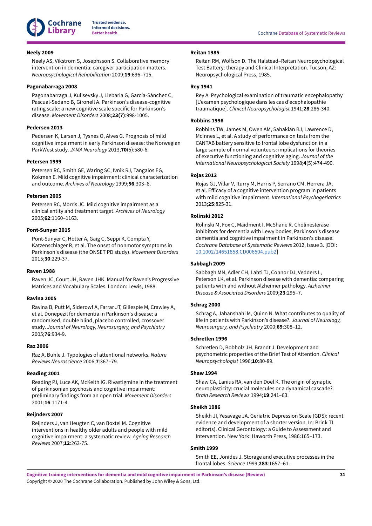

#### <span id="page-32-4"></span>**Neely 2009**

Neely AS, Vikstrom S, Josephsson S. Collaborative memory intervention in dementia: caregiver participation matters. *Neuropsychological Rehabilitation* 2009;**19**:696–715.

## <span id="page-32-15"></span>**Pagonabarraga 2008**

Pagonabarraga J, Kulisevsky J, Llebaria G, García-Sánchez C, Pascual-Sedano B, Gironell A. Parkinson's disease-cognitive rating scale: a new cognitive scale specific for Parkinson's disease. *Movement Disorders* 2008;**23(7)**:998-1005.

## <span id="page-32-8"></span>**Pedersen 2013**

Pedersen K, Larsen J, Tysnes O, Alves G. Prognosis of mild cognitive impairment in early Parkinson disease: the Norwegian ParkWest study. *JAMA Neurology* 2013;**70**(5):580-6.

# <span id="page-32-13"></span>**Petersen 1999**

Petersen RC, Smith GE, Waring SC, Ivnik RJ, Tangalos EG, Kokmen E. Mild cognitive impairment: clinical characterization and outcome. *Archives of Neurology* 1999;**56**:303–8.

## <span id="page-32-14"></span>**Petersen 2005**

Petersen RC, Morris JC. Mild cognitive impairment as a clinical entity and treatment target. *Archives of Neurology* 2005;**62**:1160–1163.

# <span id="page-32-0"></span>**Pont-Sunyer 2015**

Pont-Sunyer C, Hotter A, Gaig C, Seppi K, Compta Y, Katzenschlager R, et al. The onset of nonmotor symptoms in Parkinson's disease (the ONSET PD study). *Movement Disorders* 2015;**30**:229-37.

#### <span id="page-32-16"></span>**Raven 1988**

Raven JC, Court JH, Raven JHK. Manual for Raven's Progressive Matrices and Vocabulary Scales. London: Lewis, 1988.

# <span id="page-32-2"></span>**Ravina 2005**

Ravina B, Putt M, Siderowf A, Farrar JT, Gillespie M, Crawley A, et al. Donepezil for dementia in Parkinson's disease: a randomised, double blind, placebo controlled, crossover study. *Journal of Neurology, Neurosurgery, and Psychiatry* 2005;**76**:934-9.

#### <span id="page-32-10"></span>**Raz 2006**

Raz A, Buhle J. Typologies of attentional networks. *Nature Reviews Neuroscience* 2006;**7**:367–79.

#### <span id="page-32-7"></span>**Reading 2001**

Reading PJ, Luce AK, McKeith IG. Rivastigmine in the treatment of parkinsonian psychosis and cognitive impairment: preliminary findings from an open trial. *Movement Disorders* 2001;**16**:1171-4.

# <span id="page-32-9"></span>**Reijnders 2007**

Reijnders J, van Heugten C, van Boxtel M. Cognitive interventions in healthy older adults and people with mild cognitive impairment: a systematic review. *Ageing Research Reviews* 2007;**12**:263-75.

# <span id="page-32-17"></span>**Reitan 1985**

Reitan RM, Wolfson D. The Halstead–Reitan Neuropsychological Test Battery: therapy and Clinical Interpretation. Tucson, AZ: Neuropsychological Press, 1985.

# <span id="page-32-18"></span>**Rey 1941**

Rey A. Psychological examination of traumatic encephalopathy [L'examen psychologique dans les cas d'ecephalopathie traumatique]. *Clinical Neuropsychologist* 1941;**28**:286-340.

# <span id="page-32-19"></span>**Robbins 1998**

Robbins TW, James M, Owen AM, Sahakian BJ, Lawrence D, McInnes L, et al. A study of performance on tests from the CANTAB battery sensitive to frontal lobe dysfunction in a large sample of normal volunteers: implications for theories of executive functioning and cognitive aging. *Journal of the International Neuropsychological Society* 1998;**4**(5):474-490.

# <span id="page-32-5"></span>**Rojas 2013**

Rojas GJ, Villar V, Iturry M, Harris P, Serrano CM, Herrera JA, et al. Efficacy of a cognitive intervention program in patients with mild cognitive impairment. *International Psychogeriatrics* 2013;**25**:825-31.

# <span id="page-32-3"></span>**Rolinski 2012**

Rolinski M, Fox C, Maidment I, McShane R. Cholinesterase inhibitors for dementia with Lewy bodies, Parkinson's disease dementia and cognitive impairment in Parkinson's disease. *Cochrane Database of Systematic Reviews* 2012, Issue 3. [DOI: [10.1002/14651858.CD006504.pub2\]](https://doi.org/10.1002%2F14651858.CD006504.pub2)

# <span id="page-32-6"></span>**Sabbagh 2009**

Sabbagh MN, Adler CH, Lahti TJ, Connor DJ, Vedders L, Peterson LK, et al. Parkinson disease with dementia: comparing patients with and without Alzheimer pathology. *Alzheimer Disease & Associated Disorders* 2009;**23**:295–7.

# <span id="page-32-1"></span>**Schrag 2000**

Schrag A, Jahanshahi M, Quinn N. What contributes to quality of life in patients with Parkinson's disease?. *Journal of Neurology, Neurosurgery, and Psychiatry* 2000;**69**:308–12.

# <span id="page-32-20"></span>**Schretlen 1996**

Schretlen D, Bobholz JH, Brandt J. Development and psychometric properties of the Brief Test of Attention. *Clinical Neuropsychologist* 1996;**10**:80-89.

# <span id="page-32-11"></span>**Shaw 1994**

Shaw CA, Lanius RA, van den Doel K. The origin of synaptic neuroplasticity: crucial molecules or a dynamical cascade?. *Brain Research Reviews* 1994;**19**:241–63.

#### <span id="page-32-21"></span>**Sheikh 1986**

Sheikh JI, Yesavage JA. Geriatric Depression Scale (GDS): recent evidence and development of a shorter version. In: Brink TL editor(s). Clinical Gerontology: a Guide to Assessment and Intervention. New York: Haworth Press, 1986:165–173.

# <span id="page-32-12"></span>**Smith 1999**

Smith EE, Jonides J. Storage and executive processes in the frontal lobes. *Science* 1999;**283**:1657–61.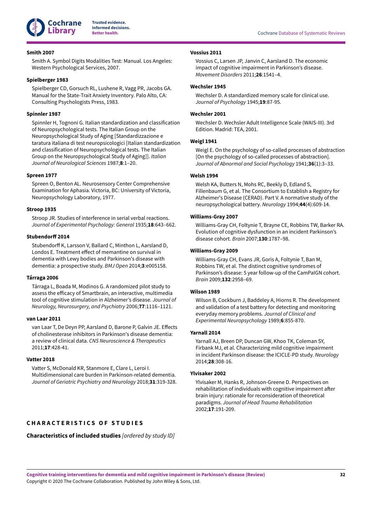

## <span id="page-33-18"></span>**Smith 2007**

Smith A. Symbol Digits Modalities Test: Manual. Los Angeles: Western Psychological Services, 2007.

## <span id="page-33-20"></span>**Spielberger 1983**

Spielberger CD, Gorsuch RL, Lushene R, Vagg PR, Jacobs GA. Manual for the State-Trait Anxiety Inventory. Palo Alto, CA: Consulting Psychologists Press, 1983.

# <span id="page-33-14"></span>**Spinnler 1987**

Spinnler H, Tognoni G. Italian standardization and classification of Neuropsychological tests. The Italian Group on the Neuropsychological Study of Aging [Standardizzazione e taratura italiana di test neuropsicologici [Italian standardization and classification of Neuropsychological tests. The Italian Group on the Neuropsychological Study of Aging]]. *Italian Journal of Neurological Sciences* 1987;**8**:1–20.

## <span id="page-33-13"></span>**Spreen 1977**

Spreen O, Benton AL. Neurosensory Center Comprehensive Examination for Aphasia. Victoria, BC: University of Victoria, Neuropsychology Laboratory, 1977.

## <span id="page-33-15"></span>**Stroop 1935**

Stroop JR. Studies of interference in serial verbal reactions. *Journal of Experimental Psychology: General* 1935;**18**:643–662.

# <span id="page-33-3"></span>**Stubendorff 2014**

Stubendorff K, Larsson V, Ballard C, Minthon L, Aarsland D, Londos E. Treatment effect of memantine on survival in dementia with Lewy bodies and Parkinson's disease with dementia: a prospective study. *BMJ Open* 2014;**3**:e005158.

#### <span id="page-33-10"></span>**Tárraga 2006**

Tárraga L, Boada M, Modinos G. A randomized pilot study to assess the efficacy of Smartbrain, an interactive, multimedia tool of cognitive stimulation in Alzheimer's disease. *Journal of Neurology, Neurosurgery, and Psychiatry* 2006;**77**:1116–1121.

#### <span id="page-33-2"></span>**van Laar 2011**

van Laar T, De Deyn PP, Aarsland D, Barone P, Galvin JE. Effects of cholinesterase inhibitors in Parkinson's disease dementia: a review of clinical data. *CNS Neuroscience & Therapeutics* 2011;**17**:428-41.

# <span id="page-33-5"></span>**Vatter 2018**

Vatter S, McDonald KR, Stanmore E, Clare L, Leroi I. Multidimensional care burden in Parkinson-related dementia. *Journal of Geriatric Psychiatry and Neurology* 2018;**31**:319-328.

# <span id="page-33-0"></span>**C H A R A C T E R I S T I C S O F S T U D I E S**

<span id="page-33-9"></span>**Characteristics of included studies** *[ordered by study ID]*

# <span id="page-33-1"></span>**Vossius 2011**

Vossius C, Larsen JP, Janvin C, Aarsland D. The economic impact of cognitive impairment in Parkinson's disease. *Movement Disorders* 2011;**26**:1541–4.

### <span id="page-33-17"></span>**Wechsler 1945**

Wechsler D. A standardized memory scale for clinical use. *Journal of Psychology* 1945;**19**:87-95.

## <span id="page-33-16"></span>**Wechsler 2001**

Wechsler D. Wechsler Adult Intelligence Scale (WAIS-III). 3rd Edition. Madrid: TEA, 2001.

#### <span id="page-33-12"></span>**Weigl 1941**

Weigl E. On the psychology of so-called processes of abstraction [On the psychology of so-called processes of abstraction]. *Journal of Abnormal and Social Psychology* 1941;**36**(1):3–33.

# <span id="page-33-11"></span>**Welsh 1994**

Welsh KA, Butters N, Mohs RC, Beekly D, Edland S, Fillenbaum G, et al. The Consortium to Establish a Registry for Alzheimer's Disease (CERAD). Part V. A normative study of the neuropsychological battery. *Neurology* 1994;**44**(4):609-14.

## <span id="page-33-4"></span>**Williams-Gray 2007**

Williams-Gray CH, Foltynie T, Brayne CE, Robbins TW, Barker RA. Evolution of cognitive dysfunction in an incident Parkinson's disease cohort. *Brain* 2007;**130**:1787–98.

# <span id="page-33-7"></span>**Williams-Gray 2009**

Williams-Gray CH, Evans JR, Goris A, Foltynie T, Ban M, Robbins TW, et al. The distinct cognitive syndromes of Parkinson's disease: 5 year follow-up of the CamPaIGN cohort. *Brain* 2009;**132**:2958–69.

#### <span id="page-33-19"></span>**Wilson 1989**

Wilson B, Cockburn J, Baddeley A, Hiorns R. The development and validation of a test battery for detecting and monitoring everyday memory problems. *Journal of Clinical and Experimental Neuropsychology* 1989;**6**:855-870.

#### <span id="page-33-6"></span>**Yarnall 2014**

Yarnall AJ, Breen DP, Duncan GW, Khoo TK, Coleman SY, Firbank MJ, et al. Characterizing mild cognitive impairment in incident Parkinson disease: the ICICLE-PD study. *Neurology* 2014;**28**:308-16.

# <span id="page-33-8"></span>**Ylvisaker 2002**

Ylvisaker M, Hanks R, Johnson-Greene D. Perspectives on rehabilitation of individuals with cognitive impairment after brain injury: rationale for reconsideration of theoretical paradigms. *Journal of Head Trauma Rehabilitation* 2002;**17**:191-209.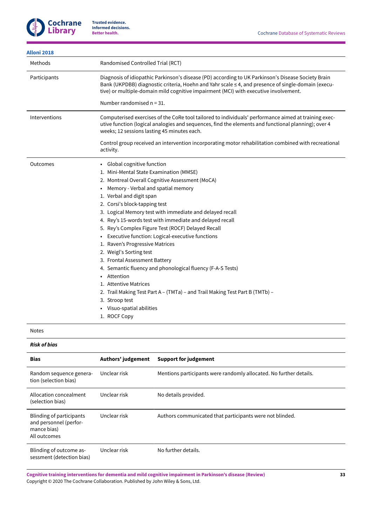| <b>Alloni 2018</b> |                                                                                                                                                                                                                                                                                                  |
|--------------------|--------------------------------------------------------------------------------------------------------------------------------------------------------------------------------------------------------------------------------------------------------------------------------------------------|
| Methods            | Randomised Controlled Trial (RCT)                                                                                                                                                                                                                                                                |
| Participants       | Diagnosis of idiopathic Parkinson's disease (PD) according to UK Parkinson's Disease Society Brain<br>Bank (UKPDBB) diagnostic criteria, Hoehn and Yahr scale ≤ 4, and presence of single-domain (execu-<br>tive) or multiple-domain mild cognitive impairment (MCI) with executive involvement. |
|                    | Number randomised $n = 31$ .                                                                                                                                                                                                                                                                     |
| Interventions      | Computerised exercises of the CoRe tool tailored to individuals' performance aimed at training exec-<br>utive function (logical analogies and sequences, find the elements and functional planning); over 4<br>weeks; 12 sessions lasting 45 minutes each.                                       |
|                    | Control group received an intervention incorporating motor rehabilitation combined with recreational<br>activity.                                                                                                                                                                                |
| Outcomes           | • Global cognitive function                                                                                                                                                                                                                                                                      |
|                    | 1. Mini-Mental State Examination (MMSE)                                                                                                                                                                                                                                                          |
|                    | 2. Montreal Overall Cognitive Assessment (MoCA)                                                                                                                                                                                                                                                  |
|                    | • Memory - Verbal and spatial memory                                                                                                                                                                                                                                                             |
|                    | 1. Verbal and digit span                                                                                                                                                                                                                                                                         |
|                    | 2. Corsi's block-tapping test                                                                                                                                                                                                                                                                    |
|                    | 3. Logical Memory test with immediate and delayed recall                                                                                                                                                                                                                                         |
|                    | 4. Rey's 15-words test with immediate and delayed recall                                                                                                                                                                                                                                         |
|                    | 5. Rey's Complex Figure Test (ROCF) Delayed Recall                                                                                                                                                                                                                                               |
|                    | Executive function: Logical-executive functions                                                                                                                                                                                                                                                  |
|                    | 1. Raven's Progressive Matrices                                                                                                                                                                                                                                                                  |
|                    | 2. Weigl's Sorting test                                                                                                                                                                                                                                                                          |
|                    | 3. Frontal Assessment Battery                                                                                                                                                                                                                                                                    |
|                    | 4. Semantic fluency and phonological fluency (F-A-S Tests)<br>• Attention                                                                                                                                                                                                                        |
|                    | 1. Attentive Matrices                                                                                                                                                                                                                                                                            |
|                    | 2. Trail Making Test Part A - (TMTa) - and Trail Making Test Part B (TMTb) -                                                                                                                                                                                                                     |
|                    | 3. Stroop test                                                                                                                                                                                                                                                                                   |
|                    | Visuo-spatial abilities                                                                                                                                                                                                                                                                          |
|                    | 1. ROCF Copy                                                                                                                                                                                                                                                                                     |
| <b>Notes</b>       |                                                                                                                                                                                                                                                                                                  |

# *Risk of bias*

| <b>Bias</b>                                                                       | Authors' judgement | <b>Support for judgement</b>                                       |
|-----------------------------------------------------------------------------------|--------------------|--------------------------------------------------------------------|
| Random sequence genera-<br>tion (selection bias)                                  | Unclear risk       | Mentions participants were randomly allocated. No further details. |
| Allocation concealment<br>(selection bias)                                        | Unclear risk       | No details provided.                                               |
| Blinding of participants<br>and personnel (perfor-<br>mance bias)<br>All outcomes | Unclear risk       | Authors communicated that participants were not blinded.           |
| Blinding of outcome as-<br>sessment (detection bias)                              | Unclear risk       | No further details.                                                |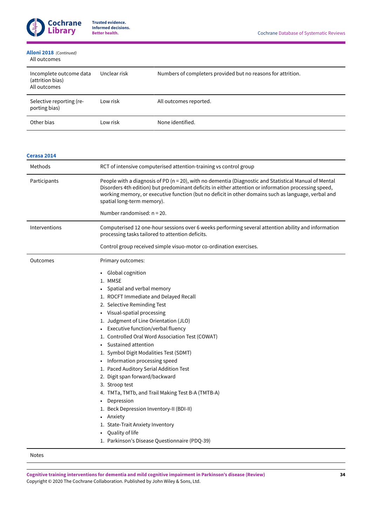

# All outcomes **[Alloni 2018](#page-24-2)**  *(Continued)*

| Incomplete outcome data<br>(attrition bias)<br>All outcomes | Unclear risk | Numbers of completers provided but no reasons for attrition. |
|-------------------------------------------------------------|--------------|--------------------------------------------------------------|
| Selective reporting (re-<br>porting bias)                   | Low risk     | All outcomes reported.                                       |
| Other bias                                                  | Low risk     | None identified.                                             |

# **[Cerasa](#page-24-3) 2014**

| Methods       | RCT of intensive computerised attention-training vs control group                                                                                                                                                                                                                                                                                  |  |  |
|---------------|----------------------------------------------------------------------------------------------------------------------------------------------------------------------------------------------------------------------------------------------------------------------------------------------------------------------------------------------------|--|--|
| Participants  | People with a diagnosis of PD (n = 20), with no dementia (Diagnostic and Statistical Manual of Mental<br>Disorders 4th edition) but predominant deficits in either attention or information processing speed,<br>working memory, or executive function (but no deficit in other domains such as language, verbal and<br>spatial long-term memory). |  |  |
|               | Number randomised: $n = 20$ .                                                                                                                                                                                                                                                                                                                      |  |  |
| Interventions | Computerised 12 one-hour sessions over 6 weeks performing several attention ability and information<br>processing tasks tailored to attention deficits.                                                                                                                                                                                            |  |  |
|               | Control group received simple visuo-motor co-ordination exercises.                                                                                                                                                                                                                                                                                 |  |  |
| Outcomes      | Primary outcomes:                                                                                                                                                                                                                                                                                                                                  |  |  |
|               | Global cognition<br>$\bullet$                                                                                                                                                                                                                                                                                                                      |  |  |
|               | 1. MMSE                                                                                                                                                                                                                                                                                                                                            |  |  |
|               | Spatial and verbal memory                                                                                                                                                                                                                                                                                                                          |  |  |
|               | 1. ROCFT Immediate and Delayed Recall                                                                                                                                                                                                                                                                                                              |  |  |
|               | 2. Selective Reminding Test                                                                                                                                                                                                                                                                                                                        |  |  |
|               | • Visual-spatial processing                                                                                                                                                                                                                                                                                                                        |  |  |
|               | 1. Judgment of Line Orientation (JLO)                                                                                                                                                                                                                                                                                                              |  |  |
|               | Executive function/verbal fluency                                                                                                                                                                                                                                                                                                                  |  |  |
|               | 1. Controlled Oral Word Association Test (COWAT)                                                                                                                                                                                                                                                                                                   |  |  |
|               | Sustained attention                                                                                                                                                                                                                                                                                                                                |  |  |
|               | 1. Symbol Digit Modalities Test (SDMT)                                                                                                                                                                                                                                                                                                             |  |  |
|               | Information processing speed<br>$\bullet$                                                                                                                                                                                                                                                                                                          |  |  |
|               | 1. Paced Auditory Serial Addition Test                                                                                                                                                                                                                                                                                                             |  |  |
|               | 2. Digit span forward/backward                                                                                                                                                                                                                                                                                                                     |  |  |
|               | 3. Stroop test                                                                                                                                                                                                                                                                                                                                     |  |  |
|               | 4. TMTa, TMTb, and Trail Making Test B-A (TMTB-A)                                                                                                                                                                                                                                                                                                  |  |  |
|               | Depression                                                                                                                                                                                                                                                                                                                                         |  |  |
|               | 1. Beck Depression Inventory-II (BDI-II)                                                                                                                                                                                                                                                                                                           |  |  |
|               | Anxiety                                                                                                                                                                                                                                                                                                                                            |  |  |
|               | 1. State-Trait Anxiety Inventory                                                                                                                                                                                                                                                                                                                   |  |  |
|               | Quality of life                                                                                                                                                                                                                                                                                                                                    |  |  |
|               | 1. Parkinson's Disease Questionnaire (PDQ-39)                                                                                                                                                                                                                                                                                                      |  |  |

# Notes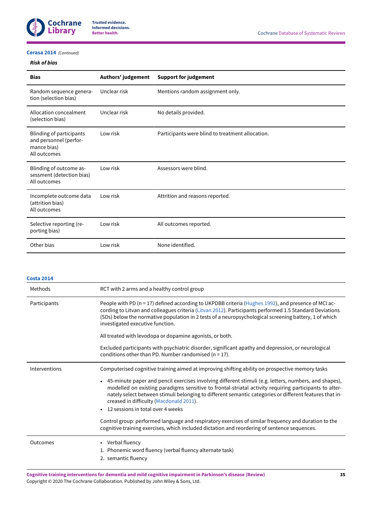

# **[Cerasa](#page-24-3) 2014**  *(Continued)*

# *Risk of bias*

| <b>Bias</b>                                                                       | Authors' judgement | <b>Support for judgement</b>                     |
|-----------------------------------------------------------------------------------|--------------------|--------------------------------------------------|
| Random sequence genera-<br>tion (selection bias)                                  | Unclear risk       | Mentions random assignment only.                 |
| Allocation concealment<br>(selection bias)                                        | Unclear risk       | No details provided.                             |
| Blinding of participants<br>and personnel (perfor-<br>mance bias)<br>All outcomes | Low risk           | Participants were blind to treatment allocation. |
| Blinding of outcome as-<br>sessment (detection bias)<br>All outcomes              | Low risk           | Assessors were blind.                            |
| Incomplete outcome data<br>(attrition bias)<br>All outcomes                       | Low risk           | Attrition and reasons reported.                  |
| Selective reporting (re-<br>porting bias)                                         | Low risk           | All outcomes reported.                           |
| Other bias                                                                        | Low risk           | None identified.                                 |

# **[Costa](#page-24-4) 2014**

| Methods       | RCT with 2 arms and a healthy control group                                                                                                                                                                                                                                                                                                                             |  |
|---------------|-------------------------------------------------------------------------------------------------------------------------------------------------------------------------------------------------------------------------------------------------------------------------------------------------------------------------------------------------------------------------|--|
| Participants  | People with PD (n = 17) defined according to UKPDBB criteria (Hughes 1992), and presence of MCI ac-<br>cording to Litvan and colleagues criteria (Litvan 2012). Participants performed 1.5 Standard Deviations<br>(SDs) below the normative population in 2 tests of a neuropsychological screening battery, 1 of which<br>investigated executive function.             |  |
|               | All treated with levodopa or dopamine agonists, or both.                                                                                                                                                                                                                                                                                                                |  |
|               | Excluded participants with psychiatric disorder, significant apathy and depression, or neurological<br>conditions other than PD. Number randomised ( $n = 17$ ).                                                                                                                                                                                                        |  |
| Interventions | Computerised cognitive training aimed at improving shifting ability on prospective memory tasks                                                                                                                                                                                                                                                                         |  |
|               | • 45-minute paper and pencil exercises involving different stimuli (e.g. letters, numbers, and shapes),<br>modelled on existing paradigms sensitive to frontal-striatal activity requiring participants to alter-<br>nately select between stimuli belonging to different semantic categories or different features that in-<br>creased in difficulty (Macdonald 2011). |  |
|               | 12 sessions in total over 4 weeks<br>$\bullet$                                                                                                                                                                                                                                                                                                                          |  |
|               | Control group: performed language and respiratory exercises of similar frequency and duration to the<br>cognitive training exercises, which included dictation and reordering of sentence sequences.                                                                                                                                                                    |  |
| Outcomes      | • Verbal fluency<br>1. Phonemic word fluency (verbal fluency alternate task)<br>2. semantic fluency                                                                                                                                                                                                                                                                     |  |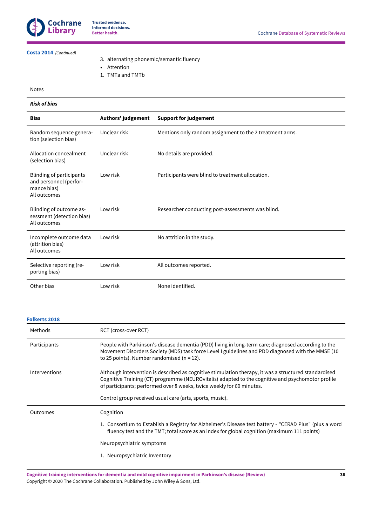

**[Costa](#page-24-4) 2014**  *(Continued)*

- 3. alternating phonemic/semantic fluency
- Attention
- 1. TMTa and TMTb

# Notes

| <b>Risk of bias</b>                                                                      |                    |                                                          |
|------------------------------------------------------------------------------------------|--------------------|----------------------------------------------------------|
| <b>Bias</b>                                                                              | Authors' judgement | <b>Support for judgement</b>                             |
| Random sequence genera-<br>tion (selection bias)                                         | Unclear risk       | Mentions only random assignment to the 2 treatment arms. |
| Allocation concealment<br>(selection bias)                                               | Unclear risk       | No details are provided.                                 |
| <b>Blinding of participants</b><br>and personnel (perfor-<br>mance bias)<br>All outcomes | Low risk           | Participants were blind to treatment allocation.         |
| Blinding of outcome as-<br>sessment (detection bias)<br>All outcomes                     | Low risk           | Researcher conducting post-assessments was blind.        |
| Incomplete outcome data<br>(attrition bias)<br>All outcomes                              | Low risk           | No attrition in the study.                               |
| Selective reporting (re-<br>porting bias)                                                | Low risk           | All outcomes reported.                                   |
| Other bias                                                                               | Low risk           | None identified.                                         |

# **[Folkerts](#page-24-1) 2018**

| Methods         | RCT (cross-over RCT)                                                                                                                                                                                                                                                                                                                            |
|-----------------|-------------------------------------------------------------------------------------------------------------------------------------------------------------------------------------------------------------------------------------------------------------------------------------------------------------------------------------------------|
| Participants    | People with Parkinson's disease dementia (PDD) living in long-term care; diagnosed according to the<br>Movement Disorders Society (MDS) task force Level I guidelines and PDD diagnosed with the MMSE (10<br>to 25 points). Number randomised ( $n = 12$ ).                                                                                     |
| Interventions   | Although intervention is described as cognitive stimulation therapy, it was a structured standardised<br>Cognitive Training (CT) programme (NEUROvitalis) adapted to the cognitive and psychomotor profile<br>of participants; performed over 8 weeks, twice weekly for 60 minutes.<br>Control group received usual care (arts, sports, music). |
| <b>Outcomes</b> | Cognition<br>1. Consortium to Establish a Registry for Alzheimer's Disease test battery - "CERAD Plus" (plus a word<br>fluency test and the TMT; total score as an index for global cognition (maximum 111 points)<br>Neuropsychiatric symptoms<br>1. Neuropsychiatric Inventory                                                                |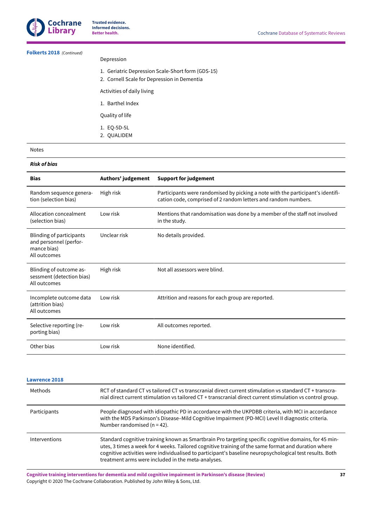

# **[Folkerts](#page-24-1) 2018**  *(Continued)*

# Depression

- 1. Geriatric Depression Scale-Short form (GDS-15)
- 2. Cornell Scale for Depression in Dementia

Activities of daily living

- 1. Barthel Index
- Quality of life
- 1. EQ-5D-5L
- 2. QUALIDEM

Notes

#### *Risk of bias*

| <b>Bias</b>                                                                              | Authors' judgement | <b>Support for judgement</b>                                                                                                                      |
|------------------------------------------------------------------------------------------|--------------------|---------------------------------------------------------------------------------------------------------------------------------------------------|
| Random sequence genera-<br>tion (selection bias)                                         | High risk          | Participants were randomised by picking a note with the participant's identifi-<br>cation code, comprised of 2 random letters and random numbers. |
| Allocation concealment<br>(selection bias)                                               | Low risk           | Mentions that randomisation was done by a member of the staff not involved<br>in the study.                                                       |
| <b>Blinding of participants</b><br>and personnel (perfor-<br>mance bias)<br>All outcomes | Unclear risk       | No details provided.                                                                                                                              |
| Blinding of outcome as-<br>sessment (detection bias)<br>All outcomes                     | High risk          | Not all assessors were blind.                                                                                                                     |
| Incomplete outcome data<br>(attrition bias)<br>All outcomes                              | Low risk           | Attrition and reasons for each group are reported.                                                                                                |
| Selective reporting (re-<br>porting bias)                                                | Low risk           | All outcomes reported.                                                                                                                            |
| Other bias                                                                               | Low risk           | None identified.                                                                                                                                  |

**[Lawrence](#page-24-5) 2018**

| Methods       | RCT of standard CT vs tailored CT vs transcranial direct current stimulation vs standard CT + transcra-<br>nial direct current stimulation vs tailored CT + transcranial direct current stimulation vs control group.                                                                                                                                                          |
|---------------|--------------------------------------------------------------------------------------------------------------------------------------------------------------------------------------------------------------------------------------------------------------------------------------------------------------------------------------------------------------------------------|
| Participants  | People diagnosed with idiopathic PD in accordance with the UKPDBB criteria, with MCI in accordance<br>with the MDS Parkinson's Disease-Mild Cognitive Impairment (PD-MCI) Level II diagnostic criteria.<br>Number randomised ( $n = 42$ ).                                                                                                                                     |
| Interventions | Standard cognitive training known as Smartbrain Pro targeting specific cognitive domains, for 45 min-<br>utes, 3 times a week for 4 weeks. Tailored cognitive training of the same format and duration where<br>cognitive activities were individualised to participant's baseline neuropsychological test results. Both<br>treatment arms were included in the meta-analyses. |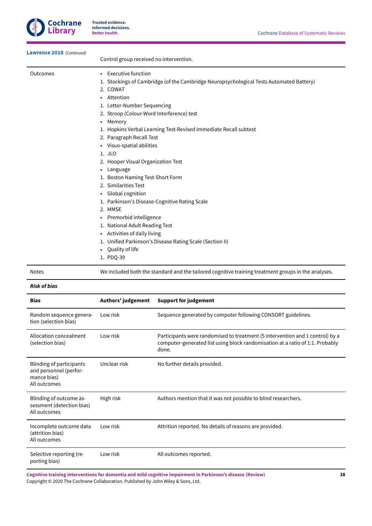

# **[Lawrence](#page-24-5) 2018**  *(Continued)*

|                     | Control group received no intervention.                                                             |
|---------------------|-----------------------------------------------------------------------------------------------------|
| Outcomes            | • Executive function                                                                                |
|                     | 1. Stockings of Cambridge (of the Cambridge Neuropsychological Tests Automated Battery)             |
|                     | 2. COWAT                                                                                            |
|                     | Attention                                                                                           |
|                     | 1. Letter-Number Sequencing                                                                         |
|                     | 2. Stroop (Colour-Word Interference) test                                                           |
|                     | • Memory                                                                                            |
|                     | 1. Hopkins Verbal Learning Test-Revised Immediate Recall subtest                                    |
|                     | 2. Paragraph Recall Test                                                                            |
|                     | • Visuo-spatial abilities                                                                           |
|                     | 1. JLO                                                                                              |
|                     | 2. Hooper Visual Organization Test                                                                  |
|                     | Language<br>$\bullet$                                                                               |
|                     | 1. Boston Naming Test-Short Form                                                                    |
|                     | 2. Similarities Test                                                                                |
|                     | • Global cognition                                                                                  |
|                     | 1. Parkinson's Disease-Cognitive Rating Scale                                                       |
|                     | 2. MMSE                                                                                             |
|                     | Premorbid intelligence<br>$\bullet$                                                                 |
|                     | 1. National Adult Reading Test                                                                      |
|                     | • Activities of daily living                                                                        |
|                     | 1. Unified Parkinson's Disease Rating Scale (Section II)                                            |
|                     | • Quality of life                                                                                   |
|                     | 1. PDQ-39                                                                                           |
| <b>Notes</b>        | We included both the standard and the tailored cognitive training treatment groups in the analyses. |
| <b>Risk of bias</b> |                                                                                                     |
|                     |                                                                                                     |

| <b>Bias</b>                                                                              | Authors' judgement | <b>Support for judgement</b>                                                                                                                                            |
|------------------------------------------------------------------------------------------|--------------------|-------------------------------------------------------------------------------------------------------------------------------------------------------------------------|
| Random sequence genera-<br>tion (selection bias)                                         | Low risk           | Sequence generated by computer following CONSORT guidelines.                                                                                                            |
| Allocation concealment<br>(selection bias)                                               | Low risk           | Participants were randomised to treatment (5 intervention and 1 control) by a<br>computer-generated list using block randomisation at a ratio of 1:1. Probably<br>done. |
| <b>Blinding of participants</b><br>and personnel (perfor-<br>mance bias)<br>All outcomes | Unclear risk       | No further details provided.                                                                                                                                            |
| Blinding of outcome as-<br>sessment (detection bias)<br>All outcomes                     | High risk          | Authors mention that it was not possible to blind researchers.                                                                                                          |
| Incomplete outcome data<br>(attrition bias)<br>All outcomes                              | Low risk           | Attrition reported. No details of reasons are provided.                                                                                                                 |
| Selective reporting (re-<br>porting bias)                                                | Low risk           | All outcomes reported.                                                                                                                                                  |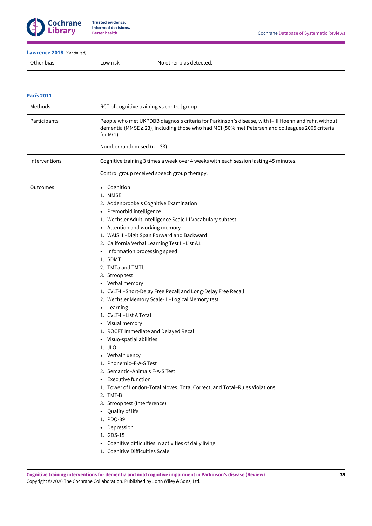

# **[Lawrence](#page-24-5) 2018**  *(Continued)*

Other bias **Low risk** No other bias detected.

# **[París](#page-24-6) 2011**

| Methods       | RCT of cognitive training vs control group                                                                                                                                                                                                                                                                                                                                                                                                                                                                                                                                                                                                                                                                                                                                                                                                                                                                                                                                                                                                                         |  |  |
|---------------|--------------------------------------------------------------------------------------------------------------------------------------------------------------------------------------------------------------------------------------------------------------------------------------------------------------------------------------------------------------------------------------------------------------------------------------------------------------------------------------------------------------------------------------------------------------------------------------------------------------------------------------------------------------------------------------------------------------------------------------------------------------------------------------------------------------------------------------------------------------------------------------------------------------------------------------------------------------------------------------------------------------------------------------------------------------------|--|--|
| Participants  | People who met UKPDBB diagnosis criteria for Parkinson's disease, with I-III Hoehn and Yahr, without<br>dementia (MMSE ≥ 23), including those who had MCI (50% met Petersen and colleagues 2005 criteria<br>for MCI).                                                                                                                                                                                                                                                                                                                                                                                                                                                                                                                                                                                                                                                                                                                                                                                                                                              |  |  |
|               | Number randomised ( $n = 33$ ).                                                                                                                                                                                                                                                                                                                                                                                                                                                                                                                                                                                                                                                                                                                                                                                                                                                                                                                                                                                                                                    |  |  |
| Interventions | Cognitive training 3 times a week over 4 weeks with each session lasting 45 minutes.                                                                                                                                                                                                                                                                                                                                                                                                                                                                                                                                                                                                                                                                                                                                                                                                                                                                                                                                                                               |  |  |
|               | Control group received speech group therapy.                                                                                                                                                                                                                                                                                                                                                                                                                                                                                                                                                                                                                                                                                                                                                                                                                                                                                                                                                                                                                       |  |  |
| Outcomes      | • Cognition<br>1. MMSE<br>2. Addenbrooke's Cognitive Examination<br>• Premorbid intelligence<br>1. Wechsler Adult Intelligence Scale III Vocabulary subtest<br>• Attention and working memory<br>1. WAIS III-Digit Span Forward and Backward<br>2. California Verbal Learning Test II-List A1<br>• Information processing speed<br>1. SDMT<br>2. TMTa and TMTb<br>3. Stroop test<br>• Verbal memory<br>1. CVLT-II-Short-Delay Free Recall and Long-Delay Free Recall<br>2. Wechsler Memory Scale-III-Logical Memory test<br>• Learning<br>1. CVLT-II-List A Total<br>• Visual memory<br>1. ROCFT Immediate and Delayed Recall<br>• Visuo-spatial abilities<br>1. JLO<br>• Verbal fluency<br>1. Phonemic-F-A-S Test<br>2. Semantic-Animals F-A-S Test<br>• Executive function<br>1. Tower of London-Total Moves, Total Correct, and Total-Rules Violations<br>2. TMT-B<br>3. Stroop test (Interference)<br>• Quality of life<br>1. PDQ-39<br>• Depression<br>1. GDS-15<br>• Cognitive difficulties in activities of daily living<br>1. Cognitive Difficulties Scale |  |  |

**Cognitive training interventions for dementia and mild cognitive impairment in Parkinson's disease (Review)** Copyright © 2020 The Cochrane Collaboration. Published by John Wiley & Sons, Ltd.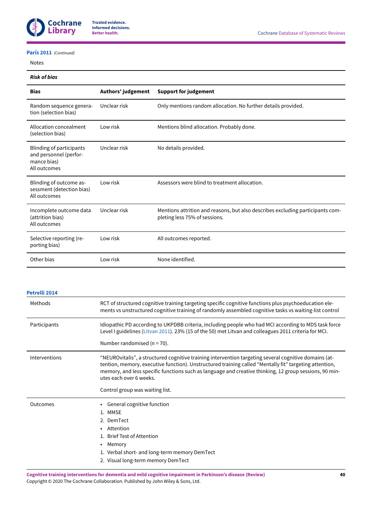

# **[París](#page-24-6) 2011**  *(Continued)*

Notes

# *Risk of bias*

| <b>Bias</b>                                                                              | Authors' judgement | <b>Support for judgement</b>                                                                                    |
|------------------------------------------------------------------------------------------|--------------------|-----------------------------------------------------------------------------------------------------------------|
| Random sequence genera-<br>tion (selection bias)                                         | Unclear risk       | Only mentions random allocation. No further details provided.                                                   |
| Allocation concealment<br>(selection bias)                                               | Low risk           | Mentions blind allocation. Probably done.                                                                       |
| <b>Blinding of participants</b><br>and personnel (perfor-<br>mance bias)<br>All outcomes | Unclear risk       | No details provided.                                                                                            |
| Blinding of outcome as-<br>sessment (detection bias)<br>All outcomes                     | Low risk           | Assessors were blind to treatment allocation.                                                                   |
| Incomplete outcome data<br>(attrition bias)<br>All outcomes                              | Unclear risk       | Mentions attrition and reasons, but also describes excluding participants com-<br>pleting less 75% of sessions. |
| Selective reporting (re-<br>porting bias)                                                | Low risk           | All outcomes reported.                                                                                          |
| Other bias                                                                               | Low risk           | None identified.                                                                                                |

# **[Petrelli](#page-24-7) 2014**

| Methods       | RCT of structured cognitive training targeting specific cognitive functions plus psychoeducation ele-<br>ments vs unstructured cognitive training of randomly assembled cognitive tasks vs waiting-list control                                                                                                                                                                         |  |
|---------------|-----------------------------------------------------------------------------------------------------------------------------------------------------------------------------------------------------------------------------------------------------------------------------------------------------------------------------------------------------------------------------------------|--|
| Participants  | Idiopathic PD according to UKPDBB criteria, including people who had MCI according to MDS task force<br>Level I guidelines (Litvan 2011). 23% (15 of the 50) met Litvan and colleagues 2011 criteria for MCI.<br>Number randomised ( $n = 70$ ).                                                                                                                                        |  |
| Interventions | "NEUROvitalis", a structured cognitive training intervention targeting several cognitive domains (at-<br>tention, memory, executive function). Unstructured training called "Mentally fit" targeting attention,<br>memory, and less specific functions such as language and creative thinking, 12 group sessions, 90 min-<br>utes each over 6 weeks.<br>Control group was waiting list. |  |
| Outcomes      | General cognitive function<br>$\bullet$<br>1. MMSE<br>2. DemTect<br>Attention<br>$\bullet$<br>1. Brief Test of Attention<br>Memory<br>$\bullet$<br>1. Verbal short- and long-term memory DemTect<br>2. Visual long-term memory DemTect                                                                                                                                                  |  |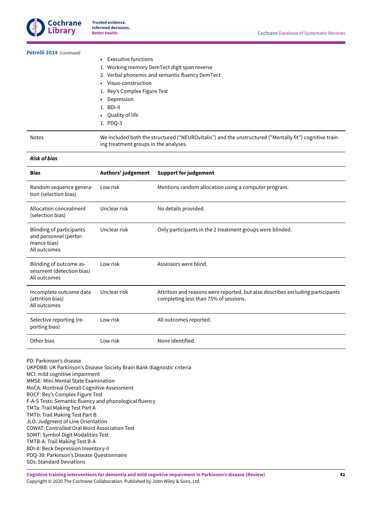

# **[Petrelli](#page-24-7) 2014**  *(Continued)*

- Executive functions
- 1. Working memory DemTect digit span reverse
- 2. Verbal phonemic and semantic fluency DemTect
- Visuo-construction
- 1. Rey's Complex Figure Test
- Depression
- 1. BDI-II
- Quality of life
- 1. PDQ-3

Notes We included both the structured ("NEUROvitalis") and the unstructured ("Mentally fit") cognitive training treatment groups in the analyses.

#### *Risk of bias*

| <b>Bias</b>                                                                              | Authors' judgement | <b>Support for judgement</b>                                                                                            |
|------------------------------------------------------------------------------------------|--------------------|-------------------------------------------------------------------------------------------------------------------------|
| Random sequence genera-<br>tion (selection bias)                                         | Low risk           | Mentions random allocation using a computer program.                                                                    |
| Allocation concealment<br>(selection bias)                                               | Unclear risk       | No details provided.                                                                                                    |
| <b>Blinding of participants</b><br>and personnel (perfor-<br>mance bias)<br>All outcomes | Unclear risk       | Only participants in the 2 treatment groups were blinded.                                                               |
| Blinding of outcome as-<br>sessment (detection bias)<br>All outcomes                     | I ow risk          | Assessors were blind.                                                                                                   |
| Incomplete outcome data<br>(attrition bias)<br>All outcomes                              | Unclear risk       | Attrition and reasons were reported, but also describes excluding participants<br>completing less than 75% of sessions. |
| Selective reporting (re-<br>porting bias)                                                | Low risk           | All outcomes reported.                                                                                                  |
| Other bias                                                                               | Low risk           | None identified.                                                                                                        |

PD: Parkinson's disease

UKPDBB: UK Parkinson's Disease Society Brain Bank diagnostic criteria MCI: mild cognitive impairment MMSE: Mini-Mental State Examination MoCA: Montreal Overall Cognitive Assessment ROCF: Rey's Complex Figure Test F-A-S Tests: Semantic fluency and phonological fluency TMTa: Trail Making Test Part A TMTb: Trail Making Test Part B JLO: Judgment of Line Orientation COWAT: Controlled Oral Word Association Test SDMT: Symbol Digit Modalities Test TMTB-A: Trail Making Test B-A BDI-II: Beck Depression Inventory-II PDQ-39: Parkinson's Disease Questionnaire SDs: Standard Deviations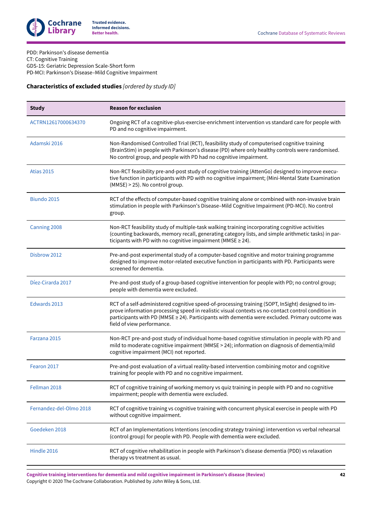

PDD: Parkinson's disease dementia CT: Cognitive Training GDS-15: Geriatric Depression Scale-Short form PD-MCI: Parkinson's Disease–Mild Cognitive Impairment

# <span id="page-43-0"></span>**Characteristics of excluded studies** *[ordered by study ID]*

| <b>Study</b>            | <b>Reason for exclusion</b>                                                                                                                                                                                                                                                                                                              |
|-------------------------|------------------------------------------------------------------------------------------------------------------------------------------------------------------------------------------------------------------------------------------------------------------------------------------------------------------------------------------|
| ACTRN12617000634370     | Ongoing RCT of a cognitive-plus-exercise-enrichment intervention vs standard care for people with<br>PD and no cognitive impairment.                                                                                                                                                                                                     |
| Adamski 2016            | Non-Randomised Controlled Trial (RCT), feasibility study of computerised cognitive training<br>(BrainStim) in people with Parkinson's disease (PD) where only healthy controls were randomised.<br>No control group, and people with PD had no cognitive impairment.                                                                     |
| <b>Atias 2015</b>       | Non-RCT feasibility pre-and-post study of cognitive training (AttenGo) designed to improve execu-<br>tive function in participants with PD with no cognitive impairment; (Mini-Mental State Examination<br>(MMSE) > 25). No control group.                                                                                               |
| Biundo 2015             | RCT of the effects of computer-based cognitive training alone or combined with non-invasive brain<br>stimulation in people with Parkinson's Disease-Mild Cognitive Impairment (PD-MCI). No control<br>group.                                                                                                                             |
| Canning 2008            | Non-RCT feasibility study of multiple-task walking training incorporating cognitive activities<br>(counting backwards, memory recall, generating category lists, and simple arithmetic tasks) in par-<br>ticipants with PD with no cognitive impairment (MMSE ≥ 24).                                                                     |
| Disbrow 2012            | Pre-and-post experimental study of a computer-based cognitive and motor training programme<br>designed to improve motor-related executive function in participants with PD. Participants were<br>screened for dementia.                                                                                                                  |
| Díez-Cirarda 2017       | Pre-and-post study of a group-based cognitive intervention for people with PD; no control group;<br>people with dementia were excluded.                                                                                                                                                                                                  |
| Edwards 2013            | RCT of a self-administered cognitive speed-of-processing training (SOPT, InSight) designed to im-<br>prove information processing speed in realistic visual contexts vs no-contact control condition in<br>participants with PD (MMSE ≥ 24). Participants with dementia were excluded. Primary outcome was<br>field of view performance. |
| Farzana 2015            | Non-RCT pre-and-post study of individual home-based cognitive stimulation in people with PD and<br>mild to moderate cognitive impairment (MMSE > 24); information on diagnosis of dementia/mild<br>cognitive impairment (MCI) not reported.                                                                                              |
| Fearon 2017             | Pre-and-post evaluation of a virtual reality-based intervention combining motor and cognitive<br>training for people with PD and no cognitive impairment.                                                                                                                                                                                |
| Fellman 2018            | RCT of cognitive training of working memory vs quiz training in people with PD and no cognitive<br>impairment; people with dementia were excluded.                                                                                                                                                                                       |
| Fernandez-del-Olmo 2018 | RCT of cognitive training vs cognitive training with concurrent physical exercise in people with PD<br>without cognitive impairment.                                                                                                                                                                                                     |
| Goedeken 2018           | RCT of an Implementations Intentions (encoding strategy training) intervention vs verbal rehearsal<br>(control group) for people with PD. People with dementia were excluded.                                                                                                                                                            |
| Hindle 2016             | RCT of cognitive rehabilitation in people with Parkinson's disease dementia (PDD) vs relaxation<br>therapy vs treatment as usual.                                                                                                                                                                                                        |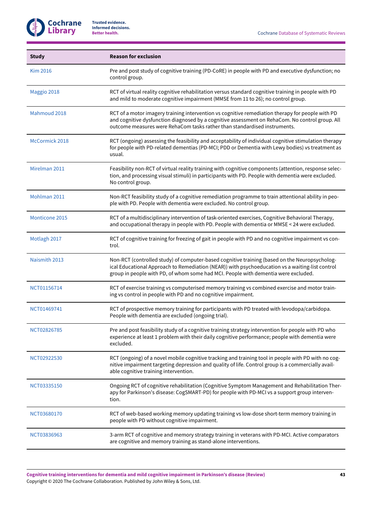| <b>Study</b>          | <b>Reason for exclusion</b>                                                                                                                                                                                                                                                            |
|-----------------------|----------------------------------------------------------------------------------------------------------------------------------------------------------------------------------------------------------------------------------------------------------------------------------------|
| <b>Kim 2016</b>       | Pre and post study of cognitive training (PD-CoRE) in people with PD and executive dysfunction; no<br>control group.                                                                                                                                                                   |
| Maggio 2018           | RCT of virtual reality cognitive rehabilitation versus standard cognitive training in people with PD<br>and mild to moderate cognitive impairment (MMSE from 11 to 26); no control group.                                                                                              |
| Mahmoud 2018          | RCT of a motor imagery training intervention vs cognitive remediation therapy for people with PD<br>and cognitive dysfunction diagnosed by a cognitive assessment on RehaCom. No control group. All<br>outcome measures were RehaCom tasks rather than standardised instruments.       |
| McCormick 2018        | RCT (ongoing) assessing the feasibility and acceptability of individual cognitive stimulation therapy<br>for people with PD-related dementias (PD-MCI; PDD or Dementia with Lewy bodies) vs treatment as<br>usual.                                                                     |
| Mirelman 2011         | Feasibility non-RCT of virtual reality training with cognitive components (attention, response selec-<br>tion, and processing visual stimuli) in participants with PD. People with dementia were excluded.<br>No control group.                                                        |
| Mohlman 2011          | Non-RCT feasibility study of a cognitive remediation programme to train attentional ability in peo-<br>ple with PD. People with dementia were excluded. No control group.                                                                                                              |
| <b>Monticone 2015</b> | RCT of a multidisciplinary intervention of task-oriented exercises, Cognitive Behavioral Therapy,<br>and occupational therapy in people with PD. People with dementia or MMSE < 24 were excluded.                                                                                      |
| Motlagh 2017          | RCT of cognitive training for freezing of gait in people with PD and no cognitive impairment vs con-<br>trol.                                                                                                                                                                          |
| Naismith 2013         | Non-RCT (controlled study) of computer-based cognitive training (based on the Neuropsycholog-<br>ical Educational Approach to Remediation (NEAR)) with psychoeducation vs a waiting-list control<br>group in people with PD, of whom some had MCI. People with dementia were excluded. |
| NCT01156714           | RCT of exercise training vs computerised memory training vs combined exercise and motor train-<br>ing vs control in people with PD and no cognitive impairment.                                                                                                                        |
| NCT01469741           | RCT of prospective memory training for participants with PD treated with levodopa/carbidopa.<br>People with dementia are excluded (ongoing trial).                                                                                                                                     |
| NC102826785           | Pre and post feasibility study of a cognitive training strategy intervention for people with PD who<br>experience at least 1 problem with their daily cognitive performance; people with dementia were<br>excluded.                                                                    |
| NCT02922530           | RCT (ongoing) of a novel mobile cognitive tracking and training tool in people with PD with no cog-<br>nitive impairment targeting depression and quality of life. Control group is a commercially avail-<br>able cognitive training intervention.                                     |
| NCT03335150           | Ongoing RCT of cognitive rehabilitation (Cognitive Symptom Management and Rehabilitation Ther-<br>apy for Parkinson's disease: CogSMART-PD) for people with PD-MCI vs a support group interven-<br>tion.                                                                               |
| NCT03680170           | RCT of web-based working memory updating training vs low-dose short-term memory training in<br>people with PD without cognitive impairment.                                                                                                                                            |
| NCT03836963           | 3-arm RCT of cognitive and memory strategy training in veterans with PD-MCI. Active comparators<br>are cognitive and memory training as stand-alone interventions.                                                                                                                     |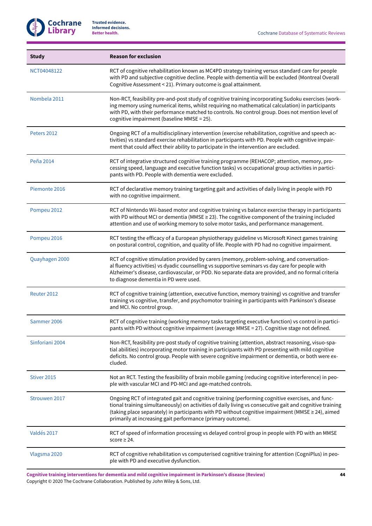| <b>Study</b>    | <b>Reason for exclusion</b>                                                                                                                                                                                                                                                                                                                                                      |
|-----------------|----------------------------------------------------------------------------------------------------------------------------------------------------------------------------------------------------------------------------------------------------------------------------------------------------------------------------------------------------------------------------------|
| NCT04048122     | RCT of cognitive rehabilitation known as MC4PD strategy training versus standard care for people<br>with PD and subjective cognitive decline. People with dementia will be excluded (Montreal Overall<br>Cognitive Assessment < 21). Primary outcome is goal attainment.                                                                                                         |
| Nombela 2011    | Non-RCT, feasibility pre-and-post study of cognitive training incorporating Sudoku exercises (work-<br>ing memory using numerical items, whilst requiring no mathematical calculation) in participants<br>with PD, with their performance matched to controls. No control group. Does not mention level of<br>cognitive impairment (baseline MMSE = 25).                         |
| Peters 2012     | Ongoing RCT of a multidisciplinary intervention (exercise rehabilitation, cognitive and speech ac-<br>tivities) vs standard exercise rehabilitation in participants with PD. People with cognitive impair-<br>ment that could affect their ability to participate in the intervention are excluded.                                                                              |
| Peña 2014       | RCT of integrative structured cognitive training programme (REHACOP; attention, memory, pro-<br>cessing speed, language and executive function tasks) vs occupational group activities in partici-<br>pants with PD. People with dementia were excluded.                                                                                                                         |
| Piemonte 2016   | RCT of declarative memory training targeting gait and activities of daily living in people with PD<br>with no cognitive impairment.                                                                                                                                                                                                                                              |
| Pompeu 2012     | RCT of Nintendo Wii-based motor and cognitive training vs balance exercise therapy in participants<br>with PD without MCI or dementia (MMSE ≥ 23). The cognitive component of the training included<br>attention and use of working memory to solve motor tasks, and performance management.                                                                                     |
| Pompeu 2016     | RCT testing the efficacy of a European physiotherapy guideline vs Microsoft Kinect games training<br>on postural control, cognition, and quality of life. People with PD had no cognitive impairment.                                                                                                                                                                            |
| Quayhagen 2000  | RCT of cognitive stimulation provided by carers (memory, problem-solving, and conversation-<br>al fluency activities) vs dyadic counselling vs supportive seminars vs day care for people with<br>Alzheimer's disease, cardiovascular, or PDD. No separate data are provided, and no formal criteria<br>to diagnose dementia in PD were used.                                    |
| Reuter 2012     | RCT of cognitive training (attention, executive function, memory training) vs cognitive and transfer<br>training vs cognitive, transfer, and psychomotor training in participants with Parkinson's disease<br>and MCI. No control group.                                                                                                                                         |
| Sammer 2006     | RCT of cognitive training (working memory tasks targeting executive function) vs control in partici-<br>pants with PD without cognitive impairment (average MMSE = 27). Cognitive stage not defined.                                                                                                                                                                             |
| Sinforiani 2004 | Non-RCT, feasibility pre-post study of cognitive training (attention, abstract reasoning, visuo-spa-<br>tial abilities) incorporating motor training in participants with PD presenting with mild cognitive<br>deficits. No control group. People with severe cognitive impairment or dementia, or both were ex-<br>cluded.                                                      |
| Stiver 2015     | Not an RCT. Testing the feasibility of brain mobile gaming (reducing cognitive interference) in peo-<br>ple with vascular MCI and PD-MCI and age-matched controls.                                                                                                                                                                                                               |
| Strouwen 2017   | Ongoing RCT of integrated gait and cognitive training (performing cognitive exercises, and func-<br>tional training simultaneously) on activities of daily living vs consecutive gait and cognitive training<br>(taking place separately) in participants with PD without cognitive impairment (MMSE ≥ 24), aimed<br>primarily at increasing gait performance (primary outcome). |
| Valdés 2017     | RCT of speed of information processing vs delayed control group in people with PD with an MMSE<br>score $\geq$ 24.                                                                                                                                                                                                                                                               |
| Vlagsma 2020    | RCT of cognitive rehabilitation vs computerised cognitive training for attention (CogniPlus) in peo-<br>ple with PD and executive dysfunction.                                                                                                                                                                                                                                   |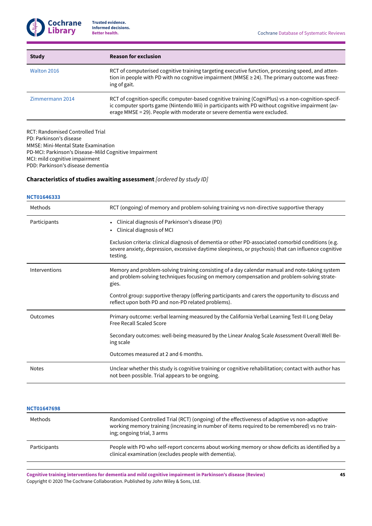| <b>Study</b>    | <b>Reason for exclusion</b>                                                                                                                                                                                                                                                        |
|-----------------|------------------------------------------------------------------------------------------------------------------------------------------------------------------------------------------------------------------------------------------------------------------------------------|
| Walton 2016     | RCT of computerised cognitive training targeting executive function, processing speed, and atten-<br>tion in people with PD with no cognitive impairment (MMSE ≥ 24). The primary outcome was freez-<br>ing of gait.                                                               |
| Zimmermann 2014 | RCT of cognition-specific computer-based cognitive training (CogniPlus) vs a non-cognition-specif-<br>ic computer sports game (Nintendo Wii) in participants with PD without cognitive impairment (av-<br>erage MMSE = 29). People with moderate or severe dementia were excluded. |

RCT: Randomised Controlled Trial PD: Parkinson's disease MMSE: Mini-Mental State Examination PD-MCI: Parkinson's Disease–Mild Cognitive Impairment MCI: mild cognitive impairment PDD: Parkinson's disease dementia

# <span id="page-46-0"></span>**Characteristics of studies awaiting assessment** *[ordered by study ID]*

| <b>NCT01646333</b> |                                                                                                                                                                                                                         |
|--------------------|-------------------------------------------------------------------------------------------------------------------------------------------------------------------------------------------------------------------------|
| Methods            | RCT (ongoing) of memory and problem-solving training vs non-directive supportive therapy                                                                                                                                |
| Participants       | Clinical diagnosis of Parkinson's disease (PD)<br>$\bullet$<br>• Clinical diagnosis of MCI                                                                                                                              |
|                    | Exclusion criteria: clinical diagnosis of dementia or other PD-associated comorbid conditions (e.g.<br>severe anxiety, depression, excessive daytime sleepiness, or psychosis) that can influence cognitive<br>testing. |
| Interventions      | Memory and problem-solving training consisting of a day calendar manual and note-taking system<br>and problem-solving techniques focusing on memory compensation and problem-solving strate-<br>gies.                   |
|                    | Control group: supportive therapy (offering participants and carers the opportunity to discuss and<br>reflect upon both PD and non-PD related problems).                                                                |
| Outcomes           | Primary outcome: verbal learning measured by the California Verbal Learning Test-II Long Delay<br><b>Free Recall Scaled Score</b>                                                                                       |
|                    | Secondary outcomes: well-being measured by the Linear Analog Scale Assessment Overall Well Be-<br>ing scale                                                                                                             |
|                    | Outcomes measured at 2 and 6 months.                                                                                                                                                                                    |
| <b>Notes</b>       | Unclear whether this study is cognitive training or cognitive rehabilitation; contact with author has<br>not been possible. Trial appears to be ongoing.                                                                |

| <b>NCT01647698</b> |                                                                                                                                                                                                                              |
|--------------------|------------------------------------------------------------------------------------------------------------------------------------------------------------------------------------------------------------------------------|
| Methods            | Randomised Controlled Trial (RCT) (ongoing) of the effectiveness of adaptive vs non-adaptive<br>working memory training (increasing in number of items required to be remembered) vs no train-<br>ing; ongoing trial, 3 arms |
| Participants       | People with PD who self-report concerns about working memory or show deficits as identified by a<br>clinical examination (excludes people with dementia).                                                                    |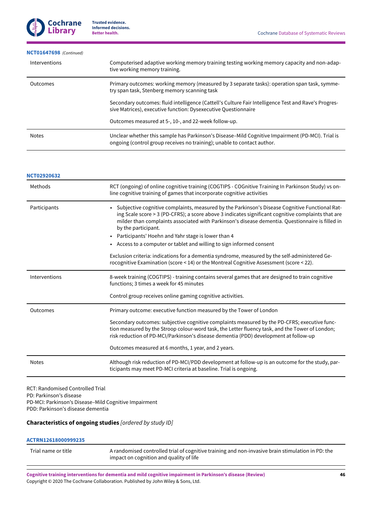### **[NCT01647698](#page-26-0)**  *(Continued)*

l,

| Interventions | Computerised adaptive working memory training testing working memory capacity and non-adap-<br>tive working memory training.                                                |
|---------------|-----------------------------------------------------------------------------------------------------------------------------------------------------------------------------|
| Outcomes      | Primary outcomes: working memory (measured by 3 separate tasks): operation span task, symme-<br>try span task, Stenberg memory scanning task                                |
|               | Secondary outcomes: fluid intelligence (Cattell's Culture Fair Intelligence Test and Rave's Progres-<br>sive Matrices), executive function: Dysexecutive Questionnaire      |
|               | Outcomes measured at 5-, 10-, and 22-week follow-up.                                                                                                                        |
| Notes         | Unclear whether this sample has Parkinson's Disease–Mild Cognitive Impairment (PD-MCI). Trial is<br>ongoing (control group receives no training); unable to contact author. |

# **[NCT02920632](#page-27-14)**

| Methods       | RCT (ongoing) of online cognitive training (COGTIPS - COGnitive Training In Parkinson Study) vs on-<br>line cognitive training of games that incorporate cognitive activities                                                                                                                                                                                                                                                                                                                                                                                                                                                                                              |
|---------------|----------------------------------------------------------------------------------------------------------------------------------------------------------------------------------------------------------------------------------------------------------------------------------------------------------------------------------------------------------------------------------------------------------------------------------------------------------------------------------------------------------------------------------------------------------------------------------------------------------------------------------------------------------------------------|
| Participants  | Subjective cognitive complaints, measured by the Parkinson's Disease Cognitive Functional Rat-<br>ing Scale score > 3 (PD-CFRS); a score above 3 indicates significant cognitive complaints that are<br>milder than complaints associated with Parkinson's disease dementia. Questionnaire is filled in<br>by the participant.<br>Participants' Hoehn and Yahr stage is lower than 4<br>٠<br>Access to a computer or tablet and willing to sign informed consent<br>$\bullet$<br>Exclusion criteria: indications for a dementia syndrome, measured by the self-administered Ge-<br>rocognitive Examination (score < 14) or the Montreal Cognitive Assessment (score < 22). |
| Interventions | 8-week training (COGTIPS) - training contains several games that are designed to train cognitive<br>functions; 3 times a week for 45 minutes                                                                                                                                                                                                                                                                                                                                                                                                                                                                                                                               |
|               | Control group receives online gaming cognitive activities.                                                                                                                                                                                                                                                                                                                                                                                                                                                                                                                                                                                                                 |
| Outcomes      | Primary outcome: executive function measured by the Tower of London                                                                                                                                                                                                                                                                                                                                                                                                                                                                                                                                                                                                        |
|               | Secondary outcomes: subjective cognitive complaints measured by the PD-CFRS; executive func-<br>tion measured by the Stroop colour-word task, the Letter fluency task, and the Tower of London;<br>risk reduction of PD-MCI/Parkinson's disease dementia (PDD) development at follow-up                                                                                                                                                                                                                                                                                                                                                                                    |
|               | Outcomes measured at 6 months, 1 year, and 2 years.                                                                                                                                                                                                                                                                                                                                                                                                                                                                                                                                                                                                                        |
| <b>Notes</b>  | Although risk reduction of PD-MCI/PDD development at follow-up is an outcome for the study, par-<br>ticipants may meet PD-MCI criteria at baseline. Trial is ongoing.                                                                                                                                                                                                                                                                                                                                                                                                                                                                                                      |

RCT: Randomised Controlled Trial PD: Parkinson's disease PD-MCI: Parkinson's Disease–Mild Cognitive Impairment PDD: Parkinson's disease dementia

<span id="page-47-0"></span>**Characteristics of ongoing studies** *[ordered by study ID]*

# **[ACTRN12618000999235](#page-27-9)**

| Trial name or title | A randomised controlled trial of cognitive training and non-invasive brain stimulation in PD: the |
|---------------------|---------------------------------------------------------------------------------------------------|
|                     | impact on cognition and quality of life                                                           |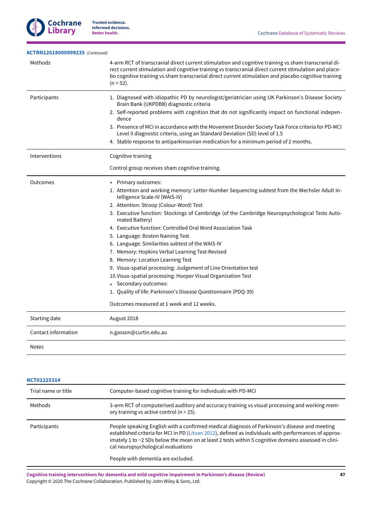# **[ACTRN12618000999235](#page-27-9)**  *(Continued)*

**Cochrane Library**

| Methods             | 4-arm RCT of transcranial direct current stimulation and cognitive training vs sham transcranial di-<br>rect current stimulation and cognitive training vs transcranial direct current stimulation and place-<br>bo cognitive training vs sham transcranial direct current stimulation and placebo cognitive training<br>$(n = 52)$ . |
|---------------------|---------------------------------------------------------------------------------------------------------------------------------------------------------------------------------------------------------------------------------------------------------------------------------------------------------------------------------------|
| Participants        | 1. Diagnosed with idiopathic PD by neurologist/geriatrician using UK Parkinson's Disease Society<br>Brain Bank (UKPDBB) diagnostic criteria                                                                                                                                                                                           |
|                     | 2. Self-reported problems with cognition that do not significantly impact on functional indepen-<br>dence                                                                                                                                                                                                                             |
|                     | 3. Presence of MCI in accordance with the Movement Disorder Society Task Force criteria for PD-MCI<br>Level II diagnostic criteria, using an Standard Deviation (SD) level of 1.5                                                                                                                                                     |
|                     | 4. Stable response to antiparkinsonian medication for a minimum period of 2 months.                                                                                                                                                                                                                                                   |
| Interventions       | Cognitive training                                                                                                                                                                                                                                                                                                                    |
|                     | Control group receives sham cognitive training.                                                                                                                                                                                                                                                                                       |
| Outcomes            | Primary outcomes:                                                                                                                                                                                                                                                                                                                     |
|                     | 1. Attention and working memory: Letter-Number Sequencing subtest from the Wechsler Adult In-<br>telligence Scale-IV (WAIS-IV)                                                                                                                                                                                                        |
|                     | 2. Attention: Stroop (Colour-Word) Test                                                                                                                                                                                                                                                                                               |
|                     | 3. Executive function: Stockings of Cambridge (of the Cambridge Neuropsychological Tests Auto-<br>mated Battery)                                                                                                                                                                                                                      |
|                     | 4. Executive function: Controlled Oral Word Association Task                                                                                                                                                                                                                                                                          |
|                     | 5. Language: Boston Naming Test                                                                                                                                                                                                                                                                                                       |
|                     | 6. Language: Similarities subtest of the WAIS-IV                                                                                                                                                                                                                                                                                      |
|                     | 7. Memory: Hopkins Verbal Learning Test-Revised                                                                                                                                                                                                                                                                                       |
|                     | 8. Memory: Location Learning Test                                                                                                                                                                                                                                                                                                     |
|                     | 9. Visuo-spatial processing: Judgement of Line Orientation test                                                                                                                                                                                                                                                                       |
|                     | 10. Visuo-spatial processing: Hooper Visual Organization Test                                                                                                                                                                                                                                                                         |
|                     | • Secondary outcomes:                                                                                                                                                                                                                                                                                                                 |
|                     | 1. Quality of life: Parkinson's Disease Questionnaire (PDQ-39)                                                                                                                                                                                                                                                                        |
|                     | Outcomes measured at 1 week and 12 weeks.                                                                                                                                                                                                                                                                                             |
| Starting date       | August 2018                                                                                                                                                                                                                                                                                                                           |
| Contact information | n.gasson@curtin.edu.au                                                                                                                                                                                                                                                                                                                |
| Notes               |                                                                                                                                                                                                                                                                                                                                       |

| <b>NCT02225314</b>  |                                                                                                                                                                                                                                                                                                                                                                                            |
|---------------------|--------------------------------------------------------------------------------------------------------------------------------------------------------------------------------------------------------------------------------------------------------------------------------------------------------------------------------------------------------------------------------------------|
| Trial name or title | Computer-based cognitive training for individuals with PD-MCI                                                                                                                                                                                                                                                                                                                              |
| Methods             | 3-arm RCT of computerised auditory and accuracy training vs visual processing and working mem-<br>ory training vs active control ( $n = 25$ ).                                                                                                                                                                                                                                             |
| Participants        | People speaking English with a confirmed medical diagnosis of Parkinson's disease and meeting<br>established criteria for MCI in PD (Litvan 2012), defined as individuals with performances of approx-<br>imately 1 to -2 SDs below the mean on at least 2 tests within 5 cognitive domains assessed in clini-<br>cal neuropsychological evaluations<br>People with dementia are excluded. |
|                     |                                                                                                                                                                                                                                                                                                                                                                                            |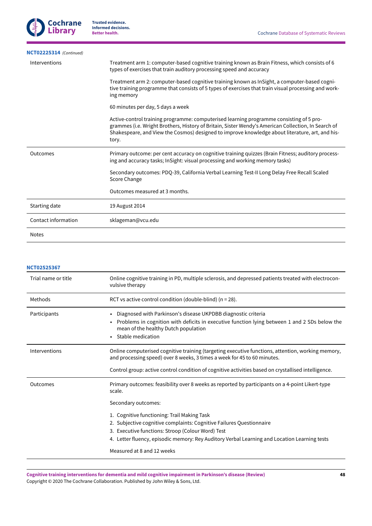

| NCT02225314 (Continued) |                                                                                                                                                                                                                                                                                                            |  |  |  |  |  |  |
|-------------------------|------------------------------------------------------------------------------------------------------------------------------------------------------------------------------------------------------------------------------------------------------------------------------------------------------------|--|--|--|--|--|--|
| Interventions           | Treatment arm 1: computer-based cognitive training known as Brain Fitness, which consists of 6<br>types of exercises that train auditory processing speed and accuracy                                                                                                                                     |  |  |  |  |  |  |
|                         | Treatment arm 2: computer-based cognitive training known as InSight, a computer-based cogni-<br>tive training programme that consists of 5 types of exercises that train visual processing and work-<br>ing memory                                                                                         |  |  |  |  |  |  |
|                         | 60 minutes per day, 5 days a week                                                                                                                                                                                                                                                                          |  |  |  |  |  |  |
|                         | Active-control training programme: computerised learning programme consisting of 5 pro-<br>grammes (i.e. Wright Brothers, History of Britain, Sister Wendy's American Collection, In Search of<br>Shakespeare, and View the Cosmos) designed to improve knowledge about literature, art, and his-<br>tory. |  |  |  |  |  |  |
| Outcomes                | Primary outcome: per cent accuracy on cognitive training quizzes (Brain Fitness; auditory process-<br>ing and accuracy tasks; InSight: visual processing and working memory tasks)                                                                                                                         |  |  |  |  |  |  |
|                         | Secondary outcomes: PDQ-39, California Verbal Learning Test-II Long Delay Free Recall Scaled<br>Score Change                                                                                                                                                                                               |  |  |  |  |  |  |
|                         | Outcomes measured at 3 months.                                                                                                                                                                                                                                                                             |  |  |  |  |  |  |
| Starting date           | 19 August 2014                                                                                                                                                                                                                                                                                             |  |  |  |  |  |  |
| Contact information     | sklageman@vcu.edu                                                                                                                                                                                                                                                                                          |  |  |  |  |  |  |
| <b>Notes</b>            |                                                                                                                                                                                                                                                                                                            |  |  |  |  |  |  |
|                         |                                                                                                                                                                                                                                                                                                            |  |  |  |  |  |  |

| <b>NCT02525367</b>  |                                                                                                                                                                                                                                                                                      |
|---------------------|--------------------------------------------------------------------------------------------------------------------------------------------------------------------------------------------------------------------------------------------------------------------------------------|
| Trial name or title | Online cognitive training in PD, multiple sclerosis, and depressed patients treated with electrocon-<br>vulsive therapy                                                                                                                                                              |
| Methods             | RCT vs active control condition (double-blind) ( $n = 28$ ).                                                                                                                                                                                                                         |
| Participants        | Diagnosed with Parkinson's disease UKPDBB diagnostic criteria<br>$\bullet$<br>Problems in cognition with deficits in executive function lying between 1 and 2 SDs below the<br>mean of the healthy Dutch population<br>Stable medication                                             |
| Interventions       | Online computerised cognitive training (targeting executive functions, attention, working memory,<br>and processing speed) over 8 weeks, 3 times a week for 45 to 60 minutes.<br>Control group: active control condition of cognitive activities based on crystallised intelligence. |
|                     |                                                                                                                                                                                                                                                                                      |
| Outcomes            | Primary outcomes: feasibility over 8 weeks as reported by participants on a 4-point Likert-type<br>scale.                                                                                                                                                                            |
|                     | Secondary outcomes:                                                                                                                                                                                                                                                                  |
|                     | 1. Cognitive functioning: Trail Making Task                                                                                                                                                                                                                                          |
|                     | 2. Subjective cognitive complaints: Cognitive Failures Questionnaire                                                                                                                                                                                                                 |
|                     | 3. Executive functions: Stroop (Colour Word) Test                                                                                                                                                                                                                                    |
|                     | 4. Letter fluency, episodic memory: Rey Auditory Verbal Learning and Location Learning tests                                                                                                                                                                                         |
|                     | Measured at 8 and 12 weeks                                                                                                                                                                                                                                                           |
|                     |                                                                                                                                                                                                                                                                                      |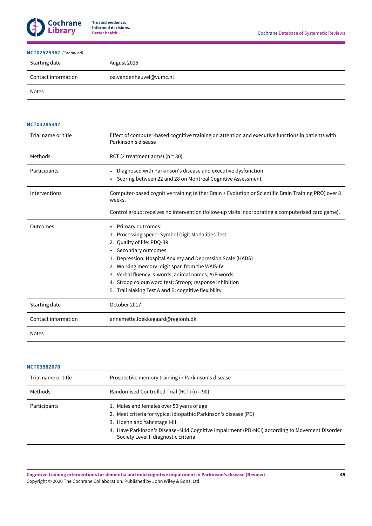

# **[NCT02525367](#page-27-12)**  *(Continued)*

| Starting date       | August 2015             |
|---------------------|-------------------------|
| Contact information | oa.vandenheuvel@vumc.nl |
| <b>Notes</b>        |                         |

| <b>NCT03285347</b>  |                                                                                                                                                                                                                                                                                                                                                                                                                                    |
|---------------------|------------------------------------------------------------------------------------------------------------------------------------------------------------------------------------------------------------------------------------------------------------------------------------------------------------------------------------------------------------------------------------------------------------------------------------|
| Trial name or title | Effect of computer-based cognitive training on attention and executive functions in patients with<br>Parkinson's disease                                                                                                                                                                                                                                                                                                           |
| Methods             | RCT (2 treatment arms) ( $n = 30$ ).                                                                                                                                                                                                                                                                                                                                                                                               |
| Participants        | Diagnosed with Parkinson's disease and executive dysfunction<br>Scoring between 22 and 28 on Montreal Cognitive Assessment                                                                                                                                                                                                                                                                                                         |
| Interventions       | Computer-based cognitive training (either Brain + Evolution or Scientific Brain Training PRO) over 8<br>weeks.                                                                                                                                                                                                                                                                                                                     |
|                     | Control group: receives no intervention (follow-up visits incorporating a computerised card game).                                                                                                                                                                                                                                                                                                                                 |
| Outcomes            | Primary outcomes:<br>$\bullet$<br>1. Processing speed: Symbol Digit Modalities Test<br>2. Quality of life: PDQ-39<br>Secondary outcomes:<br>1. Depression: Hospital Anxiety and Depression Scale (HADS)<br>2. Working memory: digit span from the WAIS-IV<br>3. Verbal fluency: s-words; animal names; A/F-words<br>4. Stroop colour/word test: Stroop; response inhibition<br>5. Trail Making Test A and B: cognitive flexibility |
| Starting date       | October 2017                                                                                                                                                                                                                                                                                                                                                                                                                       |
| Contact information | annemette.loekkegaard@regionh.dk                                                                                                                                                                                                                                                                                                                                                                                                   |
| <b>Notes</b>        |                                                                                                                                                                                                                                                                                                                                                                                                                                    |

### **[NCT03582670](#page-27-8)**

| Trial name or title | Prospective memory training in Parkinson's disease                                                                                                                                                                                                                                      |
|---------------------|-----------------------------------------------------------------------------------------------------------------------------------------------------------------------------------------------------------------------------------------------------------------------------------------|
| Methods             | Randomised Controlled Trial (RCT) ( $n = 90$ ).                                                                                                                                                                                                                                         |
| Participants        | 1. Males and females over 50 years of age<br>2. Meet criteria for typical idiopathic Parkinson's disease (PD)<br>3. Hoehn and Yahr stage I-III<br>4. Have Parkinson's Disease-Mild Cognitive Impairment (PD-MCI) according to Movement Disorder<br>Society Level II diagnostic criteria |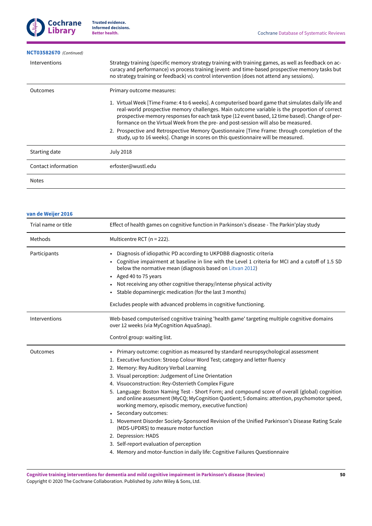

| NCT03582670 (Continued) |                                                                                                                                                                                                                                                                                                                                                                                                                                                                                                                                                                                  |
|-------------------------|----------------------------------------------------------------------------------------------------------------------------------------------------------------------------------------------------------------------------------------------------------------------------------------------------------------------------------------------------------------------------------------------------------------------------------------------------------------------------------------------------------------------------------------------------------------------------------|
| Interventions           | Strategy training (specific memory strategy training with training games, as well as feedback on ac-<br>curacy and performance) vs process training (event- and time-based prospective memory tasks but<br>no strategy training or feedback) vs control intervention (does not attend any sessions).                                                                                                                                                                                                                                                                             |
| Outcomes                | Primary outcome measures:                                                                                                                                                                                                                                                                                                                                                                                                                                                                                                                                                        |
|                         | 1. Virtual Week [Time Frame: 4 to 6 weeks]. A computerised board game that simulates daily life and<br>real-world prospective memory challenges. Main outcome variable is the proportion of correct<br>prospective memory responses for each task type (12 event based, 12 time based). Change of per-<br>formance on the Virtual Week from the pre- and post-session will also be measured.<br>2. Prospective and Retrospective Memory Questionnaire [Time Frame: through completion of the<br>study, up to 16 weeks]. Change in scores on this questionnaire will be measured. |
| Starting date           | <b>July 2018</b>                                                                                                                                                                                                                                                                                                                                                                                                                                                                                                                                                                 |
| Contact information     | erfoster@wustl.edu                                                                                                                                                                                                                                                                                                                                                                                                                                                                                                                                                               |
| <b>Notes</b>            |                                                                                                                                                                                                                                                                                                                                                                                                                                                                                                                                                                                  |

| Trial name or title | Effect of health games on cognitive function in Parkinson's disease - The Parkin'play study                                                                                                                                                                                                                                                                                                                                                                                                                                                                                                                                                                                                                                                                                                                                                                                                                |
|---------------------|------------------------------------------------------------------------------------------------------------------------------------------------------------------------------------------------------------------------------------------------------------------------------------------------------------------------------------------------------------------------------------------------------------------------------------------------------------------------------------------------------------------------------------------------------------------------------------------------------------------------------------------------------------------------------------------------------------------------------------------------------------------------------------------------------------------------------------------------------------------------------------------------------------|
| Methods             | Multicentre RCT (n = 222).                                                                                                                                                                                                                                                                                                                                                                                                                                                                                                                                                                                                                                                                                                                                                                                                                                                                                 |
| Participants        | Diagnosis of idiopathic PD according to UKPDBB diagnostic criteria<br>Cognitive impairment at baseline in line with the Level 1 criteria for MCI and a cutoff of 1.5 SD<br>below the normative mean (diagnosis based on Litvan 2012)<br>• Aged 40 to 75 years<br>Not receiving any other cognitive therapy/intense physical activity<br>Stable dopaminergic medication (for the last 3 months)<br>Excludes people with advanced problems in cognitive functioning.                                                                                                                                                                                                                                                                                                                                                                                                                                         |
| Interventions       | Web-based computerised cognitive training 'health game' targeting multiple cognitive domains<br>over 12 weeks (via MyCognition AquaSnap).<br>Control group: waiting list.                                                                                                                                                                                                                                                                                                                                                                                                                                                                                                                                                                                                                                                                                                                                  |
| Outcomes            | • Primary outcome: cognition as measured by standard neuropsychological assessment<br>1. Executive function: Stroop Colour Word Test; category and letter fluency<br>2. Memory: Rey Auditory Verbal Learning<br>3. Visual perception: Judgement of Line Orientation<br>4. Visuoconstruction: Rey-Osterrieth Complex Figure<br>5. Language: Boston Naming Test - Short Form; and compound score of overall (global) cognition<br>and online assessment (MyCQ; MyCognition Quotient; 5 domains: attention, psychomotor speed,<br>working memory, episodic memory, executive function)<br>• Secondary outcomes:<br>1. Movement Disorder Society-Sponsored Revision of the Unified Parkinson's Disease Rating Scale<br>(MDS-UPDRS) to measure motor function<br>2. Depression: HADS<br>3. Self-report evaluation of perception<br>4. Memory and motor-function in daily life: Cognitive Failures Questionnaire |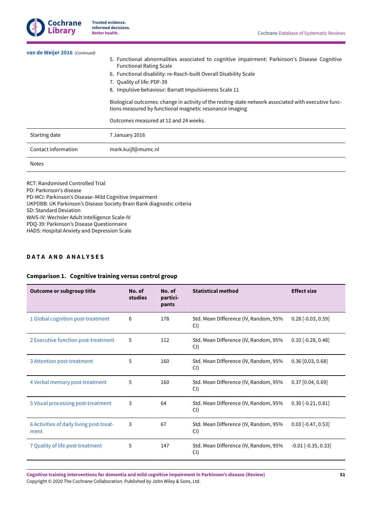| van de Weijer 2016 (Continued) | 5. Functional abnormalities associated to cognitive impairment: Parkinson's Disease Cognitive<br><b>Functional Rating Scale</b><br>6. Functional disability: re-Rasch-built Overall Disability Scale<br>7. Quality of life: PDF-39<br>8. Impulsive behaviour: Barratt Impulsiveness Scale 11<br>Biological outcomes: change in activity of the resting-state network associated with executive func-<br>tions measured by functional magnetic resonance imaging<br>Outcomes measured at 12 and 24 weeks. |
|--------------------------------|----------------------------------------------------------------------------------------------------------------------------------------------------------------------------------------------------------------------------------------------------------------------------------------------------------------------------------------------------------------------------------------------------------------------------------------------------------------------------------------------------------|
| Starting date                  | 7 January 2016                                                                                                                                                                                                                                                                                                                                                                                                                                                                                           |
| Contact information            | mark.kuijf@mumc.nl                                                                                                                                                                                                                                                                                                                                                                                                                                                                                       |
| <b>Notes</b>                   |                                                                                                                                                                                                                                                                                                                                                                                                                                                                                                          |

RCT: Randomised Controlled Trial PD: Parkinson's disease PD-MCI: Parkinson's Disease–Mild Cognitive Impairment UKPDBB: UK Parkinson's Disease Society Brain Bank diagnostic criteria SD: Standard Deviation WAIS-IV: Wechsler Adult Intelligence Scale-IV PDQ-39: Parkinson's Disease Questionnaire HADS: Hospital Anxiety and Depression Scale

# <span id="page-52-0"></span>**D A T A A N D A N A L Y S E S**

# **Comparison 1. Cognitive training versus control group**

| Outcome or subgroup title                        | No. of<br>studies | No. of<br>partici-<br>pants | <b>Statistical method</b>                    | <b>Effect size</b>      |
|--------------------------------------------------|-------------------|-----------------------------|----------------------------------------------|-------------------------|
| 1 Global cognition post-treatment                | 6                 | 178                         | Std. Mean Difference (IV, Random, 95%<br>CI) | $0.28$ [-0.03, 0.59]    |
| 2 Executive function post-treatment              | 5                 | 112                         | Std. Mean Difference (IV, Random, 95%<br>CI  | $0.10$ [-0.28, 0.48]    |
| 3 Attention post-treatment                       | 5                 | 160                         | Std. Mean Difference (IV, Random, 95%<br>CI) | $0.36$ [0.03, 0.68]     |
| 4 Verbal memory post-treatment                   | 5                 | 160                         | Std. Mean Difference (IV, Random, 95%<br>CI  | $0.37$ [0.04, 0.69]     |
| 5 Visual processing post-treatment               | 3                 | 64                          | Std. Mean Difference (IV, Random, 95%<br>CI) | $0.30$ [-0.21, 0.81]    |
| 6 Activities of daily living post-treat-<br>ment | 3                 | 67                          | Std. Mean Difference (IV, Random, 95%<br>CI  | $0.03$ [-0.47, 0.53]    |
| 7 Quality of life post-treatment                 | 5                 | 147                         | Std. Mean Difference (IV, Random, 95%<br>CI) | $-0.01$ $[-0.35, 0.33]$ |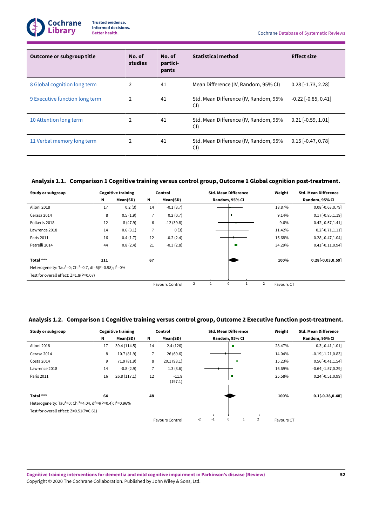

**Better health.** Cochrane Database of Systematic Reviews

| Outcome or subgroup title      | No. of<br>studies | No. of<br>partici-<br>pants | <b>Statistical method</b>                    | <b>Effect size</b>      |
|--------------------------------|-------------------|-----------------------------|----------------------------------------------|-------------------------|
| 8 Global cognition long term   | 2                 | 41                          | Mean Difference (IV, Random, 95% CI)         | $0.28$ [-1.73, 2.28]    |
| 9 Executive function long term | 2                 | 41                          | Std. Mean Difference (IV, Random, 95%<br>CI) | $-0.22$ $[-0.85, 0.41]$ |
| 10 Attention long term         | 2                 | 41                          | Std. Mean Difference (IV, Random, 95%<br>CI) | $0.21$ [-0.59, 1.01]    |
| 11 Verbal memory long term     |                   | 41                          | Std. Mean Difference (IV, Random, 95%<br>CI) | $0.15$ [-0.47, 0.78]    |

# <span id="page-53-0"></span>**Analysis 1.1. Comparison 1 Cognitive training versus control group, Outcome 1 Global cognition post-treatment.**

| Study or subgroup                                                                           |     | <b>Cognitive training</b> | Control        |             | <b>Std. Mean Difference</b>       | Weight                 | <b>Std. Mean Difference</b> |
|---------------------------------------------------------------------------------------------|-----|---------------------------|----------------|-------------|-----------------------------------|------------------------|-----------------------------|
|                                                                                             | N   | Mean(SD)                  | N              | Mean(SD)    | Random, 95% CI                    |                        | Random, 95% CI              |
| Alloni 2018                                                                                 | 17  | 0.2(3)                    | 14             | $-0.1(3.7)$ |                                   | 18.87%                 | $0.08[-0.63, 0.79]$         |
| Cerasa 2014                                                                                 | 8   | 0.5(1.9)                  | 7              | 0.2(0.7)    |                                   | 9.14%                  | $0.17[-0.85, 1.19]$         |
| Folkerts 2018                                                                               | 12  | 8(47.9)                   | 6              | $-12(39.8)$ |                                   | 9.6%                   | $0.42[-0.57, 1.41]$         |
| Lawrence 2018                                                                               | 14  | 0.6(3.1)                  | $\overline{7}$ | 0(3)        |                                   | 11.42%                 | $0.2[-0.71, 1.11]$          |
| París 2011                                                                                  | 16  | 0.4(1.7)                  | 12             | $-0.2(2.4)$ |                                   | 16.68%                 | $0.28[-0.47, 1.04]$         |
| Petrelli 2014                                                                               | 44  | 0.8(2.4)                  | 21             | $-0.3(2.8)$ |                                   | 34.29%                 | $0.41[-0.11, 0.94]$         |
|                                                                                             |     |                           |                |             |                                   |                        |                             |
| Total ***                                                                                   | 111 |                           | 67             |             |                                   | 100%                   | $0.28[-0.03, 0.59]$         |
| Heterogeneity: Tau <sup>2</sup> =0; Chi <sup>2</sup> =0.7, df=5(P=0.98); l <sup>2</sup> =0% |     |                           |                |             |                                   |                        |                             |
| Test for overall effect: Z=1.8(P=0.07)                                                      |     |                           |                |             |                                   |                        |                             |
| <b>Favours Control</b>                                                                      |     |                           |                |             | $-2$<br>0<br>$-1$<br>$\mathbf{1}$ | 2<br><b>Favours CT</b> |                             |

# <span id="page-53-1"></span>**Analysis 1.2. Comparison 1 Cognitive training versus control group, Outcome 2 Executive function post-treatment.**

| Study or subgroup                                                                     |    | <b>Cognitive training</b> | Control        |                    |                             | <b>Std. Mean Difference</b> |                                     | <b>Std. Mean Difference</b> |
|---------------------------------------------------------------------------------------|----|---------------------------|----------------|--------------------|-----------------------------|-----------------------------|-------------------------------------|-----------------------------|
|                                                                                       | N  | Mean(SD)                  | N              | Mean(SD)           | Random, 95% CI              |                             |                                     | Random, 95% CI              |
| Alloni 2018                                                                           | 17 | 39.4 (114.5)              | 14             | 2.4(126)           |                             |                             | 28.47%                              | $0.3[-0.41, 1.01]$          |
| Cerasa 2014                                                                           | 8  | 10.7(81.9)                | $\overline{7}$ | 26(69.6)           |                             |                             | 14.04%                              | $-0.19[-1.21, 0.83]$        |
| Costa 2014                                                                            | 9  | 71.9 (81.9)               | 8              | 20.1(93.1)         |                             |                             | 15.23%                              | $0.56[-0.41, 1.54]$         |
| Lawrence 2018                                                                         | 14 | $-0.8(2.9)$               | $\overline{7}$ | 1.3(3.6)           |                             |                             | 16.69%                              | $-0.64[-1.57, 0.29]$        |
| París 2011                                                                            | 16 | 26.8(117.1)               | 12             | $-11.9$<br>(197.1) |                             |                             | 25.58%                              | $0.24[-0.51, 0.99]$         |
| Total ***                                                                             | 64 |                           | 48             |                    |                             |                             | 100%                                | $0.1[-0.28, 0.48]$          |
| Heterogeneity: Tau <sup>2</sup> =0; Chi <sup>2</sup> =4.04, df=4(P=0.4); $1^2$ =0.96% |    |                           |                |                    |                             |                             |                                     |                             |
| Test for overall effect: Z=0.51(P=0.61)                                               |    |                           |                |                    |                             |                             |                                     |                             |
|                                                                                       |    |                           |                | Favours Control    | $-2$<br>$\mathbf 0$<br>$-1$ |                             | $\overline{2}$<br><b>Favours CT</b> |                             |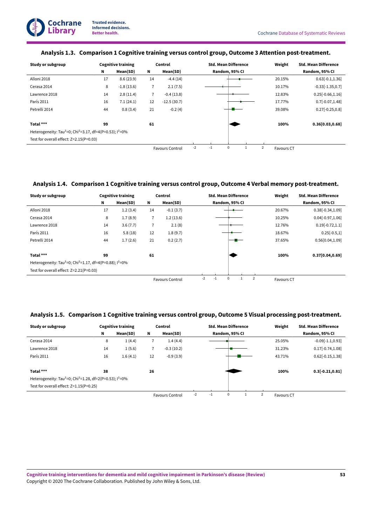# **Analysis 1.3. Comparison 1 Cognitive training versus control group, Outcome 3 Attention post-treatment.**

<span id="page-54-0"></span>

| Study or subgroup                                                                            |    | <b>Cognitive training</b> | Control        |                        |      |      | <b>Std. Mean Difference</b> |        | Weight            | <b>Std. Mean Difference</b> |
|----------------------------------------------------------------------------------------------|----|---------------------------|----------------|------------------------|------|------|-----------------------------|--------|-------------------|-----------------------------|
|                                                                                              | N  | Mean(SD)                  | N              | Mean(SD)               |      |      | Random, 95% CI              |        |                   | Random, 95% CI              |
| Alloni 2018                                                                                  | 17 | 8.6(23.9)                 | 14             | $-4.4(14)$             |      |      |                             |        | 20.15%            | $0.63[-0.1, 1.36]$          |
| Cerasa 2014                                                                                  | 8  | $-1.8(13.6)$              | $\overline{7}$ | 2.1(7.5)               |      |      |                             |        | 10.17%            | $-0.33[-1.35, 0.7]$         |
| Lawrence 2018                                                                                | 14 | 2.8(11.4)                 | $\overline{7}$ | $-0.4(13.8)$           |      |      |                             |        | 12.83%            | $0.25[-0.66, 1.16]$         |
| París 2011                                                                                   | 16 | 7.1(24.1)                 | 12             | $-12.5(30.7)$          |      |      |                             |        | 17.77%            | $0.7[-0.07, 1.48]$          |
| Petrelli 2014                                                                                | 44 | 0.8(3.4)                  | 21             | $-0.2(4)$              |      |      |                             |        | 39.08%            | $0.27[-0.25, 0.8]$          |
| Total ***                                                                                    | 99 |                           | 61             |                        |      |      |                             |        | 100%              | 0.36[0.03, 0.68]            |
| Heterogeneity: Tau <sup>2</sup> =0; Chi <sup>2</sup> =3.17, df=4(P=0.53); l <sup>2</sup> =0% |    |                           |                |                        |      |      |                             |        |                   |                             |
| Test for overall effect: Z=2.15(P=0.03)                                                      |    |                           |                |                        |      |      |                             |        |                   |                             |
|                                                                                              |    |                           |                | <b>Favours Control</b> | $-2$ | $-1$ | $\mathbf 0$                 | 2<br>1 | <b>Favours CT</b> |                             |

# <span id="page-54-1"></span>**Analysis 1.4. Comparison 1 Cognitive training versus control group, Outcome 4Verbal memory post-treatment.**

| Study or subgroup                                                                   |    | <b>Cognitive training</b> | Control |                        | <b>Std. Mean Difference</b>    | Weight     | <b>Std. Mean Difference</b> |
|-------------------------------------------------------------------------------------|----|---------------------------|---------|------------------------|--------------------------------|------------|-----------------------------|
|                                                                                     | N  | Mean(SD)                  | N       | Mean(SD)               | Random, 95% CI                 |            | Random, 95% CI              |
| Alloni 2018                                                                         | 17 | 1.2(3.4)                  | 14      | $-0.1(3.7)$            |                                | 20.67%     | $0.38[-0.34, 1.09]$         |
| Cerasa 2014                                                                         | 8  | 1.7(8.9)                  | 7       | 1.2(13.6)              |                                | 10.25%     | $0.04[-0.97, 1.06]$         |
| Lawrence 2018                                                                       | 14 | 3.6(7.7)                  | 7       | 2.1(8)                 |                                | 12.76%     | $0.19[-0.72, 1.1]$          |
| París 2011                                                                          | 16 | 5.8(18)                   | 12      | 1.8(9.7)               |                                | 18.67%     | $0.25[-0.5,1]$              |
| Petrelli 2014                                                                       | 44 | 1.7(2.6)                  | 21      | 0.2(2.7)               |                                | 37.65%     | 0.56[0.04, 1.09]            |
| Total ***                                                                           | 99 |                           | 61      |                        |                                | 100%       | 0.37[0.04, 0.69]            |
| Heterogeneity: Tau <sup>2</sup> =0; Chi <sup>2</sup> =1.17, df=4(P=0.88); $1^2$ =0% |    |                           |         |                        |                                |            |                             |
| Test for overall effect: Z=2.21(P=0.03)                                             |    |                           |         |                        |                                |            |                             |
|                                                                                     |    |                           |         | <b>Favours Control</b> | $-2$<br>2<br>$\mathbf 0$<br>-1 | Favours CT |                             |

# <span id="page-54-2"></span>**Analysis 1.5. Comparison 1 Cognitive training versus control group, Outcome 5Visual processing post-treatment.**

| Study or subgroup                                                                            |    | <b>Cognitive training</b> | Control |                        |      | <b>Std. Mean Difference</b> |                |  | Weight            | <b>Std. Mean Difference</b> |
|----------------------------------------------------------------------------------------------|----|---------------------------|---------|------------------------|------|-----------------------------|----------------|--|-------------------|-----------------------------|
|                                                                                              | N  | Mean(SD)                  | N       | Mean(SD)               |      |                             | Random, 95% CI |  |                   | Random, 95% CI              |
| Cerasa 2014                                                                                  | 8  | 1(4.4)                    |         | 1.4(4.4)               |      |                             |                |  | 25.05%            | $-0.09[-1.1, 0.93]$         |
| Lawrence 2018                                                                                | 14 | 1(5.6)                    |         | $-0.3(10.2)$           |      |                             |                |  | 31.23%            | $0.17[-0.74, 1.08]$         |
| París 2011                                                                                   | 16 | 1.6(4.1)                  | 12      | $-0.9(3.9)$            |      |                             |                |  | 43.71%            | $0.62[-0.15, 1.38]$         |
| Total ***                                                                                    | 38 |                           | 26      |                        |      |                             |                |  | 100%              | $0.3[-0.21, 0.81]$          |
| Heterogeneity: Tau <sup>2</sup> =0; Chi <sup>2</sup> =1.28, df=2(P=0.53); l <sup>2</sup> =0% |    |                           |         |                        |      |                             |                |  |                   |                             |
| Test for overall effect: Z=1.15(P=0.25)                                                      |    |                           |         |                        |      |                             |                |  |                   |                             |
|                                                                                              |    |                           |         | <b>Favours Control</b> | $-2$ | $-1$                        | 0              |  | <b>Favours CT</b> |                             |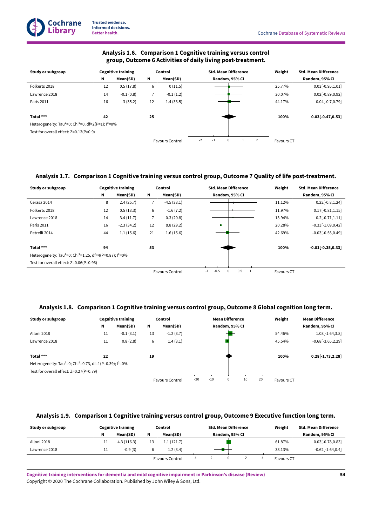# **Cochrane Library**

**Trusted evidence. Informed decisions.**

# **Analysis 1.6. Comparison 1 Cognitive training versus control group, Outcome 6 Activities of daily living post-treatment.**

<span id="page-55-0"></span>

| Study or subgroup                                                             |    | <b>Cognitive training</b> | Control |                        | <b>Std. Mean Difference</b> |      |                |                          | Weight            | <b>Std. Mean Difference</b> |
|-------------------------------------------------------------------------------|----|---------------------------|---------|------------------------|-----------------------------|------|----------------|--------------------------|-------------------|-----------------------------|
|                                                                               | N  | Mean(SD)                  | Ν       | Mean(SD)               |                             |      | Random, 95% CI |                          |                   | Random, 95% CI              |
| Folkerts 2018                                                                 | 12 | 0.5(17.8)                 | 6       | 0(11.5)                |                             |      |                |                          | 25.77%            | $0.03[-0.95, 1.01]$         |
| Lawrence 2018                                                                 | 14 | $-0.1(0.8)$               | 7       | $-0.1(1.2)$            |                             |      |                |                          | 30.07%            | $0.02[-0.89, 0.92]$         |
| París 2011                                                                    | 16 | 3(35.2)                   | 12      | 1.4(33.5)              |                             |      |                |                          | 44.17%            | $0.04[-0.7, 0.79]$          |
|                                                                               |    |                           |         |                        |                             |      |                |                          |                   |                             |
| Total ***                                                                     | 42 |                           | 25      |                        |                             |      |                |                          | 100%              | $0.03[-0.47, 0.53]$         |
| Heterogeneity: Tau <sup>2</sup> =0; Chi <sup>2</sup> =0, df=2(P=1); $1^2$ =0% |    |                           |         |                        |                             |      |                |                          |                   |                             |
| Test for overall effect: Z=0.13(P=0.9)                                        |    |                           |         |                        |                             |      |                |                          |                   |                             |
|                                                                               |    |                           |         | <b>Favours Control</b> | $-2$                        | $-1$ | $\Omega$       | $\overline{\phantom{0}}$ | <b>Favours CT</b> |                             |

# <span id="page-55-1"></span>**Analysis 1.7. Comparison 1 Cognitive training versus control group, Outcome 7 Quality of life post-treatment.**

| Study or subgroup                                                                   |    | <b>Cognitive training</b> | Control        |                        | <b>Std. Mean Difference</b>       | Weight            | <b>Std. Mean Difference</b> |
|-------------------------------------------------------------------------------------|----|---------------------------|----------------|------------------------|-----------------------------------|-------------------|-----------------------------|
|                                                                                     | N  | Mean(SD)                  | N              | Mean(SD)               | Random, 95% CI                    |                   | Random, 95% CI              |
| Cerasa 2014                                                                         | 8  | 2.4(25.7)                 | 7              | $-4.5(33.1)$           |                                   | 11.12%            | $0.22[-0.8, 1.24]$          |
| Folkerts 2018                                                                       | 12 | 0.5(13.3)                 | 6              | $-1.6(7.2)$            |                                   | 11.97%            | $0.17[-0.81, 1.15]$         |
| Lawrence 2018                                                                       | 14 | 3.4(11.7)                 | $\overline{7}$ | 0.3(20.8)              |                                   | 13.94%            | $0.2[-0.71, 1.11]$          |
| París 2011                                                                          | 16 | $-2.3(34.2)$              | 12             | 8.8(29.2)              |                                   | 20.28%            | $-0.33[-1.09, 0.42]$        |
| Petrelli 2014                                                                       | 44 | 1.1(15.6)                 | 21             | 1.6(15.6)              |                                   | 42.69%            | $-0.03[-0.55, 0.49]$        |
| Total ***                                                                           | 94 |                           | 53             |                        |                                   | 100%              | $-0.01[-0.35, 0.33]$        |
| Heterogeneity: Tau <sup>2</sup> =0; Chi <sup>2</sup> =1.25, df=4(P=0.87); $1^2$ =0% |    |                           |                |                        |                                   |                   |                             |
| Test for overall effect: Z=0.06(P=0.96)                                             |    |                           |                |                        |                                   |                   |                             |
|                                                                                     |    |                           |                | <b>Favours Control</b> | 0.5<br>$-0.5$<br>$-1$<br>$\Omega$ | <b>Favours CT</b> |                             |

# **Analysis 1.8. Comparison 1 Cognitive training versus control group, Outcome 8 Global cognition long term.**

<span id="page-55-2"></span>

| Study or subgroup                                                                            | <b>Cognitive training</b> |             | Control |                        |       |       | <b>Mean Difference</b>   |    |    | Weight            | <b>Mean Difference</b> |
|----------------------------------------------------------------------------------------------|---------------------------|-------------|---------|------------------------|-------|-------|--------------------------|----|----|-------------------|------------------------|
|                                                                                              | N                         | Mean(SD)    | Ν       | Mean(SD)               |       |       | Random, 95% CI           |    |    |                   | Random, 95% CI         |
| Alloni 2018                                                                                  | 11                        | $-0.1(3.1)$ | 13      | $-1.2(3.7)$            |       |       |                          |    |    | 54.46%            | $1.08[-1.64, 3.8]$     |
| Lawrence 2018                                                                                | 11                        | 0.8(2.8)    | 6       | 1.4(3.1)               |       |       | $\overline{\phantom{0}}$ |    |    | 45.54%            | $-0.68[-3.65, 2.29]$   |
|                                                                                              |                           |             |         |                        |       |       |                          |    |    |                   |                        |
| Total ***                                                                                    | 22                        |             | 19      |                        |       |       |                          |    |    | 100%              | $0.28[-1.73, 2.28]$    |
| Heterogeneity: Tau <sup>2</sup> =0; Chi <sup>2</sup> =0.73, df=1(P=0.39); l <sup>2</sup> =0% |                           |             |         |                        |       |       |                          |    |    |                   |                        |
| Test for overall effect: Z=0.27(P=0.79)                                                      |                           |             |         |                        |       |       |                          |    |    |                   |                        |
|                                                                                              |                           |             |         | <b>Favours Control</b> | $-20$ | $-10$ | 0                        | 10 | 20 | <b>Favours CT</b> |                        |

# <span id="page-55-3"></span>**Analysis 1.9. Comparison 1 Cognitive training versus control group, Outcome 9 Executive function long term.**

| Study or subgroup |    | <b>Cognitive training</b> | Control |                        |    | <b>Std. Mean Difference</b> |                |  | Weight            | Std. Mean Difference |
|-------------------|----|---------------------------|---------|------------------------|----|-----------------------------|----------------|--|-------------------|----------------------|
|                   | N  | Mean(SD)                  | N       | Mean(SD)               |    |                             | Random, 95% CI |  |                   | Random, 95% CI       |
| Alloni 2018       | 11 | 4.3(116.3)                | 13      | 1.1(121.7)             |    |                             |                |  | 61.87%            | $0.03[-0.78, 0.83]$  |
| Lawrence 2018     | 11 | $-0.9(3)$                 | 6       | 1.2(3.4)               |    |                             |                |  | 38.13%            | $-0.62[-1.64, 0.4]$  |
|                   |    |                           |         | <b>Favours Control</b> | -4 |                             |                |  | <b>Favours CT</b> |                      |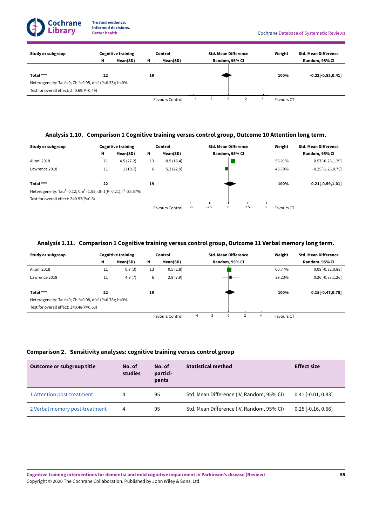**Cochrane Library**

**Trusted evidence. Informed decisions.**

| Study or subgroup                                                                   | <b>Cognitive training</b> |          |    | Control                | <b>Std. Mean Difference</b> |      |                |  |  | Weight            | <b>Std. Mean Difference</b> |
|-------------------------------------------------------------------------------------|---------------------------|----------|----|------------------------|-----------------------------|------|----------------|--|--|-------------------|-----------------------------|
|                                                                                     | N                         | Mean(SD) | N  | Mean(SD)               |                             |      | Random, 95% CI |  |  |                   | Random, 95% CI              |
|                                                                                     |                           |          |    |                        |                             |      |                |  |  |                   |                             |
| Total ***                                                                           | 22                        |          | 19 |                        |                             |      |                |  |  | 100%              | $-0.22[-0.85, 0.41]$        |
| Heterogeneity: Tau <sup>2</sup> =0; Chi <sup>2</sup> =0.95, df=1(P=0.33); $1^2$ =0% |                           |          |    |                        |                             |      |                |  |  |                   |                             |
| Test for overall effect: Z=0.69(P=0.49)                                             |                           |          |    |                        |                             |      |                |  |  |                   |                             |
|                                                                                     |                           |          |    | <b>Favours Control</b> | $-4$                        | $-2$ | $\Omega$       |  |  | <b>Favours CT</b> |                             |

# **Analysis 1.10. Comparison 1 Cognitive training versus control group, Outcome 10 Attention long term.**

<span id="page-56-0"></span>

| Study or subgroup                                                                                   |    | <b>Cognitive training</b> |    | Control                |      |        | <b>Std. Mean Difference</b> |   | Weight            | <b>Std. Mean Difference</b> |
|-----------------------------------------------------------------------------------------------------|----|---------------------------|----|------------------------|------|--------|-----------------------------|---|-------------------|-----------------------------|
|                                                                                                     | N  | Mean(SD)                  | Ν  | Mean(SD)               |      |        | Random, 95% CI              |   |                   | Random, 95% CI              |
| Alloni 2018                                                                                         | 11 | 4.5(27.2)                 | 13 | $-8.5(16.4)$           |      |        |                             |   | 56.21%            | $0.57[-0.25, 1.39]$         |
| Lawrence 2018                                                                                       | 11 | 1(10.7)                   | 6  | 5.2(22.9)              |      |        |                             |   | 43.79%            | $-0.25[-1.25, 0.75]$        |
|                                                                                                     |    |                           |    |                        |      |        |                             |   |                   |                             |
| Total ***                                                                                           | 22 |                           | 19 |                        |      |        |                             |   | 100%              | $0.21[-0.59, 1.01]$         |
| Heterogeneity: Tau <sup>2</sup> =0.12; Chi <sup>2</sup> =1.55, df=1(P=0.21); l <sup>2</sup> =35.57% |    |                           |    |                        |      |        |                             |   |                   |                             |
| Test for overall effect: Z=0.52(P=0.6)                                                              |    |                           |    |                        |      |        |                             |   |                   |                             |
|                                                                                                     |    |                           |    | <b>Favours Control</b> | $-5$ | $-2.5$ | 2.5<br>0                    | 5 | <b>Favours CT</b> |                             |

# <span id="page-56-1"></span>**Analysis 1.11. Comparison 1 Cognitive training versus control group, Outcome 11Verbal memory long term.**

| Study or subgroup                                                                   |    | <b>Cognitive training</b> |    | Control                |      | <b>Std. Mean Difference</b> |                |  | Weight            | <b>Std. Mean Difference</b> |
|-------------------------------------------------------------------------------------|----|---------------------------|----|------------------------|------|-----------------------------|----------------|--|-------------------|-----------------------------|
|                                                                                     | N  | Mean(SD)                  | Ν  | Mean(SD)               |      |                             | Random, 95% CI |  |                   | Random, 95% CI              |
| Alloni 2018                                                                         | 11 | 0.7(3)                    | 13 | 0.5(2.8)               |      |                             |                |  | 60.77%            | $0.08[-0.72, 0.88]$         |
| Lawrence 2018                                                                       | 11 | 4.8(7)                    | 6  | 2.8(7.9)               |      |                             |                |  | 39.23%            | $0.26[-0.73, 1.26]$         |
|                                                                                     |    |                           |    |                        |      |                             |                |  |                   |                             |
| Total ***                                                                           | 22 |                           | 19 |                        |      |                             |                |  | 100%              | $0.15[-0.47, 0.78]$         |
| Heterogeneity: Tau <sup>2</sup> =0; Chi <sup>2</sup> =0.08, df=1(P=0.78); $1^2$ =0% |    |                           |    |                        |      |                             |                |  |                   |                             |
| Test for overall effect: Z=0.48(P=0.63)                                             |    |                           |    |                        |      |                             |                |  |                   |                             |
|                                                                                     |    |                           |    | <b>Favours Control</b> | $-4$ | $-2$                        | 0              |  | <b>Favours CT</b> |                             |

# **Comparison 2. Sensitivity analyses: cognitive training versus control group**

| Outcome or subgroup title      | No. of<br>studies | No. of<br>partici-<br>pants | <b>Statistical method</b>                 | <b>Effect size</b>   |
|--------------------------------|-------------------|-----------------------------|-------------------------------------------|----------------------|
| 1 Attention post-treatment     | 4                 | 95                          | Std. Mean Difference (IV, Random, 95% CI) | $0.41$ [-0.01, 0.83] |
| 2 Verbal memory post-treatment | 4                 | 95                          | Std. Mean Difference (IV, Random, 95% CI) | $0.25$ [-0.16, 0.66] |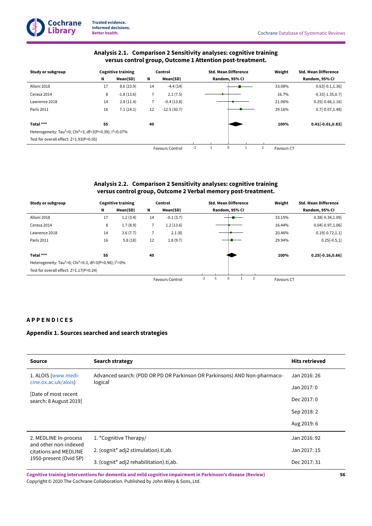# **Analysis 2.1. Comparison 2Sensitivity analyses: cognitive training versus control group, Outcome 1 Attention post-treatment.**

<span id="page-57-0"></span>

| Study or subgroup                                                                            |    | <b>Cognitive training</b> |                | Control                |      |      | <b>Std. Mean Difference</b> |   | Weight            | <b>Std. Mean Difference</b> |
|----------------------------------------------------------------------------------------------|----|---------------------------|----------------|------------------------|------|------|-----------------------------|---|-------------------|-----------------------------|
|                                                                                              | N  | Mean(SD)                  | N              | Mean(SD)               |      |      | Random, 95% CI              |   |                   | Random, 95% CI              |
| Alloni 2018                                                                                  | 17 | 8.6(23.9)                 | 14             | $-4.4(14)$             |      |      |                             |   | 33.08%            | $0.63[-0.1, 1.36]$          |
| Cerasa 2014                                                                                  | 8  | $-1.8(13.6)$              | $\overline{7}$ | 2.1(7.5)               |      |      |                             |   | 16.7%             | $-0.33[-1.35, 0.7]$         |
| Lawrence 2018                                                                                | 14 | 2.8(11.4)                 | 7              | $-0.4(13.8)$           |      |      |                             |   | 21.06%            | $0.25[-0.66, 1.16]$         |
| París 2011                                                                                   | 16 | 7.1(24.1)                 | 12             | $-12.5(30.7)$          |      |      |                             |   | 29.16%            | $0.7[-0.07, 1.48]$          |
| Total ***                                                                                    | 55 |                           | 40             |                        |      |      |                             |   | 100%              | $0.41[-0.01, 0.83]$         |
| Heterogeneity: Tau <sup>2</sup> =0; Chi <sup>2</sup> =3, df=3(P=0.39); l <sup>2</sup> =0.07% |    |                           |                |                        |      |      |                             |   |                   |                             |
| Test for overall effect: Z=1.93(P=0.05)                                                      |    |                           |                |                        |      |      |                             |   |                   |                             |
|                                                                                              |    |                           |                | <b>Favours Control</b> | $-2$ | $-1$ | $\mathbf 0$                 | 2 | <b>Favours CT</b> |                             |

# **Analysis 2.2. Comparison 2Sensitivity analyses: cognitive training versus control group, Outcome 2Verbal memory post-treatment.**

<span id="page-57-1"></span>

| Study or subgroup                                                                  | <b>Cognitive training</b> |          | Control        |                        | <b>Std. Mean Difference</b> |                |             |  |                | Weight            | <b>Std. Mean Difference</b> |
|------------------------------------------------------------------------------------|---------------------------|----------|----------------|------------------------|-----------------------------|----------------|-------------|--|----------------|-------------------|-----------------------------|
|                                                                                    | N                         | Mean(SD) | Ν              | Mean(SD)               |                             | Random, 95% CI |             |  |                |                   | Random, 95% CI              |
| Alloni 2018                                                                        | 17                        | 1.2(3.4) | 14             | $-0.1(3.7)$            |                             |                |             |  |                | 33.15%            | $0.38[-0.34, 1.09]$         |
| Cerasa 2014                                                                        | 8                         | 1.7(8.9) | $\overline{7}$ | 1.2(13.6)              |                             |                |             |  |                | 16.44%            | $0.04[-0.97, 1.06]$         |
| Lawrence 2018                                                                      | 14                        | 3.6(7.7) | ∍              | 2.1(8)                 |                             |                |             |  |                | 20.46%            | $0.19[-0.72, 1.1]$          |
| París 2011                                                                         | 16                        | 5.8(18)  | 12             | 1.8(9.7)               |                             |                |             |  |                | 29.94%            | $0.25[-0.5,1]$              |
| Total ***                                                                          | 55                        |          | 40             |                        |                             |                |             |  |                | 100%              | $0.25[-0.16, 0.66]$         |
| Heterogeneity: Tau <sup>2</sup> =0; Chi <sup>2</sup> =0.3, df=3(P=0.96); $1^2$ =0% |                           |          |                |                        |                             |                |             |  |                |                   |                             |
| Test for overall effect: Z=1.17(P=0.24)                                            |                           |          |                |                        |                             |                |             |  |                |                   |                             |
|                                                                                    |                           |          |                | <b>Favours Control</b> | $-2$                        | $^{-1}$        | $\mathbf 0$ |  | $\overline{2}$ | <b>Favours CT</b> |                             |

# <span id="page-57-2"></span>**A P P E N D I C E S**

# <span id="page-57-3"></span>**Appendix 1.Sources searched and search strategies**

| <b>Source</b>                                                                                     | <b>Search strategy</b>                                                               | <b>Hits retrieved</b> |
|---------------------------------------------------------------------------------------------------|--------------------------------------------------------------------------------------|-----------------------|
| 1. ALOIS (www.medi-<br>cine.ox.ac.uk/alois)                                                       | Advanced search: (PDD OR PD OR Parkinson OR Parkinsons) AND Non-pharmaco-<br>logical | Jan 2016: 26          |
|                                                                                                   |                                                                                      | Jan 2017: 0           |
| [Date of most recent<br>search: 8 August 2019]                                                    |                                                                                      |                       |
|                                                                                                   | Sep 2018: 2                                                                          |                       |
|                                                                                                   |                                                                                      | Aug 2019: 6           |
| 2. MEDLINE In-process<br>and other non-indexed<br>citations and MEDLINE<br>1950-present (Ovid SP) | 1. *Cognitive Therapy/                                                               | Jan 2016: 92          |
|                                                                                                   | 2. (cognit* adj2 stimulation).ti,ab.                                                 | Jan 2017: 15          |
|                                                                                                   | 3. (cognit* adj2 rehabilitation).ti,ab.                                              | Dec 2017: 31          |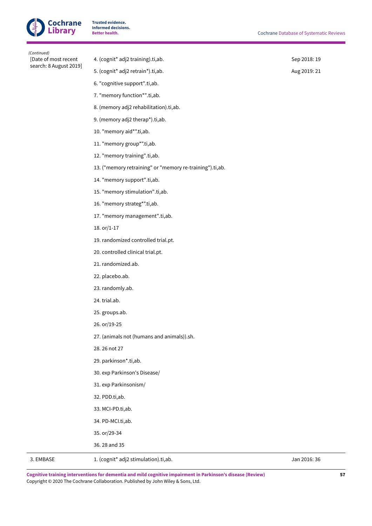

[Date of most recent search: 8 August 2019]  *(Continued)*

- 4. (cognit\* adj2 training).ti,ab.
- 5. (cognit\* adj2 retrain\*).ti,ab.
- 6. "cognitive support".ti,ab.
- 7. "memory function\*".ti,ab.
- 8. (memory adj2 rehabilitation).ti,ab.
- 9. (memory adj2 therap\*).ti,ab.
- 10. "memory aid\*".ti,ab.
- 11. "memory group\*".ti,ab.
- 12. "memory training".ti,ab.
- 13. ("memory retraining" or "memory re-training").ti,ab.
- 14. "memory support".ti,ab.
- 15. "memory stimulation".ti,ab.
- 16. "memory strateg\*".ti,ab.
- 17. "memory management".ti,ab.
- 18. or/1-17
- 19. randomized controlled trial.pt.
- 20. controlled clinical trial.pt.
- 21. randomized.ab.
- 22. placebo.ab.
- 23. randomly.ab.
- 24. trial.ab.
- 25. groups.ab.
- 26. or/19-25
- 27. (animals not (humans and animals)).sh.
- 28. 26 not 27
- 29. parkinson\*.ti,ab.
- 30. exp Parkinson's Disease/
- 31. exp Parkinsonism/
- 32. PDD.ti,ab.
- 33. MCI-PD.ti,ab.
- 34. PD-MCI.ti,ab.
- 35. or/29-34
- 36. 28 and 35



3. EMBASE 1. (cognit\* adj2 stimulation).ti,ab. Jan 2016: 36

**Cognitive training interventions for dementia and mild cognitive impairment in Parkinson's disease (Review)** Copyright © 2020 The Cochrane Collaboration. Published by John Wiley & Sons, Ltd.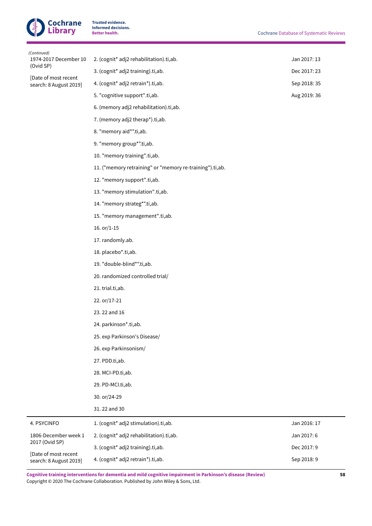

| (Continued)<br>1974-2017 December 10<br>(Ovid SP)<br>[Date of most recent | 2. (cognit* adj2 rehabilitation).ti,ab.                  | Jan 2017: 13 |
|---------------------------------------------------------------------------|----------------------------------------------------------|--------------|
|                                                                           | 3. (cognit* adj2 training).ti,ab.                        | Dec 2017: 23 |
| search: 8 August 2019]                                                    | 4. (cognit* adj2 retrain*).ti,ab.                        | Sep 2018: 35 |
|                                                                           | 5. "cognitive support".ti,ab.                            | Aug 2019: 36 |
|                                                                           | 6. (memory adj2 rehabilitation).ti,ab.                   |              |
|                                                                           | 7. (memory adj2 therap*).ti,ab.                          |              |
|                                                                           | 8. "memory aid*".ti,ab.                                  |              |
|                                                                           | 9. "memory group*".ti,ab.                                |              |
|                                                                           | 10. "memory training".ti,ab.                             |              |
|                                                                           | 11. ("memory retraining" or "memory re-training").ti,ab. |              |
|                                                                           | 12. "memory support".ti,ab.                              |              |
|                                                                           | 13. "memory stimulation".ti,ab.                          |              |
|                                                                           | 14. "memory strateg*".ti,ab.                             |              |
|                                                                           | 15. "memory management".ti,ab.                           |              |
|                                                                           | 16. $or/1-15$                                            |              |
|                                                                           | 17. randomly.ab.                                         |              |
|                                                                           | 18. placebo*.ti,ab.                                      |              |
|                                                                           | 19. "double-blind*".ti,ab.                               |              |
|                                                                           | 20. randomized controlled trial/                         |              |
|                                                                           | 21. trial.ti,ab.                                         |              |
|                                                                           | 22. or/17-21                                             |              |
|                                                                           | 23.22 and 16                                             |              |
|                                                                           | 24. parkinson*.ti,ab.                                    |              |
|                                                                           | 25. exp Parkinson's Disease/                             |              |
|                                                                           | 26. exp Parkinsonism/                                    |              |
|                                                                           | 27. PDD.ti,ab.                                           |              |
|                                                                           | 28. MCI-PD.ti,ab.                                        |              |
|                                                                           | 29. PD-MCI.ti,ab.                                        |              |
|                                                                           | 30. or/24-29                                             |              |
|                                                                           | 31.22 and 30                                             |              |
| 4. PSYCINFO                                                               | 1. (cognit* adj2 stimulation).ti,ab.                     | Jan 2016: 17 |
| 1806-December week 1                                                      | 2. (cognit* adj2 rehabilitation).ti,ab.                  | Jan 2017: 6  |
| 2017 (Ovid SP)                                                            | 3. (cognit* adj2 training).ti,ab.                        | Dec 2017: 9  |
| [Date of most recent<br>search: 8 August 2019]                            | 4. (cognit* adj2 retrain*).ti,ab.                        | Sep 2018: 9  |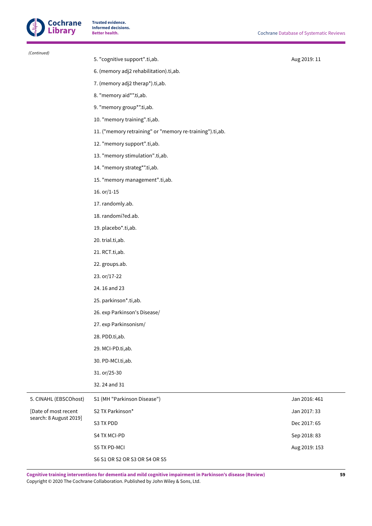Aug 2019: 11

 *(Continued)*

- 5. "cognitive support".ti,ab.
- 6. (memory adj2 rehabilitation).ti,ab.
- 7. (memory adj2 therap\*).ti,ab.
- 8. "memory aid\*".ti,ab.
- 9. "memory group\*".ti,ab.
- 10. "memory training".ti,ab.
- 11. ("memory retraining" or "memory re-training").ti,ab.
- 12. "memory support".ti,ab.
- 13. "memory stimulation".ti,ab.
- 14. "memory strateg\*".ti,ab.
- 15. "memory management".ti,ab.
- 16. or/1-15
- 17. randomly.ab.
- 18. randomi?ed.ab.
- 19. placebo\*.ti,ab.
- 20. trial.ti,ab.
- 21. RCT.ti,ab.
- 22. groups.ab.
- 23. or/17-22
- 24. 16 and 23
- 25. parkinson\*.ti,ab.
- 26. exp Parkinson's Disease/
- 27. exp Parkinsonism/
- 28. PDD.ti,ab.
- 29. MCI-PD.ti,ab.
- 30. PD-MCI.ti,ab.
- 31. or/25-30
- 32. 24 and 31

| 5. CINAHL (EBSCOhost)                          | S1 (MH "Parkinson Disease")   | Jan 2016: 461 |
|------------------------------------------------|-------------------------------|---------------|
| [Date of most recent<br>search: 8 August 2019] | S2 TX Parkinson*              | Jan 2017: 33  |
|                                                | S3 TX PDD                     | Dec 2017: 65  |
|                                                | S4 TX MCI-PD                  | Sep 2018: 83  |
|                                                | <b>S5 TX PD-MCI</b>           | Aug 2019: 153 |
|                                                | S6 S1 OR S2 OR S3 OR S4 OR S5 |               |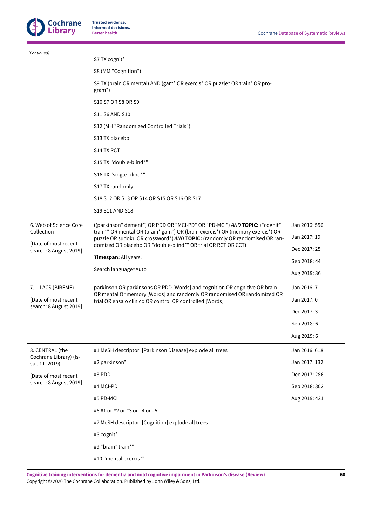

| (Continued)                                                |                                                                                                                                                              |               |  |  |  |
|------------------------------------------------------------|--------------------------------------------------------------------------------------------------------------------------------------------------------------|---------------|--|--|--|
|                                                            | S7 TX cognit*                                                                                                                                                |               |  |  |  |
|                                                            | S8 (MM "Cognition")                                                                                                                                          |               |  |  |  |
|                                                            | S9 TX (brain OR mental) AND (gam* OR exercis* OR puzzle* OR train* OR pro-<br>gram <sup>*</sup> )                                                            |               |  |  |  |
|                                                            | S10 S7 OR S8 OR S9                                                                                                                                           |               |  |  |  |
|                                                            | S11 S6 AND S10                                                                                                                                               |               |  |  |  |
|                                                            | S12 (MH "Randomized Controlled Trials")                                                                                                                      |               |  |  |  |
|                                                            | S13 TX placebo                                                                                                                                               |               |  |  |  |
|                                                            | S14 TX RCT                                                                                                                                                   |               |  |  |  |
|                                                            | S15 TX "double-blind*"                                                                                                                                       |               |  |  |  |
|                                                            | S16 TX "single-blind*"                                                                                                                                       |               |  |  |  |
|                                                            | S17 TX randomly                                                                                                                                              |               |  |  |  |
|                                                            | S18 S12 OR S13 OR S14 OR S15 OR S16 OR S17                                                                                                                   |               |  |  |  |
|                                                            | S19 S11 AND S18                                                                                                                                              |               |  |  |  |
| 6. Web of Science Core                                     | ((parkinson* dement*) OR PDD OR "MCI-PD" OR "PD-MCI") AND TOPIC: ("cognit*                                                                                   | Jan 2016: 556 |  |  |  |
| Collection                                                 | train*" OR mental OR (brain* gam*) OR (brain exercis*) OR (memory exercis*) OR<br>puzzle OR sudoku OR crossword*) AND TOPIC: (randomly OR randomised OR ran- | Jan 2017: 19  |  |  |  |
| [Date of most recent<br>search: 8 August 2019]             | domized OR placebo OR "double-blind*" OR trial OR RCT OR CCT)                                                                                                | Dec 2017: 25  |  |  |  |
|                                                            | Timespan: All years.                                                                                                                                         | Sep 2018: 44  |  |  |  |
|                                                            | Search language=Auto                                                                                                                                         | Aug 2019: 36  |  |  |  |
| 7. LILACS (BIREME)                                         | parkinson OR parkinsons OR PDD [Words] and cognition OR cognitive OR brain<br>OR mental Or memory [Words] and randomly OR randomised OR randomized OR        | Jan 2016: 71  |  |  |  |
| [Date of most recent                                       | trial OR ensaio clínico OR control OR controlled [Words]                                                                                                     | Jan 2017: 0   |  |  |  |
| search: 8 August 2019]                                     |                                                                                                                                                              | Dec 2017: 3   |  |  |  |
|                                                            |                                                                                                                                                              | Sep 2018: 6   |  |  |  |
|                                                            |                                                                                                                                                              | Aug 2019: 6   |  |  |  |
| 8. CENTRAL (the<br>Cochrane Library) (Is-<br>sue 11, 2019) | #1 MeSH descriptor: [Parkinson Disease] explode all trees                                                                                                    | Jan 2016: 618 |  |  |  |
|                                                            | #2 parkinson*                                                                                                                                                | Jan 2017: 132 |  |  |  |
| [Date of most recent                                       | #3 PDD                                                                                                                                                       | Dec 2017: 286 |  |  |  |
| search: 8 August 2019]                                     | #4 MCI-PD                                                                                                                                                    | Sep 2018: 302 |  |  |  |
|                                                            | #5 PD-MCI                                                                                                                                                    | Aug 2019: 421 |  |  |  |
|                                                            | #6 #1 or #2 or #3 or #4 or #5                                                                                                                                |               |  |  |  |
|                                                            | #7 MeSH descriptor: [Cognition] explode all trees                                                                                                            |               |  |  |  |
|                                                            | #8 cognit*                                                                                                                                                   |               |  |  |  |
|                                                            | #9 "brain* train*"                                                                                                                                           |               |  |  |  |
|                                                            | #10 "mental exercis*"                                                                                                                                        |               |  |  |  |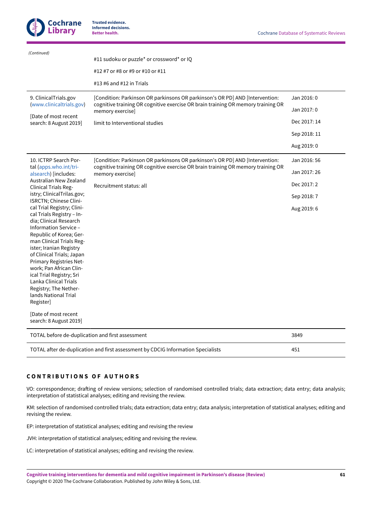

| (Continued)                                                                                         |                                                                                                      |              |
|-----------------------------------------------------------------------------------------------------|------------------------------------------------------------------------------------------------------|--------------|
|                                                                                                     | #11 sudoku or puzzle* or crossword* or IQ                                                            |              |
|                                                                                                     | #12 #7 or #8 or #9 or #10 or #11                                                                     |              |
|                                                                                                     | #13 #6 and #12 in Trials                                                                             |              |
| 9. ClinicalTrials.gov<br>(www.clinicaltrials.gov)<br>[Date of most recent<br>search: 8 August 2019] | [Condition: Parkinson OR parkinsons OR parkinson's OR PD] AND [Intervention:                         | Jan 2016: 0  |
|                                                                                                     | cognitive training OR cognitive exercise OR brain training OR memory training OR<br>memory exercise] | Jan 2017: 0  |
|                                                                                                     | limit to Interventional studies                                                                      | Dec 2017: 14 |
|                                                                                                     |                                                                                                      | Sep 2018: 11 |
|                                                                                                     |                                                                                                      | Aug 2019: 0  |
| 10. ICTRP Search Por-<br>tal (apps.who.int/tri-<br>alsearch) [includes:                             | [Condition: Parkinson OR parkinsons OR parkinson's OR PD] AND [Intervention:                         | Jan 2016: 56 |
|                                                                                                     | cognitive training OR cognitive exercise OR brain training OR memory training OR<br>memory exercise] | Jan 2017: 26 |
| Australian New Zealand<br>Clinical Trials Reg-                                                      | Recruitment status: all                                                                              | Dec 2017: 2  |
| istry; ClinicalTrilas.gov;<br>ISRCTN; Chinese Clini-                                                |                                                                                                      | Sep 2018: 7  |
| cal Trial Registry; Clini-<br>cal Trials Registry - In-<br>dia; Clinical Research                   |                                                                                                      | Aug 2019: 6  |
|                                                                                                     |                                                                                                      |              |
| Information Service -<br>Republic of Korea; Ger-                                                    |                                                                                                      |              |
| man Clinical Trials Reg-<br>ister; Iranian Registry                                                 |                                                                                                      |              |
| of Clinical Trials; Japan                                                                           |                                                                                                      |              |
| Primary Registries Net-<br>work; Pan African Clin-                                                  |                                                                                                      |              |
| ical Trial Registry; Sri<br>Lanka Clinical Trials                                                   |                                                                                                      |              |
| Registry; The Nether-                                                                               |                                                                                                      |              |
| lands National Trial<br>Register]                                                                   |                                                                                                      |              |
| [Date of most recent                                                                                |                                                                                                      |              |
| search: 8 August 2019]                                                                              |                                                                                                      |              |
| TOTAL before de-duplication and first assessment                                                    |                                                                                                      | 3849         |
| TOTAL after de-duplication and first assessment by CDCIG Information Specialists                    | 451                                                                                                  |              |

# <span id="page-62-0"></span>**C O N T R I B U T I O N S O F A U T H O R S**

VO: correspondence; drafting of review versions; selection of randomised controlled trials; data extraction; data entry; data analysis; interpretation of statistical analyses; editing and revising the review.

KM: selection of randomised controlled trials; data extraction; data entry; data analysis; interpretation of statistical analyses; editing and revising the review.

EP: interpretation of statistical analyses; editing and revising the review

JVH: interpretation of statistical analyses; editing and revising the review.

LC: interpretation of statistical analyses; editing and revising the review.

**Cognitive training interventions for dementia and mild cognitive impairment in Parkinson's disease (Review)** Copyright © 2020 The Cochrane Collaboration. Published by John Wiley & Sons, Ltd.